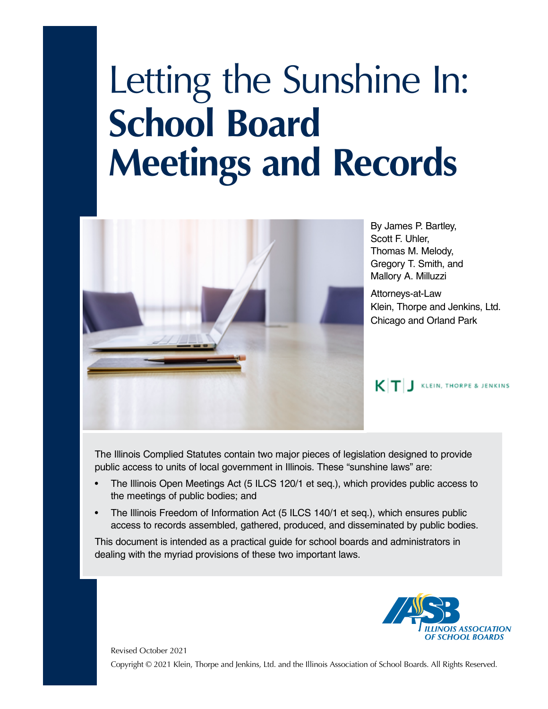# Letting the Sunshine In: **School Board Meetings and Records**



By James P. Bartley, Scott F. Uhler, Thomas M. Melody, Gregory T. Smith, and Mallory A. Milluzzi

Attorneys-at-Law Klein, Thorpe and Jenkins, Ltd. Chicago and Orland Park

#### $K$  $T$   $J$  klein, thorpe & Jenkins

The Illinois Complied Statutes contain two major pieces of legislation designed to provide public access to units of local government in Illinois. These "sunshine laws" are:

- The Illinois Open Meetings Act (5 ILCS 120/1 et seq.), which provides public access to the meetings of public bodies; and
- The Illinois Freedom of Information Act (5 ILCS 140/1 et seq.), which ensures public access to records assembled, gathered, produced, and disseminated by public bodies.

This document is intended as a practical guide for school boards and administrators in dealing with the myriad provisions of these two important laws.



Revised October 2021

Copyright © 2021 Klein, Thorpe and Jenkins, Ltd. and the Illinois Association of School Boards. All Rights Reserved.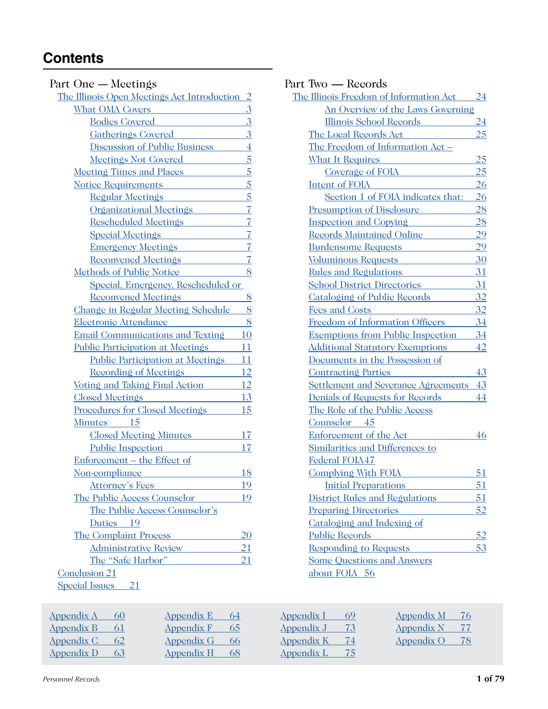## **Contents**

| Part One — Meetings                           |                 |
|-----------------------------------------------|-----------------|
| The Illinois Open Meetings Act Introduction 2 |                 |
| What OMA Covers                               | $\overline{3}$  |
| <b>Bodies Covered</b>                         | $\overline{3}$  |
| Gatherings Covered 3                          |                 |
| Discussion of Public Business                 | $\overline{4}$  |
| Meetings Not Covered                          | $\overline{5}$  |
| Meeting Times and Places 5                    |                 |
| Notice Requirements                           | $\overline{5}$  |
| Regular Meetings 5                            |                 |
| Organizational Meetings 7                     |                 |
| Rescheduled Meetings 7                        |                 |
| Special Meetings 7                            |                 |
| Emergency Meetings                            | $\overline{7}$  |
| Reconvened Meetings                           | $\overline{1}$  |
| Methods of Public Notice                      | 8               |
| Special, Emergency, Rescheduled or            |                 |
| Reconvened Meetings                           | 8               |
| Change in Regular Meeting Schedule            | 8               |
| Electronic Attendance                         | 8               |
| <b>Email Communications and Texting</b>       | <u>10</u>       |
| Public Participation at Meetings              | 11              |
| <b>Public Participation at Meetings</b>       | 11              |
| Recording of Meetings                         | <u>12</u>       |
| Voting and Taking Final Action                | 12              |
| Closed Meetings                               | <u>13</u>       |
| <b>Procedures for Closed Meetings</b>         | <u>15</u>       |
| Minutes 15                                    |                 |
| Closed Meeting Minutes                        | 17              |
| Public Inspection                             | 17              |
| Enforcement - the Effect of                   |                 |
| Non-compliance                                | <u>18</u>       |
| Attorney's Fees                               | <u>19</u>       |
| The Public Access Counselor                   | 19              |
| The Public Access Counselor's                 |                 |
| Duties 19                                     |                 |
| The Complaint Process                         | $\overline{20}$ |
| Administrative Review                         | <u>21</u>       |
| The "Safe Harbor"                             | <u> 21</u>      |
| <b>Conclusion 21</b>                          |                 |
| Special Issues 21                             |                 |

| Part Two — Records                                               |                 |
|------------------------------------------------------------------|-----------------|
| The Illinois Freedom of Information Act                          | 24              |
| An Overview of the Laws Governing                                |                 |
| Illinois School Records                                          | 24              |
| The Local Records Act                                            | 25              |
| The Freedom of Information Act -                                 |                 |
| <b>What It Requires</b>                                          | 25              |
| Coverage of FOIA                                                 | 25              |
| Intent of FOIA                                                   | 26              |
| Section 1 of FOIA indicates that:                                | <u>26</u>       |
| <b>Presumption of Disclosure</b>                                 | 28              |
| Inspection and Copying                                           | $\overline{28}$ |
| <b>Records Maintained Online</b>                                 | 29              |
| Burdensome Requests                                              | 29              |
| Voluminous Requests                                              | <u>30</u>       |
| <b>Rules and Regulations</b>                                     | 31              |
| <b>School District Directories</b>                               | 31              |
| Cataloging of Public Records                                     | 32              |
| <b>Fees and Costs</b>                                            | 32              |
| <b>Freedom of Information Officers</b>                           | 34              |
| <b>Exemptions from Public Inspection</b>                         | <u>34</u>       |
| <b>Additional Statutory Exemptions</b>                           | <u>42</u>       |
| Documents in the Possession of                                   |                 |
| <b>Contracting Parties</b><br>and the control of the control of  | 43              |
| Settlement and Severance Agreements                              | 43              |
| Denials of Requests for Records                                  | 44              |
| The Role of the Public Access                                    |                 |
| Counselor 45                                                     |                 |
| Enforcement of the Act                                           | 46              |
| Similarities and Differences to                                  |                 |
| Federal FOIA47                                                   |                 |
| Complying With FOIA                                              | <u>51</u>       |
| <b>Initial Preparations</b><br><b>Contract Contract Contract</b> | 51              |
| District Rules and Regulations                                   | 51              |
| <b>Preparing Directories</b>                                     | 52              |
| Cataloging and Indexing of                                       |                 |
| <b>Public Records</b>                                            | 52              |
| Responding to Requests                                           | <u>53</u>       |
| <b>Some Questions and Answers</b>                                |                 |

| <b>Appendix E</b> | 64 | <b>Appendix I</b> |
|-------------------|----|-------------------|
| <b>Appendix F</b> | 65 | <b>Appendix J</b> |

[Appendix K 74](#page-74-0) [Appendix L 75](#page-75-0)

[about FOIA](#page-56-0) 56

Appendix  $G = 66$ [Appendix H](#page-68-0) 68

| Appendix M        | 76             |
|-------------------|----------------|
| <b>Appendix N</b> | $\prime\prime$ |
| Appendix O        | 78             |

[Appendix A 60](#page-60-0) Appendix  $B = 61$ Appendix  $C = 62$ [Appendix D](#page-63-0) [63](#page-63-0)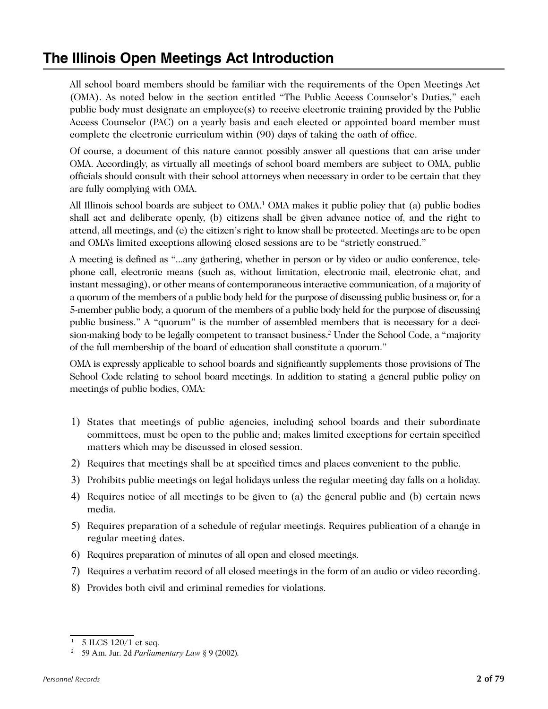# <span id="page-2-0"></span>**The Illinois Open Meetings Act Introduction**

All school board members should be familiar with the requirements of the Open Meetings Act (OMA). As noted below in the section entitled "The Public Access Counselor's Duties," each public body must designate an employee(s) to receive electronic training provided by the Public Access Counselor (PAC) on a yearly basis and each elected or appointed board member must complete the electronic curriculum within (90) days of taking the oath of office.

Of course, a document of this nature cannot possibly answer all questions that can arise under OMA. Accordingly, as virtually all meetings of school board members are subject to OMA, public officials should consult with their school attorneys when necessary in order to be certain that they are fully complying with OMA.

All Illinois school boards are subject to OMA.<sup>1</sup> OMA makes it public policy that (a) public bodies shall act and deliberate openly, (b) citizens shall be given advance notice of, and the right to attend, all meetings, and (c) the citizen's right to know shall be protected. Meetings are to be open and OMA's limited exceptions allowing closed sessions are to be "strictly construed."

A meeting is defined as "...any gathering, whether in person or by video or audio conference, telephone call, electronic means (such as, without limitation, electronic mail, electronic chat, and instant messaging), or other means of contemporaneous interactive communication, of a majority of a quorum of the members of a public body held for the purpose of discussing public business or, for a 5-member public body, a quorum of the members of a public body held for the purpose of discussing public business." A "quorum" is the number of assembled members that is necessary for a decision-making body to be legally competent to transact business.2 Under the School Code, a "majority of the full membership of the board of education shall constitute a quorum."

OMA is expressly applicable to school boards and significantly supplements those provisions of The School Code relating to school board meetings. In addition to stating a general public policy on meetings of public bodies, OMA:

- 1) States that meetings of public agencies, including school boards and their subordinate committees, must be open to the public and; makes limited exceptions for certain specified matters which may be discussed in closed session.
- 2) Requires that meetings shall be at specified times and places convenient to the public.
- 3) Prohibits public meetings on legal holidays unless the regular meeting day falls on a holiday.
- 4) Requires notice of all meetings to be given to (a) the general public and (b) certain news media.
- 5) Requires preparation of a schedule of regular meetings. Requires publication of a change in regular meeting dates.
- 6) Requires preparation of minutes of all open and closed meetings.
- 7) Requires a verbatim record of all closed meetings in the form of an audio or video recording.
- 8) Provides both civil and criminal remedies for violations.

 $1 \quad 5$  ILCS 120/1 et seq.

<sup>2 59</sup> Am. Jur. 2d *Parliamentary Law* § 9 (2002).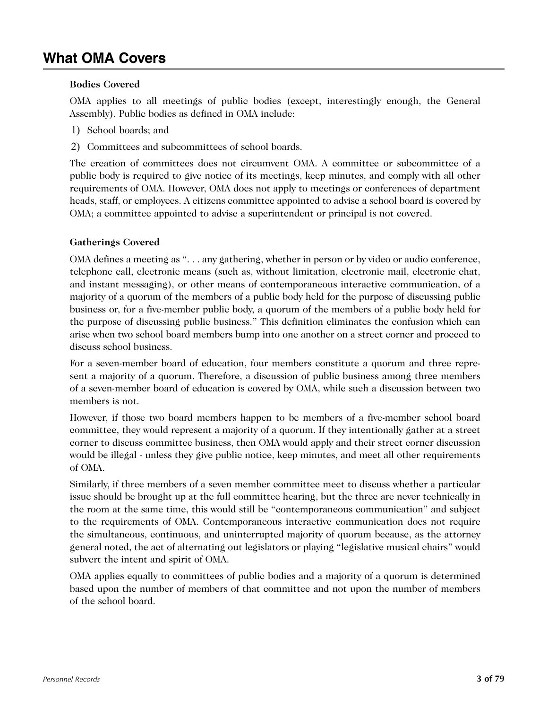# <span id="page-3-0"></span>**What OMA Covers**

#### **Bodies Covered**

OMA applies to all meetings of public bodies (except, interestingly enough, the General Assembly). Public bodies as defined in OMA include:

- 1) School boards; and
- 2) Committees and subcommittees of school boards.

The creation of committees does not circumvent OMA. A committee or subcommittee of a public body is required to give notice of its meetings, keep minutes, and comply with all other requirements of OMA. However, OMA does not apply to meetings or conferences of department heads, staff, or employees. A citizens committee appointed to advise a school board is covered by OMA; a committee appointed to advise a superintendent or principal is not covered.

#### **Gatherings Covered**

OMA defines a meeting as ". . . any gathering, whether in person or by video or audio conference, telephone call, electronic means (such as, without limitation, electronic mail, electronic chat, and instant messaging), or other means of contemporaneous interactive communication, of a majority of a quorum of the members of a public body held for the purpose of discussing public business or, for a five-member public body, a quorum of the members of a public body held for the purpose of discussing public business." This definition eliminates the confusion which can arise when two school board members bump into one another on a street corner and proceed to discuss school business.

For a seven-member board of education, four members constitute a quorum and three represent a majority of a quorum. Therefore, a discussion of public business among three members of a seven-member board of education is covered by OMA, while such a discussion between two members is not.

However, if those two board members happen to be members of a five-member school board committee, they would represent a majority of a quorum. If they intentionally gather at a street corner to discuss committee business, then OMA would apply and their street corner discussion would be illegal - unless they give public notice, keep minutes, and meet all other requirements of OMA.

Similarly, if three members of a seven member committee meet to discuss whether a particular issue should be brought up at the full committee hearing, but the three are never technically in the room at the same time, this would still be "contemporaneous communication" and subject to the requirements of OMA. Contemporaneous interactive communication does not require the simultaneous, continuous, and uninterrupted majority of quorum because, as the attorney general noted, the act of alternating out legislators or playing "legislative musical chairs" would subvert the intent and spirit of OMA.

OMA applies equally to committees of public bodies and a majority of a quorum is determined based upon the number of members of that committee and not upon the number of members of the school board.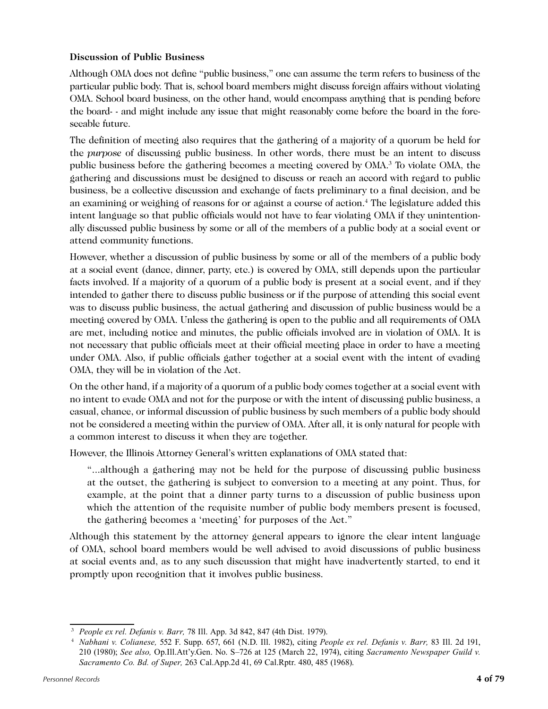#### <span id="page-4-0"></span>**Discussion of Public Business**

Although OMA does not define "public business," one can assume the term refers to business of the particular public body. That is, school board members might discuss foreign affairs without violating OMA. School board business, on the other hand, would encompass anything that is pending before the board- - and might include any issue that might reasonably come before the board in the foreseeable future.

The definition of meeting also requires that the gathering of a majority of a quorum be held for the *purpose* of discussing public business. In other words, there must be an intent to discuss public business before the gathering becomes a meeting covered by OMA.3 To violate OMA, the gathering and discussions must be designed to discuss or reach an accord with regard to public business, be a collective discussion and exchange of facts preliminary to a final decision, and be an examining or weighing of reasons for or against a course of action.4 The legislature added this intent language so that public officials would not have to fear violating OMA if they unintentionally discussed public business by some or all of the members of a public body at a social event or attend community functions.

However, whether a discussion of public business by some or all of the members of a public body at a social event (dance, dinner, party, etc.) is covered by OMA, still depends upon the particular facts involved. If a majority of a quorum of a public body is present at a social event, and if they intended to gather there to discuss public business or if the purpose of attending this social event was to discuss public business, the actual gathering and discussion of public business would be a meeting covered by OMA. Unless the gathering is open to the public and all requirements of OMA are met, including notice and minutes, the public officials involved are in violation of OMA. It is not necessary that public officials meet at their official meeting place in order to have a meeting under OMA. Also, if public officials gather together at a social event with the intent of evading OMA, they will be in violation of the Act.

On the other hand, if a majority of a quorum of a public body comes together at a social event with no intent to evade OMA and not for the purpose or with the intent of discussing public business, a casual, chance, or informal discussion of public business by such members of a public body should not be considered a meeting within the purview of OMA. After all, it is only natural for people with a common interest to discuss it when they are together.

However, the Illinois Attorney General's written explanations of OMA stated that:

"...although a gathering may not be held for the purpose of discussing public business at the outset, the gathering is subject to conversion to a meeting at any point. Thus, for example, at the point that a dinner party turns to a discussion of public business upon which the attention of the requisite number of public body members present is focused, the gathering becomes a 'meeting' for purposes of the Act."

Although this statement by the attorney general appears to ignore the clear intent language of OMA, school board members would be well advised to avoid discussions of public business at social events and, as to any such discussion that might have inadvertently started, to end it promptly upon recognition that it involves public business.

<sup>3</sup> *People ex rel. Defanis v. Barr,* 78 Ill. App. 3d 842, 847 (4th Dist. 1979).

<sup>4</sup> *Nabhani v. Colianese,* 552 F. Supp. 657, 661 (N.D. Ill. 1982), citing *People ex rel. Defanis v. Barr,* 83 Ill. 2d 191, 210 (1980); *See also,* Op.Ill.Att'y.Gen. No. S–726 at 125 (March 22, 1974), citing *[Sacramento Newspaper Guild v.](https://1.next.westlaw.com/Link/Document/FullText?findType=Y&serNum=1968111761&pubNum=227&originatingDoc=Ie7e9b346556911d9bf30d7fdf51b6bd4&refType=RP&fi=co_pp_sp_227_485&originationContext=document&transitionType=DocumentItem&contextData=(sc.RelatedInfo)#co_pp_sp_227_485)  Sacramento Co. Bd. of Super,* [263 Cal.App.2d 41, 69 Cal.Rptr. 480, 485 \(1968\)](https://1.next.westlaw.com/Link/Document/FullText?findType=Y&serNum=1968111761&pubNum=227&originatingDoc=Ie7e9b346556911d9bf30d7fdf51b6bd4&refType=RP&fi=co_pp_sp_227_485&originationContext=document&transitionType=DocumentItem&contextData=(sc.RelatedInfo)#co_pp_sp_227_485).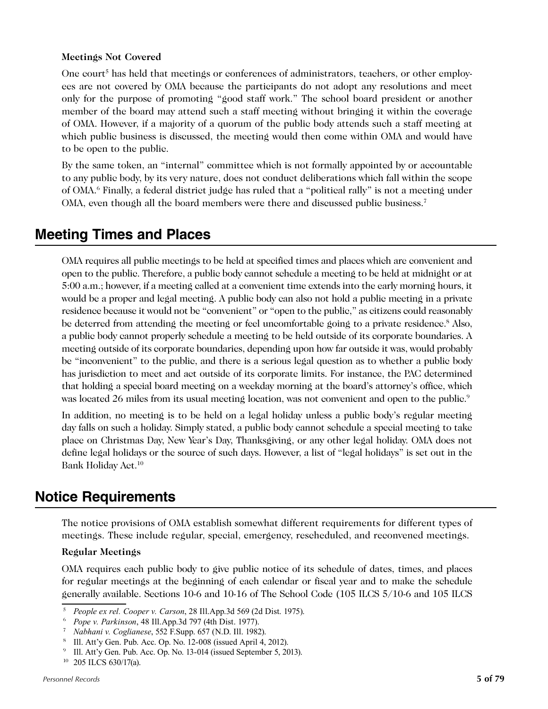#### <span id="page-5-0"></span>**Meetings Not Covered**

One court<sup>5</sup> has held that meetings or conferences of administrators, teachers, or other employees are not covered by OMA because the participants do not adopt any resolutions and meet only for the purpose of promoting "good staff work." The school board president or another member of the board may attend such a staff meeting without bringing it within the coverage of OMA. However, if a majority of a quorum of the public body attends such a staff meeting at which public business is discussed, the meeting would then come within OMA and would have to be open to the public.

By the same token, an "internal" committee which is not formally appointed by or accountable to any public body, by its very nature, does not conduct deliberations which fall within the scope of OMA.6 Finally, a federal district judge has ruled that a "political rally" is not a meeting under OMA, even though all the board members were there and discussed public business.7

## **Meeting Times and Places**

OMA requires all public meetings to be held at specified times and places which are convenient and open to the public. Therefore, a public body cannot schedule a meeting to be held at midnight or at 5:00 a.m.; however, if a meeting called at a convenient time extends into the early morning hours, it would be a proper and legal meeting. A public body can also not hold a public meeting in a private residence because it would not be "convenient" or "open to the public," as citizens could reasonably be deterred from attending the meeting or feel uncomfortable going to a private residence.<sup>8</sup> Also, a public body cannot properly schedule a meeting to be held outside of its corporate boundaries. A meeting outside of its corporate boundaries, depending upon how far outside it was, would probably be "inconvenient" to the public, and there is a serious legal question as to whether a public body has jurisdiction to meet and act outside of its corporate limits. For instance, the PAC determined that holding a special board meeting on a weekday morning at the board's attorney's office, which was located 26 miles from its usual meeting location, was not convenient and open to the public.<sup>9</sup>

In addition, no meeting is to be held on a legal holiday unless a public body's regular meeting day falls on such a holiday. Simply stated, a public body cannot schedule a special meeting to take place on Christmas Day, New Year's Day, Thanksgiving, or any other legal holiday. OMA does not define legal holidays or the source of such days. However, a list of "legal holidays" is set out in the Bank Holiday Act.<sup>10</sup>

## **Notice Requirements**

The notice provisions of OMA establish somewhat different requirements for different types of meetings. These include regular, special, emergency, rescheduled, and reconvened meetings.

#### **Regular Meetings**

OMA requires each public body to give public notice of its schedule of dates, times, and places for regular meetings at the beginning of each calendar or fiscal year and to make the schedule generally available. Sections 10-6 and 10-16 of The School Code (105 ILCS 5/10-6 and 105 ILCS

<sup>5</sup> *People ex rel. Cooper v. Carson*, 28 Ill.App.3d 569 (2d Dist. 1975).

<sup>6</sup> *Pope v. Parkinson*, 48 Ill.App.3d 797 (4th Dist. 1977).

<sup>7</sup> *Nabhani v. Coglianese*, 552 F.Supp. 657 (N.D. Ill. 1982).

<sup>&</sup>lt;sup>8</sup> Ill. Att'y Gen. Pub. Acc. Op. No.  $12{\text -}008$  (issued April 4, 2012).<br><sup>9</sup> Ill. Att'y Gen. Pub. Acc. Op. No. 13-014 (issued September 5, 20

<sup>9</sup> Ill. Att'y Gen. Pub. Acc. Op. No. 13-014 (issued September 5, 2013).

<sup>10</sup> 205 ILCS 630/17(a).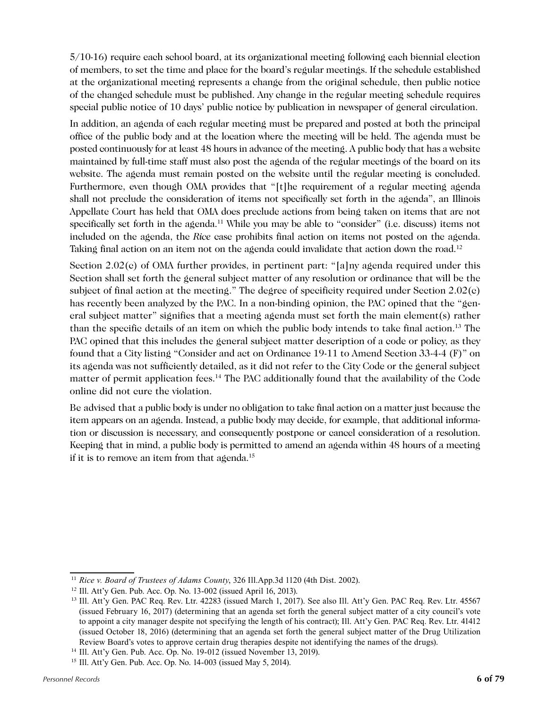5/10-16) require each school board, at its organizational meeting following each biennial election of members, to set the time and place for the board's regular meetings. If the schedule established at the organizational meeting represents a change from the original schedule, then public notice of the changed schedule must be published. Any change in the regular meeting schedule requires special public notice of 10 days' public notice by publication in newspaper of general circulation.

In addition, an agenda of each regular meeting must be prepared and posted at both the principal office of the public body and at the location where the meeting will be held. The agenda must be posted continuously for at least 48 hours in advance of the meeting. A public body that has a website maintained by full-time staff must also post the agenda of the regular meetings of the board on its website. The agenda must remain posted on the website until the regular meeting is concluded. Furthermore, even though OMA provides that "[t]he requirement of a regular meeting agenda shall not preclude the consideration of items not specifically set forth in the agenda", an Illinois Appellate Court has held that OMA does preclude actions from being taken on items that are not specifically set forth in the agenda.<sup>11</sup> While you may be able to "consider" (i.e. discuss) items not included on the agenda, the *Rice* case prohibits final action on items not posted on the agenda. Taking final action on an item not on the agenda could invalidate that action down the road.<sup>12</sup>

Section 2.02(c) of OMA further provides, in pertinent part: "[a]ny agenda required under this Section shall set forth the general subject matter of any resolution or ordinance that will be the subject of final action at the meeting." The degree of specificity required under Section 2.02(c) has recently been analyzed by the PAC. In a non-binding opinion, the PAC opined that the "general subject matter" signifies that a meeting agenda must set forth the main element(s) rather than the specific details of an item on which the public body intends to take final action.13 The PAC opined that this includes the general subject matter description of a code or policy, as they found that a City listing "Consider and act on Ordinance 19-11 to Amend Section 33-4-4 (F)" on its agenda was not sufficiently detailed, as it did not refer to the City Code or the general subject matter of permit application fees.<sup>14</sup> The PAC additionally found that the availability of the Code online did not cure the violation.

Be advised that a public body is under no obligation to take final action on a matter just because the item appears on an agenda. Instead, a public body may decide, for example, that additional information or discussion is necessary, and consequently postpone or cancel consideration of a resolution. Keeping that in mind, a public body is permitted to amend an agenda within 48 hours of a meeting if it is to remove an item from that agenda.<sup>15</sup>

<sup>11</sup> *Rice v. Board of Trustees of Adams County*, 326 Ill.App.3d 1120 (4th Dist. 2002).

 $12$  Ill. Att'y Gen. Pub. Acc. Op. No. 13-002 (issued April 16, 2013).

<sup>&</sup>lt;sup>13</sup> Ill. Att'y Gen. PAC Req. Rev. Ltr. 42283 (issued March 1, 2017). See also Ill. Att'y Gen. PAC Req. Rev. Ltr. 45567 (issued February 16, 2017) (determining that an agenda set forth the general subject matter of a city council's vote to appoint a city manager despite not specifying the length of his contract); Ill. Att'y Gen. PAC Req. Rev. Ltr. 41412 (issued October 18, 2016) (determining that an agenda set forth the general subject matter of the Drug Utilization Review Board's votes to approve certain drug therapies despite not identifying the names of the drugs).

<sup>14</sup> Ill. Att'y Gen. Pub. Acc. Op. No. 19-012 (issued November 13, 2019).

<sup>15</sup> Ill. Att'y Gen. Pub. Acc. Op. No. 14-003 (issued May 5, 2014).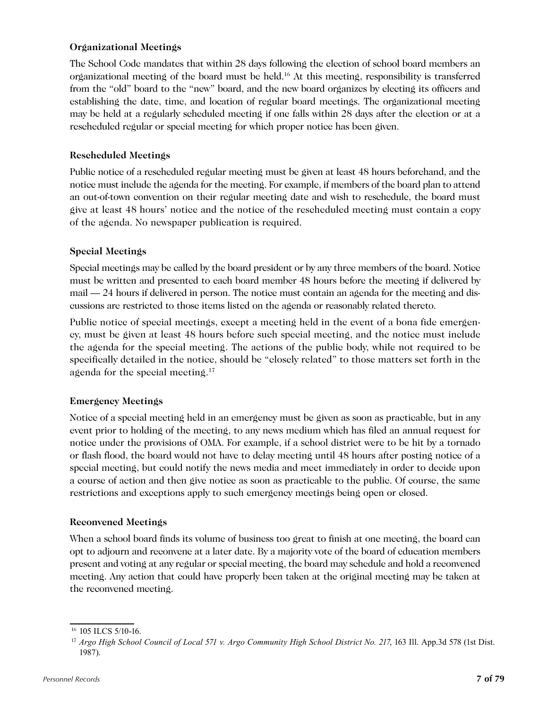#### <span id="page-7-0"></span>**Organizational Meetings**

The School Code mandates that within 28 days following the election of school board members an organizational meeting of the board must be held.16 At this meeting, responsibility is transferred from the "old" board to the "new" board, and the new board organizes by electing its officers and establishing the date, time, and location of regular board meetings. The organizational meeting may be held at a regularly scheduled meeting if one falls within 28 days after the election or at a rescheduled regular or special meeting for which proper notice has been given.

#### **Rescheduled Meetings**

Public notice of a rescheduled regular meeting must be given at least 48 hours beforehand, and the notice must include the agenda for the meeting. For example, if members of the board plan to attend an out-of-town convention on their regular meeting date and wish to reschedule, the board must give at least 48 hours' notice and the notice of the rescheduled meeting must contain a copy of the agenda. No newspaper publication is required.

#### **Special Meetings**

Special meetings may be called by the board president or by any three members of the board. Notice must be written and presented to each board member 48 hours before the meeting if delivered by  $mail - 24$  hours if delivered in person. The notice must contain an agenda for the meeting and discussions are restricted to those items listed on the agenda or reasonably related thereto.

Public notice of special meetings, except a meeting held in the event of a bona fide emergency, must be given at least 48 hours before such special meeting, and the notice must include the agenda for the special meeting. The actions of the public body, while not required to be specifically detailed in the notice, should be "closely related" to those matters set forth in the agenda for the special meeting.17

#### **Emergency Meetings**

Notice of a special meeting held in an emergency must be given as soon as practicable, but in any event prior to holding of the meeting, to any news medium which has filed an annual request for notice under the provisions of OMA. For example, if a school district were to be hit by a tornado or flash flood, the board would not have to delay meeting until 48 hours after posting notice of a special meeting, but could notify the news media and meet immediately in order to decide upon a course of action and then give notice as soon as practicable to the public. Of course, the same restrictions and exceptions apply to such emergency meetings being open or closed.

#### **Reconvened Meetings**

When a school board finds its volume of business too great to finish at one meeting, the board can opt to adjourn and reconvene at a later date. By a majority vote of the board of education members present and voting at any regular or special meeting, the board may schedule and hold a reconvened meeting. Any action that could have properly been taken at the original meeting may be taken at the reconvened meeting.

<sup>&</sup>lt;sup>16</sup> 105 ILCS 5/10-16.

<sup>17</sup> *Argo High School Council of Local 571 v. Argo Community High School District No. 217*, 163 Ill. App.3d 578 (1st Dist. 1987).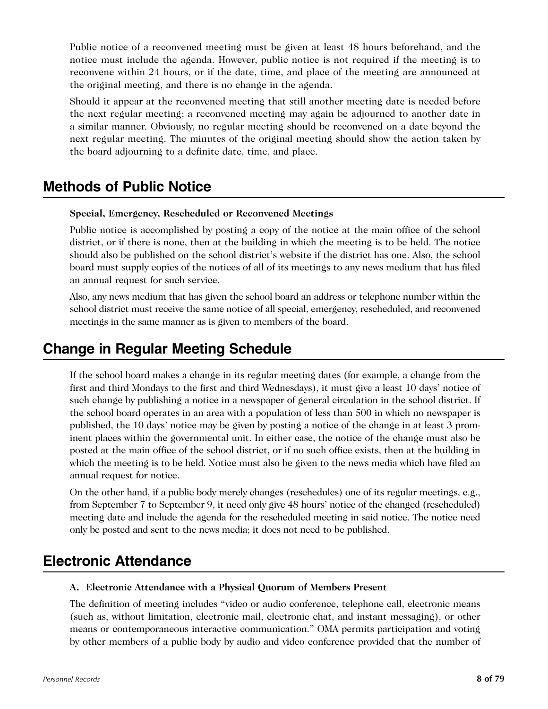<span id="page-8-0"></span>Public notice of a reconvened meeting must be given at least 48 hours beforehand, and the notice must include the agenda. However, public notice is not required if the meeting is to reconvene within 24 hours, or if the date, time, and place of the meeting are announced at the original meeting, and there is no change in the agenda.

Should it appear at the reconvened meeting that still another meeting date is needed before the next regular meeting; a reconvened meeting may again be adjourned to another date in a similar manner. Obviously, no regular meeting should be reconvened on a date beyond the next regular meeting. The minutes of the original meeting should show the action taken by the board adjourning to a definite date, time, and place.

# **Methods of Public Notice**

#### **Special, Emergency, Rescheduled or Reconvened Meetings**

Public notice is accomplished by posting a copy of the notice at the main office of the school district, or if there is none, then at the building in which the meeting is to be held. The notice should also be published on the school district's website if the district has one. Also, the school board must supply copies of the notices of all of its meetings to any news medium that has filed an annual request for such service.

Also, any news medium that has given the school board an address or telephone number within the school district must receive the same notice of all special, emergency, rescheduled, and reconvened meetings in the same manner as is given to members of the board.

# **Change in Regular Meeting Schedule**

If the school board makes a change in its regular meeting dates (for example, a change from the first and third Mondays to the first and third Wednesdays), it must give a least 10 days' notice of such change by publishing a notice in a newspaper of general circulation in the school district. If the school board operates in an area with a population of less than 500 in which no newspaper is published, the 10 days' notice may be given by posting a notice of the change in at least 3 prominent places within the governmental unit. In either case, the notice of the change must also be posted at the main office of the school district, or if no such office exists, then at the building in which the meeting is to be held. Notice must also be given to the news media which have filed an annual request for notice.

On the other hand, if a public body merely changes (reschedules) one of its regular meetings, e.g., from September 7 to September 9, it need only give 48 hours' notice of the changed (rescheduled) meeting date and include the agenda for the rescheduled meeting in said notice. The notice need only be posted and sent to the news media; it does not need to be published.

# **Electronic Attendance**

#### **A. Electronic Attendance with a Physical Quorum of Members Present**

The definition of meeting includes "video or audio conference, telephone call, electronic means (such as, without limitation, electronic mail, electronic chat, and instant messaging), or other means or contemporaneous interactive communication." OMA permits participation and voting by other members of a public body by audio and video conference provided that the number of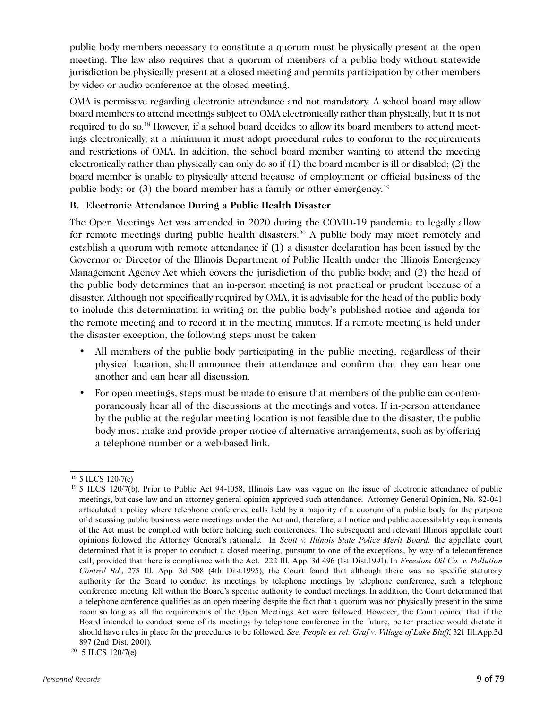public body members necessary to constitute a quorum must be physically present at the open meeting. The law also requires that a quorum of members of a public body without statewide jurisdiction be physically present at a closed meeting and permits participation by other members by video or audio conference at the closed meeting.

OMA is permissive regarding electronic attendance and not mandatory. A school board may allow board members to attend meetings subject to OMA electronically rather than physically, but it is not required to do so.18 However, if a school board decides to allow its board members to attend meetings electronically, at a minimum it must adopt procedural rules to conform to the requirements and restrictions of OMA. In addition, the school board member wanting to attend the meeting electronically rather than physically can only do so if (1) the board member is ill or disabled; (2) the board member is unable to physically attend because of employment or official business of the public body; or (3) the board member has a family or other emergency.19

#### **B. Electronic Attendance During a Public Health Disaster**

The Open Meetings Act was amended in 2020 during the COVID-19 pandemic to legally allow for remote meetings during public health disasters.20 A public body may meet remotely and establish a quorum with remote attendance if (1) a disaster declaration has been issued by the Governor or Director of the Illinois Department of Public Health under the Illinois Emergency Management Agency Act which covers the jurisdiction of the public body; and (2) the head of the public body determines that an in-person meeting is not practical or prudent because of a disaster. Although not specifically required by OMA, it is advisable for the head of the public body to include this determination in writing on the public body's published notice and agenda for the remote meeting and to record it in the meeting minutes. If a remote meeting is held under the disaster exception, the following steps must be taken:

- All members of the public body participating in the public meeting, regardless of their physical location, shall announce their attendance and confirm that they can hear one another and can hear all discussion.
- For open meetings, steps must be made to ensure that members of the public can contemporaneously hear all of the discussions at the meetings and votes. If in-person attendance by the public at the regular meeting location is not feasible due to the disaster, the public body must make and provide proper notice of alternative arrangements, such as by offering a telephone number or a web-based link.

<sup>18</sup> 5 ILCS 120/7(c)

 $195$  ILCS 120/7(b). Prior to Public Act 94-1058, Illinois Law was vague on the issue of electronic attendance of public meetings, but case law and an attorney general opinion approved such attendance. Attorney General Opinion, No. 82-041 articulated a policy where telephone conference calls held by a majority of a quorum of a public body for the purpose of discussing public business were meetings under the Act and, therefore, all notice and public accessibility requirements of the Act must be complied with before holding such conferences. The subsequent and relevant Illinois appellate court opinions followed the Attorney General's rationale. In *Scott v. Illinois State Police Merit Board,* the appellate court determined that it is proper to conduct a closed meeting, pursuant to one of the exceptions, by way of a teleconference call, provided that there is compliance with the Act. 222 Ill. App. 3d 496 (1st Dist.1991). In *Freedom Oil Co. v. Pollution Control Bd*., 275 Ill. App. 3d 508 (4th Dist.1995), the Court found that although there was no specific statutory authority for the Board to conduct its meetings by telephone meetings by telephone conference, such a telephone conference meeting fell within the Board's specific authority to conduct meetings. In addition, the Court determined that a telephone conference qualifies as an open meeting despite the fact that a quorum was not physically present in the same room so long as all the requirements of the Open Meetings Act were followed. However, the Court opined that if the Board intended to conduct some of its meetings by telephone conference in the future, better practice would dictate it should have rules in place for the procedures to be followed. *See*, *People ex rel. Graf v. Village of Lake Bluff*, 321 Ill.App.3d 897 (2nd Dist. 2001).

 $20\,$  5 ILCS 120/7(e)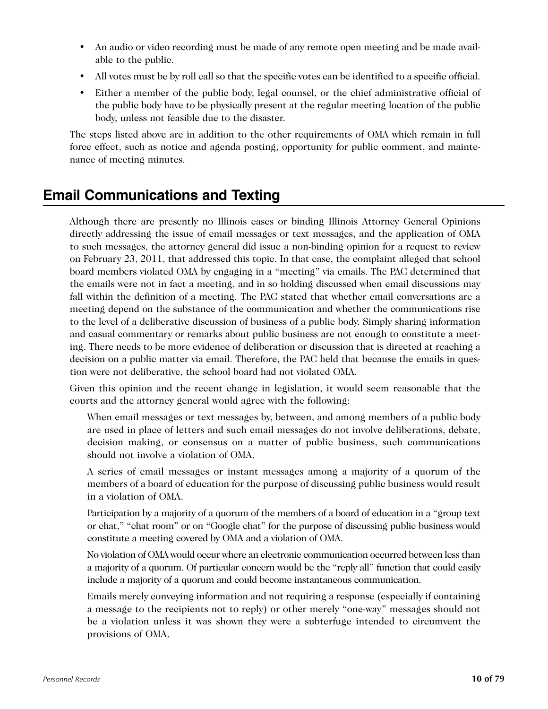- <span id="page-10-0"></span>• An audio or video recording must be made of any remote open meeting and be made available to the public.
- All votes must be by roll call so that the specific votes can be identified to a specific official.
- Either a member of the public body, legal counsel, or the chief administrative official of the public body have to be physically present at the regular meeting location of the public body, unless not feasible due to the disaster.

The steps listed above are in addition to the other requirements of OMA which remain in full force effect, such as notice and agenda posting, opportunity for public comment, and maintenance of meeting minutes.

# **Email Communications and Texting**

Although there are presently no Illinois cases or binding Illinois Attorney General Opinions directly addressing the issue of email messages or text messages, and the application of OMA to such messages, the attorney general did issue a non-binding opinion for a request to review on February 23, 2011, that addressed this topic. In that case, the complaint alleged that school board members violated OMA by engaging in a "meeting" via emails. The PAC determined that the emails were not in fact a meeting, and in so holding discussed when email discussions may fall within the definition of a meeting. The PAC stated that whether email conversations are a meeting depend on the substance of the communication and whether the communications rise to the level of a deliberative discussion of business of a public body. Simply sharing information and casual commentary or remarks about public business are not enough to constitute a meeting. There needs to be more evidence of deliberation or discussion that is directed at reaching a decision on a public matter via email. Therefore, the PAC held that because the emails in question were not deliberative, the school board had not violated OMA.

Given this opinion and the recent change in legislation, it would seem reasonable that the courts and the attorney general would agree with the following:

When email messages or text messages by, between, and among members of a public body are used in place of letters and such email messages do not involve deliberations, debate, decision making, or consensus on a matter of public business, such communications should not involve a violation of OMA.

A series of email messages or instant messages among a majority of a quorum of the members of a board of education for the purpose of discussing public business would result in a violation of OMA.

Participation by a majority of a quorum of the members of a board of education in a "group text or chat," "chat room" or on "Google chat" for the purpose of discussing public business would constitute a meeting covered by OMA and a violation of OMA.

No violation of OMA would occur where an electronic communication occurred between less than a majority of a quorum. Of particular concern would be the "reply all" function that could easily include a majority of a quorum and could become instantaneous communication.

Emails merely conveying information and not requiring a response (especially if containing a message to the recipients not to reply) or other merely "one-way" messages should not be a violation unless it was shown they were a subterfuge intended to circumvent the provisions of OMA.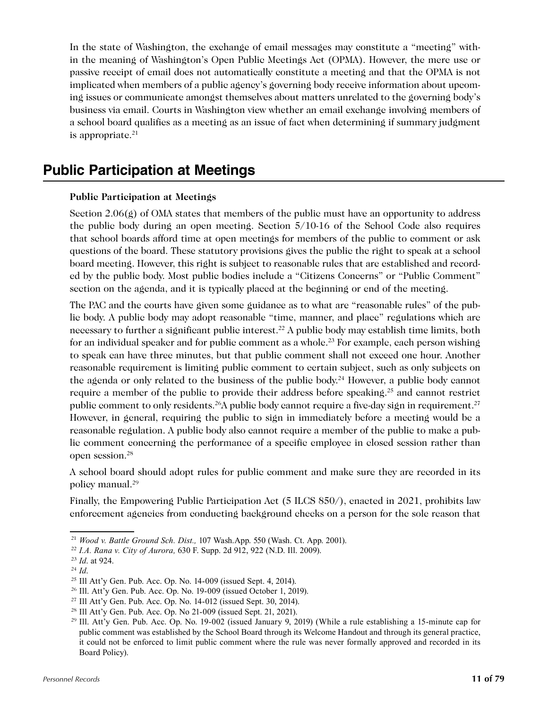<span id="page-11-0"></span>In the state of Washington, the exchange of email messages may constitute a "meeting" within the meaning of Washington's Open Public Meetings Act (OPMA). However, the mere use or passive receipt of email does not automatically constitute a meeting and that the OPMA is not implicated when members of a public agency's governing body receive information about upcoming issues or communicate amongst themselves about matters unrelated to the governing body's business via email. Courts in Washington view whether an email exchange involving members of a school board qualifies as a meeting as an issue of fact when determining if summary judgment is appropriate. $21$ 

## **Public Participation at Meetings**

#### **Public Participation at Meetings**

Section  $2.06(\hat{g})$  of OMA states that members of the public must have an opportunity to address the public body during an open meeting. Section 5/10-16 of the School Code also requires that school boards afford time at open meetings for members of the public to comment or ask questions of the board. These statutory provisions gives the public the right to speak at a school board meeting. However, this right is subject to reasonable rules that are established and recorded by the public body. Most public bodies include a "Citizens Concerns" or "Public Comment" section on the agenda, and it is typically placed at the beginning or end of the meeting.

The PAC and the courts have given some guidance as to what are "reasonable rules" of the public body. A public body may adopt reasonable "time, manner, and place" regulations which are necessary to further a significant public interest.<sup>22</sup> A public body may establish time limits, both for an individual speaker and for public comment as a whole.<sup>23</sup> For example, each person wishing to speak can have three minutes, but that public comment shall not exceed one hour. Another reasonable requirement is limiting public comment to certain subject, such as only subjects on the agenda or only related to the business of the public body.24 However, a public body cannot require a member of the public to provide their address before speaking.<sup>25</sup> and cannot restrict public comment to only residents.<sup>26</sup>A public body cannot require a five-day sign in requirement.<sup>27</sup> However, in general, requiring the public to sign in immediately before a meeting would be a reasonable regulation. A public body also cannot require a member of the public to make a public comment concerning the performance of a specific employee in closed session rather than open session.28

A school board should adopt rules for public comment and make sure they are recorded in its policy manual.29

Finally, the Empowering Public Participation Act (5 ILCS 850/), enacted in 2021, prohibits law enforcement agencies from conducting background checks on a person for the sole reason that

<sup>21</sup> *Wood v. Battle Ground Sch. Dist.,* 107 Wash.App. 550 (Wash. Ct. App. 2001).

<sup>22</sup> *I.A. Rana v. City of Aurora,* 630 F. Supp. 2d 912, 922 (N.D. Ill. 2009).

<sup>23</sup> *Id*. at 924.

<sup>24</sup> *Id*.

<sup>25</sup> Ill Att'y Gen. Pub. Acc. Op. No. 14-009 (issued Sept. 4, 2014).

<sup>&</sup>lt;sup>26</sup> Ill. Att'y Gen. Pub. Acc. Op. No. 19-009 (issued October 1, 2019).

<sup>27</sup> Ill Att'y Gen. Pub. Acc. Op. No. 14-012 (issued Sept. 30, 2014).

<sup>28</sup> Ill Att'y Gen. Pub. Acc. Op. No 21-009 (issued Sept. 21, 2021).

 $^{29}$  Ill. Att'y Gen. Pub. Acc. Op. No. 19-002 (issued January 9, 2019) (While a rule establishing a 15-minute cap for public comment was established by the School Board through its Welcome Handout and through its general practice, it could not be enforced to limit public comment where the rule was never formally approved and recorded in its Board Policy).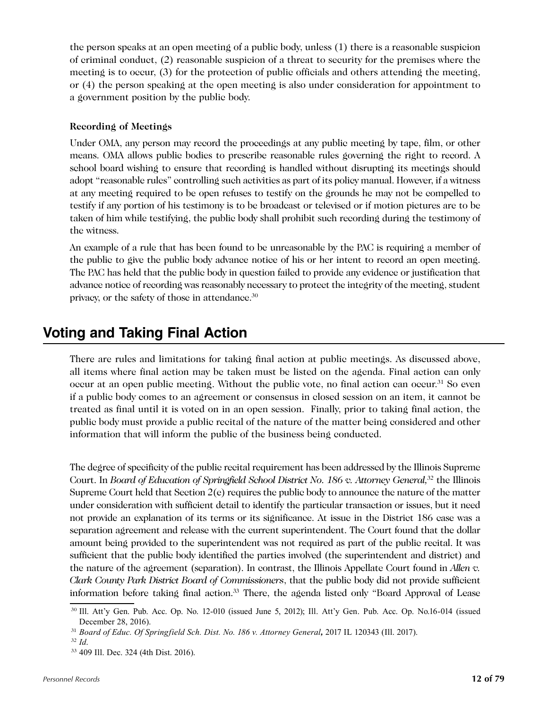<span id="page-12-0"></span>the person speaks at an open meeting of a public body, unless (1) there is a reasonable suspicion of criminal conduct, (2) reasonable suspicion of a threat to security for the premises where the meeting is to occur, (3) for the protection of public officials and others attending the meeting, or (4) the person speaking at the open meeting is also under consideration for appointment to a government position by the public body.

#### **Recording of Meetings**

Under OMA, any person may record the proceedings at any public meeting by tape, film, or other means. OMA allows public bodies to prescribe reasonable rules governing the right to record. A school board wishing to ensure that recording is handled without disrupting its meetings should adopt "reasonable rules" controlling such activities as part of its policy manual. However, if a witness at any meeting required to be open refuses to testify on the grounds he may not be compelled to testify if any portion of his testimony is to be broadcast or televised or if motion pictures are to be taken of him while testifying, the public body shall prohibit such recording during the testimony of the witness.

An example of a rule that has been found to be unreasonable by the PAC is requiring a member of the public to give the public body advance notice of his or her intent to record an open meeting. The PAC has held that the public body in question failed to provide any evidence or justification that advance notice of recording was reasonably necessary to protect the integrity of the meeting, student privacy, or the safety of those in attendance.30

## **Voting and Taking Final Action**

There are rules and limitations for taking final action at public meetings. As discussed above, all items where final action may be taken must be listed on the agenda. Final action can only occur at an open public meeting. Without the public vote, no final action can occur.<sup>31</sup> So even if a public body comes to an agreement or consensus in closed session on an item, it cannot be treated as final until it is voted on in an open session. Finally, prior to taking final action, the public body must provide a public recital of the nature of the matter being considered and other information that will inform the public of the business being conducted.

The degree of specificity of the public recital requirement has been addressed by the Illinois Supreme Court. In *Board of Education of Springfield School District No. 186 v. Attorney General*,<sup>32</sup> the Illinois Supreme Court held that Section 2(e) requires the public body to announce the nature of the matter under consideration with sufficient detail to identify the particular transaction or issues, but it need not provide an explanation of its terms or its significance. At issue in the District 186 case was a separation agreement and release with the current superintendent. The Court found that the dollar amount being provided to the superintendent was not required as part of the public recital. It was sufficient that the public body identified the parties involved (the superintendent and district) and the nature of the agreement (separation). In contrast, the Illinois Appellate Court found in *Allen v. Clark County Park District Board of Commissioners*, that the public body did not provide sufficient information before taking final action.<sup>33</sup> There, the agenda listed only "Board Approval of Lease

<sup>30</sup> Ill. Att'y Gen. Pub. Acc. Op. No. 12-010 (issued June 5, 2012); Ill. Att'y Gen. Pub. Acc. Op. No.16-014 (issued December 28, 2016).

<sup>31</sup> *Board of Educ. Of Springfield Sch. Dist. No. 186 v. Attorney General,* 2017 IL 120343 (Ill. 2017).

<sup>32</sup> *Id*.

<sup>33</sup> 409 Ill. Dec. 324 (4th Dist. 2016).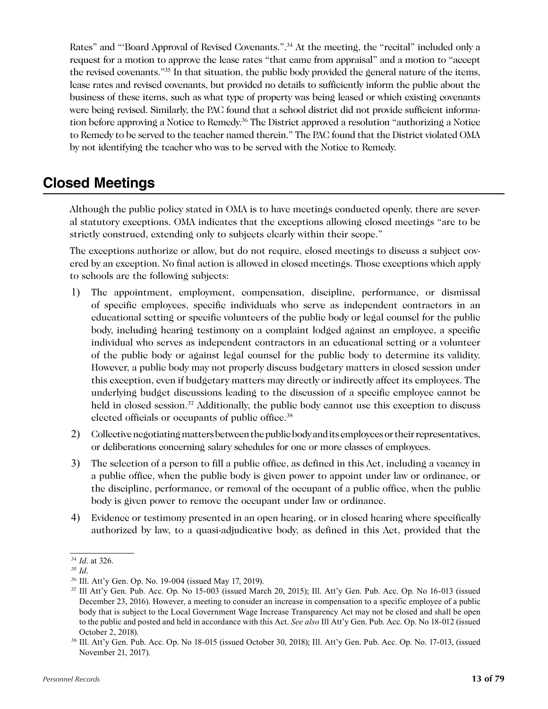<span id="page-13-0"></span>Rates" and "'Board Approval of Revised Covenants.".<sup>34</sup> At the meeting, the "recital" included only a request for a motion to approve the lease rates "that came from appraisal" and a motion to "accept the revised covenants."35 In that situation, the public body provided the general nature of the items, lease rates and revised covenants, but provided no details to sufficiently inform the public about the business of these items, such as what type of property was being leased or which existing covenants were being revised. Similarly, the PAC found that a school district did not provide sufficient information before approving a Notice to Remedy.36 The District approved a resolution "authorizing a Notice to Remedy to be served to the teacher named therein." The PAC found that the District violated OMA by not identifying the teacher who was to be served with the Notice to Remedy.

## **Closed Meetings**

Although the public policy stated in OMA is to have meetings conducted openly, there are several statutory exceptions. OMA indicates that the exceptions allowing closed meetings "are to be strictly construed, extending only to subjects clearly within their scope."

The exceptions authorize or allow, but do not require, closed meetings to discuss a subject covered by an exception. No final action is allowed in closed meetings. Those exceptions which apply to schools are the following subjects:

- 1) The appointment, employment, compensation, discipline, performance, or dismissal of specific employees, specific individuals who serve as independent contractors in an educational setting or specific volunteers of the public body or legal counsel for the public body, including hearing testimony on a complaint lodged against an employee, a specific individual who serves as independent contractors in an educational setting or a volunteer of the public body or against legal counsel for the public body to determine its validity. However, a public body may not properly discuss budgetary matters in closed session under this exception, even if budgetary matters may directly or indirectly affect its employees. The underlying budget discussions leading to the discussion of a specific employee cannot be held in closed session.<sup>37</sup> Additionally, the public body cannot use this exception to discuss elected officials or occupants of public office.<sup>38</sup>
- 2) Collective negotiating matters between the public body and its employees or their representatives, or deliberations concerning salary schedules for one or more classes of employees.
- 3) The selection of a person to fill a public office, as defined in this Act, including a vacancy in a public office, when the public body is given power to appoint under law or ordinance, or the discipline, performance, or removal of the occupant of a public office, when the public body is given power to remove the occupant under law or ordinance.
- 4) Evidence or testimony presented in an open hearing, or in closed hearing where specifically authorized by law, to a quasi-adjudicative body, as defined in this Act, provided that the

<sup>34</sup> *Id*. at 326.

<sup>35</sup> *Id*.

<sup>36</sup> Ill. Att'y Gen. Op. No. 19-004 (issued May 17, 2019).

<sup>37</sup> Ill Att'y Gen. Pub. Acc. Op. No 15-003 (issued March 20, 2015); Ill. Att'y Gen. Pub. Acc. Op. No 16-013 (issued December 23, 2016). However, a meeting to consider an increase in compensation to a specific employee of a public body that is subject to the Local Government Wage Increase Transparency Act may not be closed and shall be open to the public and posted and held in accordance with this Act. *See also* Ill Att'y Gen. Pub. Acc. Op. No 18-012 (issued October 2, 2018).

<sup>38</sup> Ill. Att'y Gen. Pub. Acc. Op. No 18-015 (issued October 30, 2018); Ill. Att'y Gen. Pub. Acc. Op. No. 17-013, (issued November 21, 2017).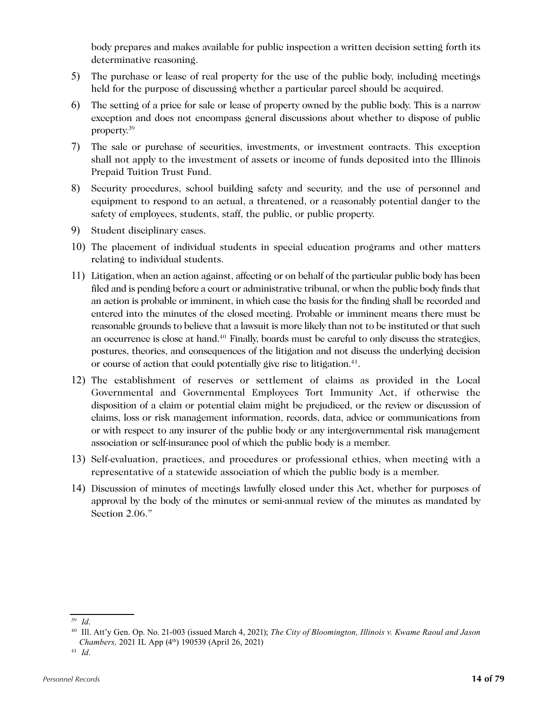body prepares and makes available for public inspection a written decision setting forth its determinative reasoning.

- 5) The purchase or lease of real property for the use of the public body, including meetings held for the purpose of discussing whether a particular parcel should be acquired.
- 6) The setting of a price for sale or lease of property owned by the public body. This is a narrow exception and does not encompass general discussions about whether to dispose of public property.39
- 7) The sale or purchase of securities, investments, or investment contracts. This exception shall not apply to the investment of assets or income of funds deposited into the Illinois Prepaid Tuition Trust Fund.
- 8) Security procedures, school building safety and security, and the use of personnel and equipment to respond to an actual, a threatened, or a reasonably potential danger to the safety of employees, students, staff, the public, or public property.
- 9) Student disciplinary cases.
- 10) The placement of individual students in special education programs and other matters relating to individual students.
- 11) Litigation, when an action against, affecting or on behalf of the particular public body has been filed and is pending before a court or administrative tribunal, or when the public body finds that an action is probable or imminent, in which case the basis for the finding shall be recorded and entered into the minutes of the closed meeting. Probable or imminent means there must be reasonable grounds to believe that a lawsuit is more likely than not to be instituted or that such an occurrence is close at hand.40 Finally, boards must be careful to only discuss the strategies, postures, theories, and consequences of the litigation and not discuss the underlying decision or course of action that could potentially give rise to litigation.<sup>41</sup>.
- 12) The establishment of reserves or settlement of claims as provided in the Local Governmental and Governmental Employees Tort Immunity Act, if otherwise the disposition of a claim or potential claim might be prejudiced, or the review or discussion of claims, loss or risk management information, records, data, advice or communications from or with respect to any insurer of the public body or any intergovernmental risk management association or self-insurance pool of which the public body is a member.
- 13) Self-evaluation, practices, and procedures or professional ethics, when meeting with a representative of a statewide association of which the public body is a member.
- 14) Discussion of minutes of meetings lawfully closed under this Act, whether for purposes of approval by the body of the minutes or semi-annual review of the minutes as mandated by Section 2.06."

<sup>39</sup> *Id*.

<sup>40</sup> Ill. Att'y Gen. Op. No. 21-003 (issued March 4, 2021); *The City of Bloomington, Illinois v. Kwame Raoul and Jason Chambers,* 2021 IL App (4<sup>th</sup>) 190539 (April 26, 2021)

<sup>41</sup> *Id*.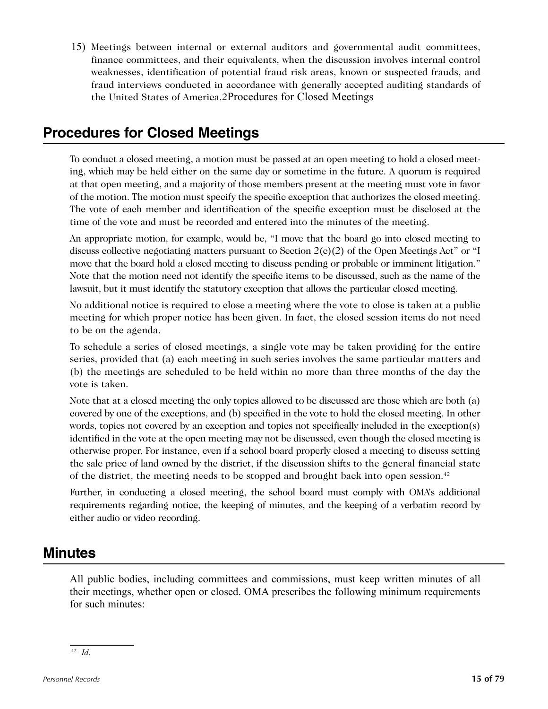<span id="page-15-0"></span>15) Meetings between internal or external auditors and governmental audit committees, finance committees, and their equivalents, when the discussion involves internal control weaknesses, identification of potential fraud risk areas, known or suspected frauds, and fraud interviews conducted in accordance with generally accepted auditing standards of the United States of America.2Procedures for Closed Meetings

## **Procedures for Closed Meetings**

To conduct a closed meeting, a motion must be passed at an open meeting to hold a closed meeting, which may be held either on the same day or sometime in the future. A quorum is required at that open meeting, and a majority of those members present at the meeting must vote in favor of the motion. The motion must specify the specific exception that authorizes the closed meeting. The vote of each member and identification of the specific exception must be disclosed at the time of the vote and must be recorded and entered into the minutes of the meeting.

An appropriate motion, for example, would be, "I move that the board go into closed meeting to discuss collective negotiating matters pursuant to Section 2(c)(2) of the Open Meetings Act" or "I move that the board hold a closed meeting to discuss pending or probable or imminent litigation." Note that the motion need not identify the specific items to be discussed, such as the name of the lawsuit, but it must identify the statutory exception that allows the particular closed meeting.

No additional notice is required to close a meeting where the vote to close is taken at a public meeting for which proper notice has been given. In fact, the closed session items do not need to be on the agenda.

To schedule a series of closed meetings, a single vote may be taken providing for the entire series, provided that (a) each meeting in such series involves the same particular matters and (b) the meetings are scheduled to be held within no more than three months of the day the vote is taken.

Note that at a closed meeting the only topics allowed to be discussed are those which are both (a) covered by one of the exceptions, and (b) specified in the vote to hold the closed meeting. In other words, topics not covered by an exception and topics not specifically included in the exception(s) identified in the vote at the open meeting may not be discussed, even though the closed meeting is otherwise proper. For instance, even if a school board properly closed a meeting to discuss setting the sale price of land owned by the district, if the discussion shifts to the general financial state of the district, the meeting needs to be stopped and brought back into open session.<sup>42</sup>

Further, in conducting a closed meeting, the school board must comply with OMA's additional requirements regarding notice, the keeping of minutes, and the keeping of a verbatim record by either audio or video recording.

## **Minutes**

All public bodies, including committees and commissions, must keep written minutes of all their meetings, whether open or closed. OMA prescribes the following minimum requirements for such minutes: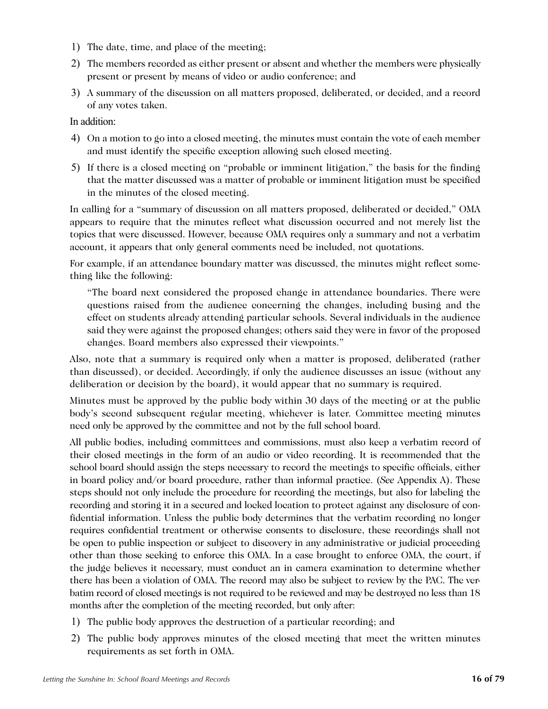- 1) The date, time, and place of the meeting;
- 2) The members recorded as either present or absent and whether the members were physically present or present by means of video or audio conference; and
- 3) A summary of the discussion on all matters proposed, deliberated, or decided, and a record of any votes taken.

In addition:

- 4) On a motion to go into a closed meeting, the minutes must contain the vote of each member and must identify the specific exception allowing such closed meeting.
- 5) If there is a closed meeting on "probable or imminent litigation," the basis for the finding that the matter discussed was a matter of probable or imminent litigation must be specified in the minutes of the closed meeting.

In calling for a "summary of discussion on all matters proposed, deliberated or decided," OMA appears to require that the minutes reflect what discussion occurred and not merely list the topics that were discussed. However, because OMA requires only a summary and not a verbatim account, it appears that only general comments need be included, not quotations.

For example, if an attendance boundary matter was discussed, the minutes might reflect something like the following:

"The board next considered the proposed change in attendance boundaries. There were questions raised from the audience concerning the changes, including busing and the effect on students already attending particular schools. Several individuals in the audience said they were against the proposed changes; others said they were in favor of the proposed changes. Board members also expressed their viewpoints."

Also, note that a summary is required only when a matter is proposed, deliberated (rather than discussed), or decided. Accordingly, if only the audience discusses an issue (without any deliberation or decision by the board), it would appear that no summary is required.

Minutes must be approved by the public body within 30 days of the meeting or at the public body's second subsequent regular meeting, whichever is later. Committee meeting minutes need only be approved by the committee and not by the full school board.

All public bodies, including committees and commissions, must also keep a verbatim record of their closed meetings in the form of an audio or video recording. It is recommended that the school board should assign the steps necessary to record the meetings to specific officials, either in board policy and/or board procedure, rather than informal practice. (*See* Appendix A). These steps should not only include the procedure for recording the meetings, but also for labeling the recording and storing it in a secured and locked location to protect against any disclosure of confidential information. Unless the public body determines that the verbatim recording no longer requires confidential treatment or otherwise consents to disclosure, these recordings shall not be open to public inspection or subject to discovery in any administrative or judicial proceeding other than those seeking to enforce this OMA. In a case brought to enforce OMA, the court, if the judge believes it necessary, must conduct an in camera examination to determine whether there has been a violation of OMA. The record may also be subject to review by the PAC. The verbatim record of closed meetings is not required to be reviewed and may be destroyed no less than 18 months after the completion of the meeting recorded, but only after:

- 1) The public body approves the destruction of a particular recording; and
- 2) The public body approves minutes of the closed meeting that meet the written minutes requirements as set forth in OMA.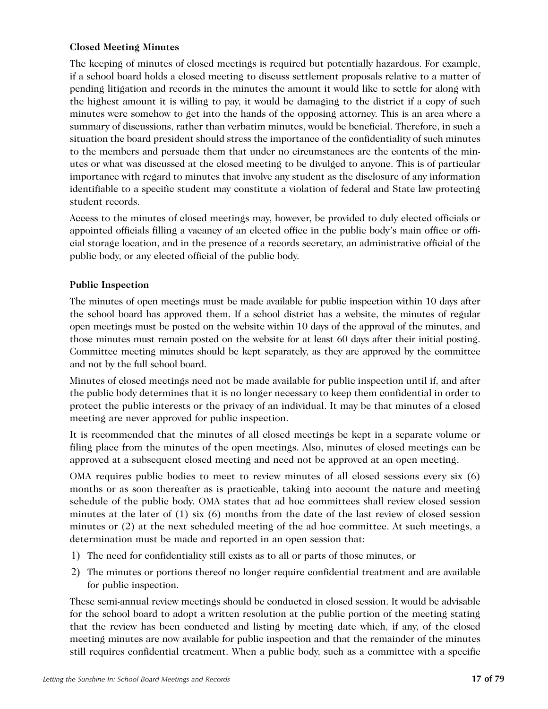#### <span id="page-17-0"></span>**Closed Meeting Minutes**

The keeping of minutes of closed meetings is required but potentially hazardous. For example, if a school board holds a closed meeting to discuss settlement proposals relative to a matter of pending litigation and records in the minutes the amount it would like to settle for along with the highest amount it is willing to pay, it would be damaging to the district if a copy of such minutes were somehow to get into the hands of the opposing attorney. This is an area where a summary of discussions, rather than verbatim minutes, would be beneficial. Therefore, in such a situation the board president should stress the importance of the confidentiality of such minutes to the members and persuade them that under no circumstances are the contents of the minutes or what was discussed at the closed meeting to be divulged to anyone. This is of particular importance with regard to minutes that involve any student as the disclosure of any information identifiable to a specific student may constitute a violation of federal and State law protecting student records.

Access to the minutes of closed meetings may, however, be provided to duly elected officials or appointed officials filling a vacancy of an elected office in the public body's main office or official storage location, and in the presence of a records secretary, an administrative official of the public body, or any elected official of the public body.

#### **Public Inspection**

The minutes of open meetings must be made available for public inspection within 10 days after the school board has approved them. If a school district has a website, the minutes of regular open meetings must be posted on the website within 10 days of the approval of the minutes, and those minutes must remain posted on the website for at least 60 days after their initial posting. Committee meeting minutes should be kept separately, as they are approved by the committee and not by the full school board.

Minutes of closed meetings need not be made available for public inspection until if, and after the public body determines that it is no longer necessary to keep them confidential in order to protect the public interests or the privacy of an individual. It may be that minutes of a closed meeting are never approved for public inspection.

It is recommended that the minutes of all closed meetings be kept in a separate volume or filing place from the minutes of the open meetings. Also, minutes of closed meetings can be approved at a subsequent closed meeting and need not be approved at an open meeting.

OMA requires public bodies to meet to review minutes of all closed sessions every six (6) months or as soon thereafter as is practicable, taking into account the nature and meeting schedule of the public body. OMA states that ad hoc committees shall review closed session minutes at the later of  $(1)$  six  $(6)$  months from the date of the last review of closed session minutes or (2) at the next scheduled meeting of the ad hoc committee. At such meetings, a determination must be made and reported in an open session that:

- 1) The need for confidentiality still exists as to all or parts of those minutes, or
- 2) The minutes or portions thereof no longer require confidential treatment and are available for public inspection.

These semi-annual review meetings should be conducted in closed session. It would be advisable for the school board to adopt a written resolution at the public portion of the meeting stating that the review has been conducted and listing by meeting date which, if any, of the closed meeting minutes are now available for public inspection and that the remainder of the minutes still requires confidential treatment. When a public body, such as a committee with a specific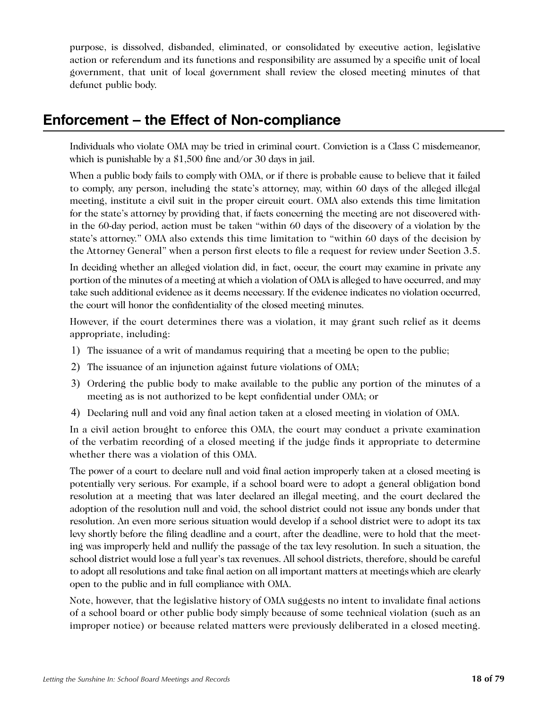<span id="page-18-0"></span>purpose, is dissolved, disbanded, eliminated, or consolidated by executive action, legislative action or referendum and its functions and responsibility are assumed by a specific unit of local government, that unit of local government shall review the closed meeting minutes of that defunct public body.

## **Enforcement – the Effect of Non-compliance**

Individuals who violate OMA may be tried in criminal court. Conviction is a Class C misdemeanor, which is punishable by a \$1,500 fine and/or 30 days in jail.

When a public body fails to comply with OMA, or if there is probable cause to believe that it failed to comply, any person, including the state's attorney, may, within 60 days of the alleged illegal meeting, institute a civil suit in the proper circuit court. OMA also extends this time limitation for the state's attorney by providing that, if facts concerning the meeting are not discovered within the 60-day period, action must be taken "within 60 days of the discovery of a violation by the state's attorney." OMA also extends this time limitation to "within 60 days of the decision by the Attorney General" when a person first elects to file a request for review under Section 3.5.

In deciding whether an alleged violation did, in fact, occur, the court may examine in private any portion of the minutes of a meeting at which a violation of OMA is alleged to have occurred, and may take such additional evidence as it deems necessary. If the evidence indicates no violation occurred, the court will honor the confidentiality of the closed meeting minutes.

However, if the court determines there was a violation, it may grant such relief as it deems appropriate, including:

- 1) The issuance of a writ of mandamus requiring that a meeting be open to the public;
- 2) The issuance of an injunction against future violations of OMA;
- 3) Ordering the public body to make available to the public any portion of the minutes of a meeting as is not authorized to be kept confidential under OMA; or
- 4) Declaring null and void any final action taken at a closed meeting in violation of OMA.

In a civil action brought to enforce this OMA, the court may conduct a private examination of the verbatim recording of a closed meeting if the judge finds it appropriate to determine whether there was a violation of this OMA.

The power of a court to declare null and void final action improperly taken at a closed meeting is potentially very serious. For example, if a school board were to adopt a general obligation bond resolution at a meeting that was later declared an illegal meeting, and the court declared the adoption of the resolution null and void, the school district could not issue any bonds under that resolution. An even more serious situation would develop if a school district were to adopt its tax levy shortly before the filing deadline and a court, after the deadline, were to hold that the meeting was improperly held and nullify the passage of the tax levy resolution. In such a situation, the school district would lose a full year's tax revenues. All school districts, therefore, should be careful to adopt all resolutions and take final action on all important matters at meetings which are clearly open to the public and in full compliance with OMA.

Note, however, that the legislative history of OMA suggests no intent to invalidate final actions of a school board or other public body simply because of some technical violation (such as an improper notice) or because related matters were previously deliberated in a closed meeting.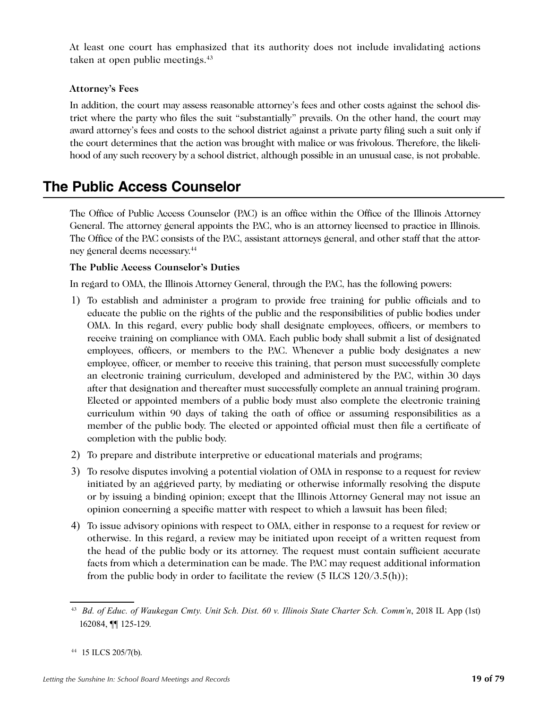<span id="page-19-0"></span>At least one court has emphasized that its authority does not include invalidating actions taken at open public meetings.<sup>43</sup>

#### **Attorney's Fees**

In addition, the court may assess reasonable attorney's fees and other costs against the school district where the party who files the suit "substantially" prevails. On the other hand, the court may award attorney's fees and costs to the school district against a private party filing such a suit only if the court determines that the action was brought with malice or was frivolous. Therefore, the likelihood of any such recovery by a school district, although possible in an unusual case, is not probable.

# **The Public Access Counselor**

The Office of Public Access Counselor (PAC) is an office within the Office of the Illinois Attorney General. The attorney general appoints the PAC, who is an attorney licensed to practice in Illinois. The Office of the PAC consists of the PAC, assistant attorneys general, and other staff that the attorney general deems necessary.44

#### **The Public Access Counselor's Duties**

In regard to OMA, the Illinois Attorney General, through the PAC, has the following powers:

- 1) To establish and administer a program to provide free training for public officials and to educate the public on the rights of the public and the responsibilities of public bodies under OMA. In this regard, every public body shall designate employees, officers, or members to receive training on compliance with OMA. Each public body shall submit a list of designated employees, officers, or members to the PAC. Whenever a public body designates a new employee, officer, or member to receive this training, that person must successfully complete an electronic training curriculum, developed and administered by the PAC, within 30 days after that designation and thereafter must successfully complete an annual training program. Elected or appointed members of a public body must also complete the electronic training curriculum within 90 days of taking the oath of office or assuming responsibilities as a member of the public body. The elected or appointed official must then file a certificate of completion with the public body.
- 2) To prepare and distribute interpretive or educational materials and programs;
- 3) To resolve disputes involving a potential violation of OMA in response to a request for review initiated by an aggrieved party, by mediating or otherwise informally resolving the dispute or by issuing a binding opinion; except that the Illinois Attorney General may not issue an opinion concerning a specific matter with respect to which a lawsuit has been filed;
- 4) To issue advisory opinions with respect to OMA, either in response to a request for review or otherwise. In this regard, a review may be initiated upon receipt of a written request from the head of the public body or its attorney. The request must contain sufficient accurate facts from which a determination can be made. The PAC may request additional information from the public body in order to facilitate the review  $(5$  ILCS  $120/3.5(h)$ ;

<sup>43</sup> *Bd. of Educ. of Waukegan Cmty. Unit Sch. Dist. 60 v. Illinois State Charter Sch. Comm'n*, 2018 IL App (1st) 162084, ¶¶ 125-129.

<sup>44</sup> 15 ILCS 205/7(b).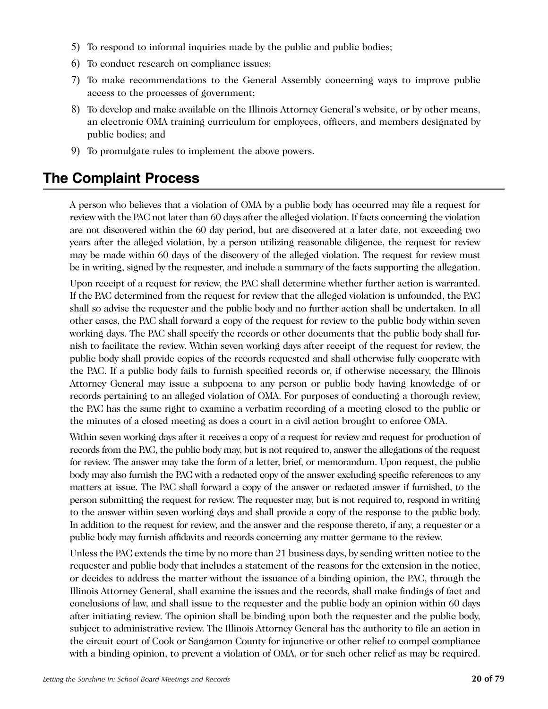- <span id="page-20-0"></span>5) To respond to informal inquiries made by the public and public bodies;
- 6) To conduct research on compliance issues;
- 7) To make recommendations to the General Assembly concerning ways to improve public access to the processes of government;
- 8) To develop and make available on the Illinois Attorney General's website, or by other means, an electronic OMA training curriculum for employees, officers, and members designated by public bodies; and
- 9) To promulgate rules to implement the above powers.

# **The Complaint Process**

A person who believes that a violation of OMA by a public body has occurred may file a request for review with the PAC not later than 60 days after the alleged violation. If facts concerning the violation are not discovered within the 60 day period, but are discovered at a later date, not exceeding two years after the alleged violation, by a person utilizing reasonable diligence, the request for review may be made within 60 days of the discovery of the alleged violation. The request for review must be in writing, signed by the requester, and include a summary of the facts supporting the allegation.

Upon receipt of a request for review, the PAC shall determine whether further action is warranted. If the PAC determined from the request for review that the alleged violation is unfounded, the PAC shall so advise the requester and the public body and no further action shall be undertaken. In all other cases, the PAC shall forward a copy of the request for review to the public body within seven working days. The PAC shall specify the records or other documents that the public body shall furnish to facilitate the review. Within seven working days after receipt of the request for review, the public body shall provide copies of the records requested and shall otherwise fully cooperate with the PAC. If a public body fails to furnish specified records or, if otherwise necessary, the Illinois Attorney General may issue a subpoena to any person or public body having knowledge of or records pertaining to an alleged violation of OMA. For purposes of conducting a thorough review, the PAC has the same right to examine a verbatim recording of a meeting closed to the public or the minutes of a closed meeting as does a court in a civil action brought to enforce OMA.

Within seven working days after it receives a copy of a request for review and request for production of records from the PAC, the public body may, but is not required to, answer the allegations of the request for review. The answer may take the form of a letter, brief, or memorandum. Upon request, the public body may also furnish the PAC with a redacted copy of the answer excluding specific references to any matters at issue. The PAC shall forward a copy of the answer or redacted answer if furnished, to the person submitting the request for review. The requester may, but is not required to, respond in writing to the answer within seven working days and shall provide a copy of the response to the public body. In addition to the request for review, and the answer and the response thereto, if any, a requester or a public body may furnish affidavits and records concerning any matter germane to the review.

Unless the PAC extends the time by no more than 21 business days, by sending written notice to the requester and public body that includes a statement of the reasons for the extension in the notice, or decides to address the matter without the issuance of a binding opinion, the PAC, through the Illinois Attorney General, shall examine the issues and the records, shall make findings of fact and conclusions of law, and shall issue to the requester and the public body an opinion within 60 days after initiating review. The opinion shall be binding upon both the requester and the public body, subject to administrative review. The Illinois Attorney General has the authority to file an action in the circuit court of Cook or Sangamon County for injunctive or other relief to compel compliance with a binding opinion, to prevent a violation of OMA, or for such other relief as may be required.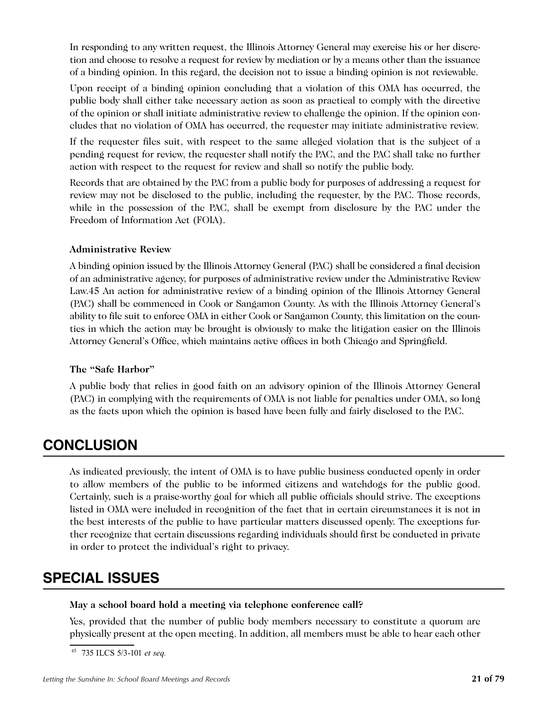<span id="page-21-0"></span>In responding to any written request, the Illinois Attorney General may exercise his or her discretion and choose to resolve a request for review by mediation or by a means other than the issuance of a binding opinion. In this regard, the decision not to issue a binding opinion is not reviewable.

Upon receipt of a binding opinion concluding that a violation of this OMA has occurred, the public body shall either take necessary action as soon as practical to comply with the directive of the opinion or shall initiate administrative review to challenge the opinion. If the opinion concludes that no violation of OMA has occurred, the requester may initiate administrative review.

If the requester files suit, with respect to the same alleged violation that is the subject of a pending request for review, the requester shall notify the PAC, and the PAC shall take no further action with respect to the request for review and shall so notify the public body.

Records that are obtained by the PAC from a public body for purposes of addressing a request for review may not be disclosed to the public, including the requester, by the PAC. Those records, while in the possession of the PAC, shall be exempt from disclosure by the PAC under the Freedom of Information Act (FOIA).

#### **Administrative Review**

A binding opinion issued by the Illinois Attorney General (PAC) shall be considered a final decision of an administrative agency, for purposes of administrative review under the Administrative Review Law.45 An action for administrative review of a binding opinion of the Illinois Attorney General (PAC) shall be commenced in Cook or Sangamon County. As with the Illinois Attorney General's ability to file suit to enforce OMA in either Cook or Sangamon County, this limitation on the counties in which the action may be brought is obviously to make the litigation easier on the Illinois Attorney General's Office, which maintains active offices in both Chicago and Springfield.

#### **The "Safe Harbor"**

A public body that relies in good faith on an advisory opinion of the Illinois Attorney General (PAC) in complying with the requirements of OMA is not liable for penalties under OMA, so long as the facts upon which the opinion is based have been fully and fairly disclosed to the PAC.

## **CONCLUSION**

As indicated previously, the intent of OMA is to have public business conducted openly in order to allow members of the public to be informed citizens and watchdogs for the public good. Certainly, such is a praise-worthy goal for which all public officials should strive. The exceptions listed in OMA were included in recognition of the fact that in certain circumstances it is not in the best interests of the public to have particular matters discussed openly. The exceptions further recognize that certain discussions regarding individuals should first be conducted in private in order to protect the individual's right to privacy.

# **SPECIAL ISSUES**

#### **May a school board hold a meeting via telephone conference call?**

Yes, provided that the number of public body members necessary to constitute a quorum are physically present at the open meeting. In addition, all members must be able to hear each other

<sup>45</sup> 735 ILCS 5/3-101 *et seq.*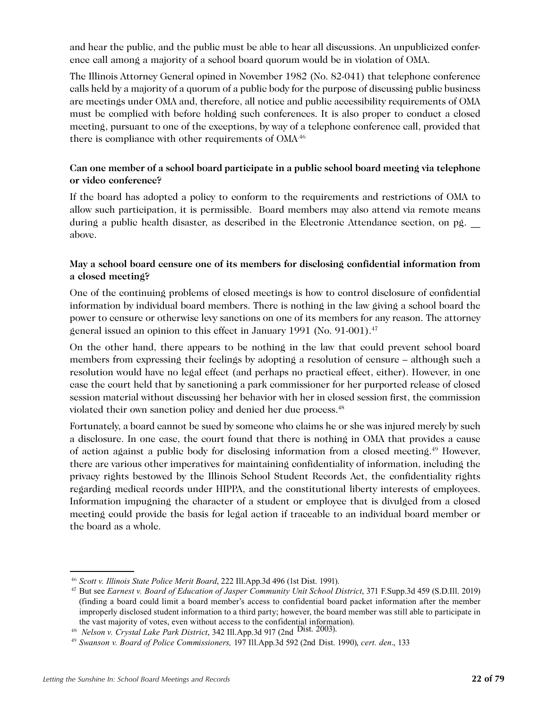and hear the public, and the public must be able to hear all discussions. An unpublicized conference call among a majority of a school board quorum would be in violation of OMA.

The Illinois Attorney General opined in November 1982 (No. 82-041) that telephone conference calls held by a majority of a quorum of a public body for the purpose of discussing public business are meetings under OMA and, therefore, all notice and public accessibility requirements of OMA must be complied with before holding such conferences. It is also proper to conduct a closed meeting, pursuant to one of the exceptions, by way of a telephone conference call, provided that there is compliance with other requirements of OMA<sup>46</sup>

#### **Can one member of a school board participate in a public school board meeting via telephone or video conference?**

If the board has adopted a policy to conform to the requirements and restrictions of OMA to allow such participation, it is permissible. Board members may also attend via remote means during a public health disaster, as described in the Electronic Attendance section, on pg. above.

#### **May a school board censure one of its members for disclosing confidential information from a closed meeting?**

One of the continuing problems of closed meetings is how to control disclosure of confidential information by individual board members. There is nothing in the law giving a school board the power to censure or otherwise levy sanctions on one of its members for any reason. The attorney general issued an opinion to this effect in January 1991 (No. 91-001).47

On the other hand, there appears to be nothing in the law that could prevent school board members from expressing their feelings by adopting a resolution of censure – although such a resolution would have no legal effect (and perhaps no practical effect, either). However, in one case the court held that by sanctioning a park commissioner for her purported release of closed session material without discussing her behavior with her in closed session first, the commission violated their own sanction policy and denied her due process.<sup>48</sup>

Fortunately, a board cannot be sued by someone who claims he or she was injured merely by such a disclosure. In one case, the court found that there is nothing in OMA that provides a cause of action against a public body for disclosing information from a closed meeting.49 However, there are various other imperatives for maintaining confidentiality of information, including the privacy rights bestowed by the Illinois School Student Records Act, the confidentiality rights regarding medical records under HIPPA, and the constitutional liberty interests of employees. Information impugning the character of a student or employee that is divulged from a closed meeting could provide the basis for legal action if traceable to an individual board member or the board as a whole.

<sup>46</sup> *Scott v. Illinois State Police Merit Board*, 222 Ill.App.3d 496 (1st Dist. 1991).

<sup>47</sup> But see *Earnest v. Board of Education of Jasper Community Unit School District*, 371 F.Supp.3d 459 (S.D.Ill. 2019) (finding a board could limit a board member's access to confidential board packet information after the member improperly disclosed student information to a third party; however, the board member was still able to participate in the vast majority of votes, even without access to the confidential information).

<sup>48</sup> *Nelson v. Crystal Lake Park District*, 342 Ill.App.3d 917 (2nd Dist. 2003).

<sup>49</sup> *Swanson v. Board of Police Commissioners,* 197 Ill.App.3d 592 (2nd Dist. 1990), *cert. den*., 133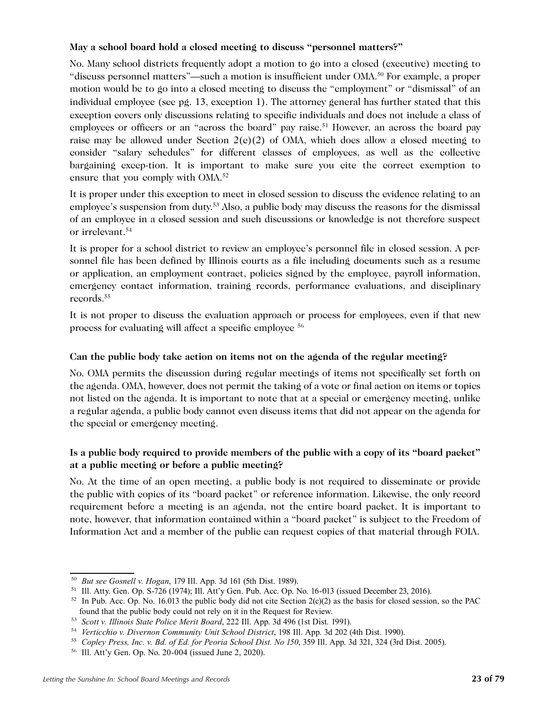#### **May a school board hold a closed meeting to discuss "personnel matters?"**

No. Many school districts frequently adopt a motion to go into a closed (executive) meeting to "discuss personnel matters"—such a motion is insufficient under OMA.50 For example, a proper motion would be to go into a closed meeting to discuss the "employment" or "dismissal" of an individual employee (see pg. 13, exception 1). The attorney general has further stated that this exception covers only discussions relating to specific individuals and does not include a class of employees or officers or an "across the board" pay raise.<sup>51</sup> However, an across the board pay raise may be allowed under Section  $2(c)(2)$  of OMA, which does allow a closed meeting to consider "salary schedules" for different classes of employees, as well as the collective bargaining excep-tion. It is important to make sure you cite the correct exemption to ensure that you comply with OMA.<sup>52</sup>

It is proper under this exception to meet in closed session to discuss the evidence relating to an employee's suspension from duty. <sup>53</sup> Also, a public body may discuss the reasons for the dismissal of an employee in a closed session and such discussions or knowledge is not therefore suspect or irrelevant.<sup>54</sup>

It is proper for a school district to review an employee's personnel file in closed session. A personnel file has been defined by Illinois courts as a file including documents such as a resume or application, an employment contract, policies signed by the employee, payroll information, emergency contact information, training records, performance evaluations, and disciplinary records. 55

It is not proper to discuss the evaluation approach or process for employees, even if that new process for evaluating will affect a specific employee <sup>56</sup>

#### **Can the public body take action on items not on the agenda of the regular meeting?**

No. OMA permits the discussion during regular meetings of items not specifically set forth on the agenda. OMA, however, does not permit the taking of a vote or final action on items or topics not listed on the agenda. It is important to note that at a special or emergency meeting, unlike a regular agenda, a public body cannot even discuss items that did not appear on the agenda for the special or emergency meeting.

#### **Is a public body required to provide members of the public with a copy of its "board packet" at a public meeting or before a public meeting?**

No. At the time of an open meeting, a public body is not required to disseminate or provide the public with copies of its "board packet" or reference information. Likewise, the only record requirement before a meeting is an agenda, not the entire board packet. It is important to note, however, that information contained within a "board packet" is subject to the Freedom of Information Act and a member of the public can request copies of that material through FOIA.

<sup>50</sup> *But see Gosnell v. Hogan*, 179 Ill. App. 3d 161 (5th Dist. 1989).

 $51$  Ill. Atty. Gen. Op. S-726 (1974); Ill. Att'y Gen. Pub. Acc. Op. No. 16-013 (issued December 23, 2016).

 $52$  In Pub. Acc. Op. No. 16.013 the public body did not cite Section  $2(c)(2)$  as the basis for closed session, so the PAC found that the public body could not rely on it in the Request for Review.

<sup>53</sup> *Scott v. Illinois State Police Merit Board*, 222 Ill. App. 3d 496 (1st Dist. 1991).

<sup>54</sup> *Verticchio v. Divernon Community Unit School District*, 198 Ill. App. 3d 202 (4th Dist. 1990).

<sup>55</sup> *Copley Press, Inc. v. Bd. of Ed. for Peoria School Dist. No 150*, 359 Ill. App. 3d 321, 324 (3rd Dist. 2005).

<sup>56</sup> Ill. Att'y Gen. Op. No. 20-004 (issued June 2, 2020).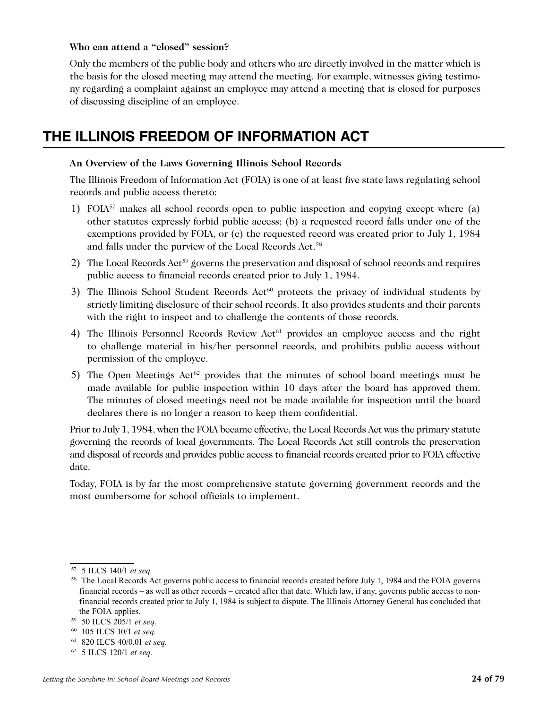#### <span id="page-24-0"></span>**Who can attend a "closed" session?**

Only the members of the public body and others who are directly involved in the matter which is the basis for the closed meeting may attend the meeting. For example, witnesses giving testimony regarding a complaint against an employee may attend a meeting that is closed for purposes of discussing discipline of an employee.

## **THE ILLINOIS FREEDOM OF INFORMATION ACT**

#### **An Overview of the Laws Governing Illinois School Records**

The Illinois Freedom of Information Act (FOIA) is one of at least five state laws regulating school records and public access thereto:

- 1) FOIA<sup>57</sup> makes all school records open to public inspection and copying except where (a) other statutes expressly forbid public access; (b) a requested record falls under one of the exemptions provided by FOIA, or (c) the requested record was created prior to July 1, 1984 and falls under the purview of the Local Records Act.<sup>58</sup>
- 2) The Local Records  $\text{Act}^{59}$  governs the preservation and disposal of school records and requires public access to financial records created prior to July 1, 1984.
- 3) The Illinois School Student Records  $Act^{60}$  protects the privacy of individual students by strictly limiting disclosure of their school records. It also provides students and their parents with the right to inspect and to challenge the contents of those records.
- 4) The Illinois Personnel Records Review  $Act<sup>61</sup>$  provides an employee access and the right to challenge material in his/her personnel records, and prohibits public access without permission of the employee.
- 5) The Open Meetings Act<sup>62</sup> provides that the minutes of school board meetings must be made available for public inspection within 10 days after the board has approved them. The minutes of closed meetings need not be made available for inspection until the board declares there is no longer a reason to keep them confidential.

Prior to July 1, 1984, when the FOIA became effective, the Local Records Act was the primary statute governing the records of local governments. The Local Records Act still controls the preservation and disposal of records and provides public access to financial records created prior to FOIA effective date.

Today, FOIA is by far the most comprehensive statute governing government records and the most cumbersome for school officials to implement.

<sup>57</sup> 5 ILCS 140/1 *et seq*.

<sup>&</sup>lt;sup>58</sup> The Local Records Act governs public access to financial records created before July 1, 1984 and the FOIA governs financial records – as well as other records – created after that date. Which law, if any, governs public access to nonfinancial records created prior to July 1, 1984 is subject to dispute. The Illinois Attorney General has concluded that the FOIA applies.

<sup>59</sup> 50 ILCS 205/1 *et seq*.

<sup>60</sup> 105 ILCS 10/1 *et seq*.

<sup>61</sup> 820 ILCS 40/0.01 *et seq*.

<sup>62</sup> 5 ILCS 120/1 *et seq*.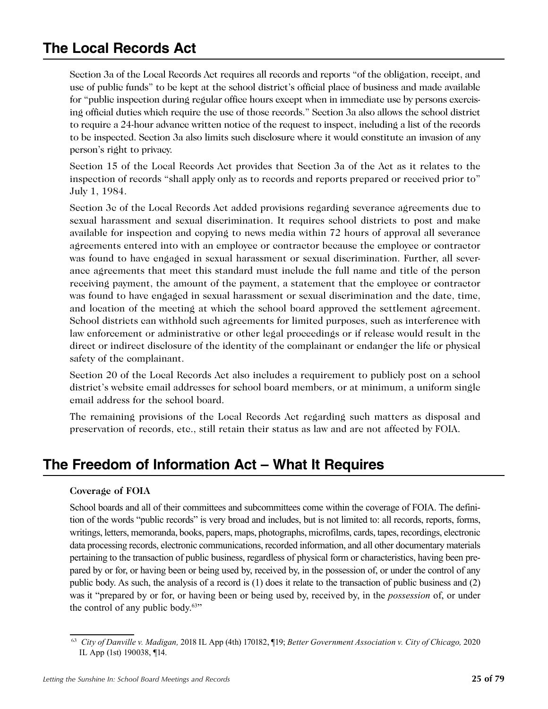# <span id="page-25-0"></span>**The Local Records Act**

Section 3a of the Local Records Act requires all records and reports "of the obligation, receipt, and use of public funds" to be kept at the school district's official place of business and made available for "public inspection during regular office hours except when in immediate use by persons exercising official duties which require the use of those records." Section 3a also allows the school district to require a 24-hour advance written notice of the request to inspect, including a list of the records to be inspected. Section 3a also limits such disclosure where it would constitute an invasion of any person's right to privacy.

Section 15 of the Local Records Act provides that Section 3a of the Act as it relates to the inspection of records "shall apply only as to records and reports prepared or received prior to" July 1, 1984.

Section 3c of the Local Records Act added provisions regarding severance agreements due to sexual harassment and sexual discrimination. It requires school districts to post and make available for inspection and copying to news media within 72 hours of approval all severance agreements entered into with an employee or contractor because the employee or contractor was found to have engaged in sexual harassment or sexual discrimination. Further, all severance agreements that meet this standard must include the full name and title of the person receiving payment, the amount of the payment, a statement that the employee or contractor was found to have engaged in sexual harassment or sexual discrimination and the date, time, and location of the meeting at which the school board approved the settlement agreement. School districts can withhold such agreements for limited purposes, such as interference with law enforcement or administrative or other legal proceedings or if release would result in the direct or indirect disclosure of the identity of the complainant or endanger the life or physical safety of the complainant.

Section 20 of the Local Records Act also includes a requirement to publicly post on a school district's website email addresses for school board members, or at minimum, a uniform single email address for the school board.

The remaining provisions of the Local Records Act regarding such matters as disposal and preservation of records, etc., still retain their status as law and are not affected by FOIA.

## **The Freedom of Information Act – What It Requires**

#### **Coverage of FOIA**

School boards and all of their committees and subcommittees come within the coverage of FOIA. The definition of the words "public records" is very broad and includes, but is not limited to: all records, reports, forms, writings, letters, memoranda, books, papers, maps, photographs, microfilms, cards, tapes, recordings, electronic data processing records, electronic communications, recorded information, and all other documentary materials pertaining to the transaction of public business, regardless of physical form or characteristics, having been prepared by or for, or having been or being used by, received by, in the possession of, or under the control of any public body. As such, the analysis of a record is (1) does it relate to the transaction of public business and (2) was it "prepared by or for, or having been or being used by, received by, in the *possession* of, or under the control of any public body.<sup>63"</sup>

<sup>63</sup> *City of Danville v. Madigan,* 2018 IL App (4th) 170182, ¶19; *Better Government Association v. City of Chicago,* 2020 IL App (1st) 190038, ¶14.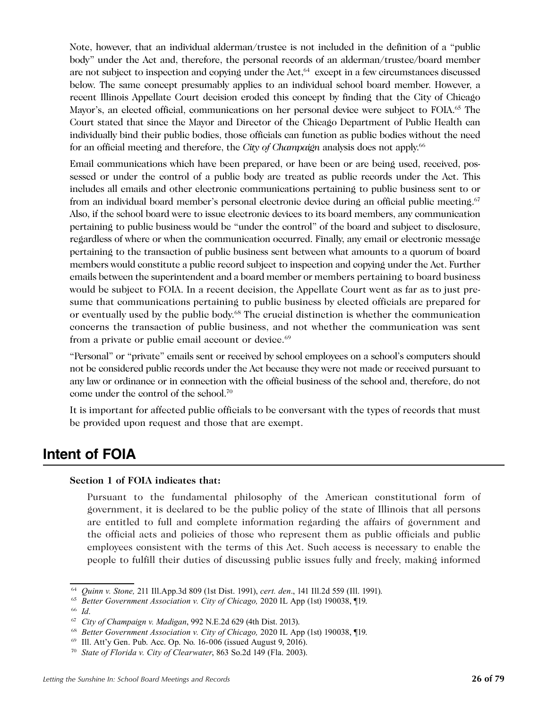<span id="page-26-0"></span>Note, however, that an individual alderman/trustee is not included in the definition of a "public body" under the Act and, therefore, the personal records of an alderman/trustee/board member are not subject to inspection and copying under the  $Act<sub>1</sub><sup>64</sup>$  except in a few circumstances discussed below. The same concept presumably applies to an individual school board member. However, a recent Illinois Appellate Court decision eroded this concept by finding that the City of Chicago Mayor's, an elected official, communications on her personal device were subject to FOIA.<sup>65</sup> The Court stated that since the Mayor and Director of the Chicago Department of Public Health can individually bind their public bodies, those officials can function as public bodies without the need for an official meeting and therefore, the *City of Champaign* analysis does not apply.66

Email communications which have been prepared, or have been or are being used, received, possessed or under the control of a public body are treated as public records under the Act. This includes all emails and other electronic communications pertaining to public business sent to or from an individual board member's personal electronic device during an official public meeting.67 Also, if the school board were to issue electronic devices to its board members, any communication pertaining to public business would be "under the control" of the board and subject to disclosure, regardless of where or when the communication occurred. Finally, any email or electronic message pertaining to the transaction of public business sent between what amounts to a quorum of board members would constitute a public record subject to inspection and copying under the Act. Further emails between the superintendent and a board member or members pertaining to board business would be subject to FOIA. In a recent decision, the Appellate Court went as far as to just presume that communications pertaining to public business by elected officials are prepared for or eventually used by the public body.<sup>68</sup> The crucial distinction is whether the communication concerns the transaction of public business, and not whether the communication was sent from a private or public email account or device.<sup>69</sup>

"Personal" or "private" emails sent or received by school employees on a school's computers should not be considered public records under the Act because they were not made or received pursuant to any law or ordinance or in connection with the official business of the school and, therefore, do not come under the control of the school.70

It is important for affected public officials to be conversant with the types of records that must be provided upon request and those that are exempt.

## **Intent of FOIA**

#### **Section 1 of FOIA indicates that:**

Pursuant to the fundamental philosophy of the American constitutional form of government, it is declared to be the public policy of the state of Illinois that all persons are entitled to full and complete information regarding the affairs of government and the official acts and policies of those who represent them as public officials and public employees consistent with the terms of this Act. Such access is necessary to enable the people to fulfill their duties of discussing public issues fully and freely, making informed

<sup>64</sup> *Quinn v. Stone,* 211 Ill.App.3d 809 (1st Dist. 1991), *cert. den*., 141 Ill.2d 559 (Ill. 1991).

<sup>65</sup> *Better Government Association v. City of Chicago,* 2020 IL App (1st) 190038, ¶19.

<sup>66</sup> *Id*.

<sup>67</sup> *City of Champaign v. Madigan*, 992 N.E.2d 629 (4th Dist. 2013).

<sup>68</sup> *Better Government Association v. City of Chicago,* 2020 IL App (1st) 190038, ¶19.

<sup>69</sup> Ill. Att'y Gen. Pub. Acc. Op. No. 16-006 (issued August 9, 2016).

<sup>70</sup> *State of Florida v. City of Clearwater*, 863 So.2d 149 (Fla. 2003).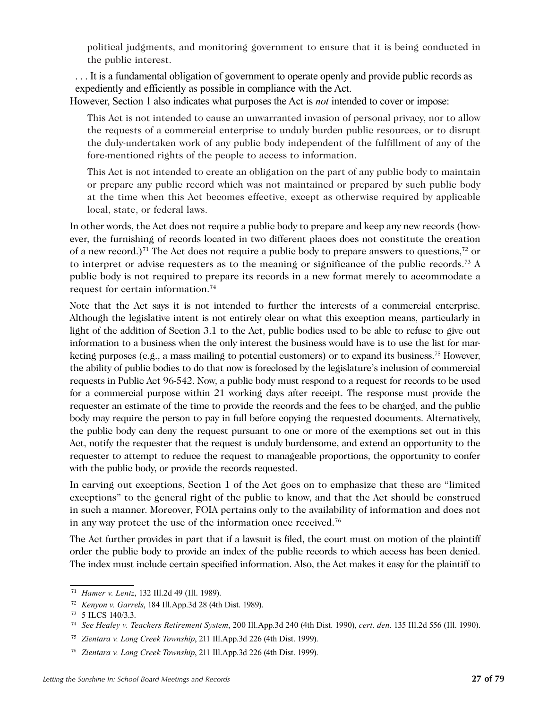political judgments, and monitoring government to ensure that it is being conducted in the public interest.

. . . It is a fundamental obligation of government to operate openly and provide public records as expediently and efficiently as possible in compliance with the Act.

However, Section 1 also indicates what purposes the Act is *not* intended to cover or impose:

This Act is not intended to cause an unwarranted invasion of personal privacy, nor to allow the requests of a commercial enterprise to unduly burden public resources, or to disrupt the duly-undertaken work of any public body independent of the fulfillment of any of the fore-mentioned rights of the people to access to information.

This Act is not intended to create an obligation on the part of any public body to maintain or prepare any public record which was not maintained or prepared by such public body at the time when this Act becomes effective, except as otherwise required by applicable local, state, or federal laws.

In other words, the Act does not require a public body to prepare and keep any new records (however, the furnishing of records located in two different places does not constitute the creation of a new record.)<sup>71</sup> The Act does not require a public body to prepare answers to questions,<sup>72</sup> or to interpret or advise requesters as to the meaning or significance of the public records.<sup>73</sup> A public body is not required to prepare its records in a new format merely to accommodate a request for certain information.74

Note that the Act says it is not intended to further the interests of a commercial enterprise. Although the legislative intent is not entirely clear on what this exception means, particularly in light of the addition of Section 3.1 to the Act, public bodies used to be able to refuse to give out information to a business when the only interest the business would have is to use the list for marketing purposes (e.g., a mass mailing to potential customers) or to expand its business.<sup>75</sup> However, the ability of public bodies to do that now is foreclosed by the legislature's inclusion of commercial requests in Public Act 96-542. Now, a public body must respond to a request for records to be used for a commercial purpose within 21 working days after receipt. The response must provide the requester an estimate of the time to provide the records and the fees to be charged, and the public body may require the person to pay in full before copying the requested documents. Alternatively, the public body can deny the request pursuant to one or more of the exemptions set out in this Act, notify the requester that the request is unduly burdensome, and extend an opportunity to the requester to attempt to reduce the request to manageable proportions, the opportunity to confer with the public body, or provide the records requested.

In carving out exceptions, Section 1 of the Act goes on to emphasize that these are "limited exceptions" to the general right of the public to know, and that the Act should be construed in such a manner. Moreover, FOIA pertains only to the availability of information and does not in any way protect the use of the information once received.<sup>76</sup>

The Act further provides in part that if a lawsuit is filed, the court must on motion of the plaintiff order the public body to provide an index of the public records to which access has been denied. The index must include certain specified information. Also, the Act makes it easy for the plaintiff to

<sup>71</sup> *Hamer v. Lentz*, 132 Ill.2d 49 (Ill. 1989).

<sup>72</sup> *Kenyon v. Garrels*, 184 Ill.App.3d 28 (4th Dist. 1989).

<sup>73</sup> 5 ILCS 140/3.3.

<sup>74</sup> *See Healey v. Teachers Retirement System*, 200 Ill.App.3d 240 (4th Dist. 1990), *cert. den*. 135 Ill.2d 556 (Ill. 1990).

<sup>75</sup> *Zientara v. Long Creek Township*, 211 Ill.App.3d 226 (4th Dist. 1999).

<sup>76</sup> *Zientara v. Long Creek Township*, 211 Ill.App.3d 226 (4th Dist. 1999).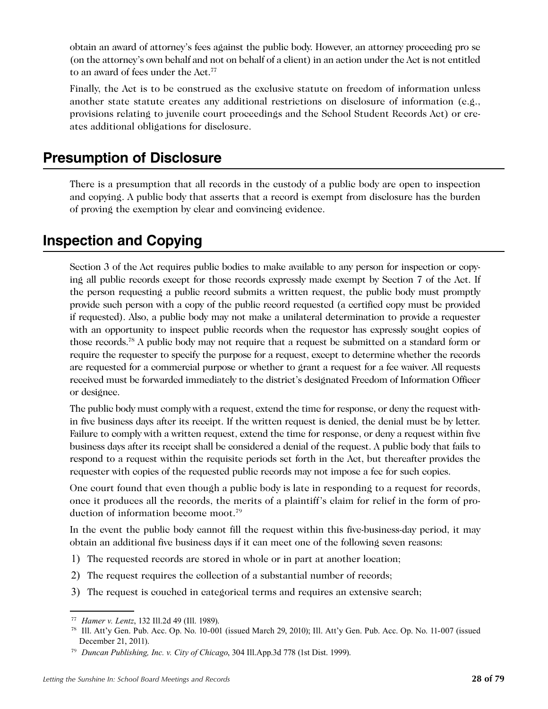<span id="page-28-0"></span>obtain an award of attorney's fees against the public body. However, an attorney proceeding pro se (on the attorney's own behalf and not on behalf of a client) in an action under the Act is not entitled to an award of fees under the Act.<sup>77</sup>

Finally, the Act is to be construed as the exclusive statute on freedom of information unless another state statute creates any additional restrictions on disclosure of information (e.g., provisions relating to juvenile court proceedings and the School Student Records Act) or creates additional obligations for disclosure.

## **Presumption of Disclosure**

There is a presumption that all records in the custody of a public body are open to inspection and copying. A public body that asserts that a record is exempt from disclosure has the burden of proving the exemption by clear and convincing evidence.

# **Inspection and Copying**

Section 3 of the Act requires public bodies to make available to any person for inspection or copying all public records except for those records expressly made exempt by Section 7 of the Act. If the person requesting a public record submits a written request, the public body must promptly provide such person with a copy of the public record requested (a certified copy must be provided if requested). Also, a public body may not make a unilateral determination to provide a requester with an opportunity to inspect public records when the requestor has expressly sought copies of those records.78 A public body may not require that a request be submitted on a standard form or require the requester to specify the purpose for a request, except to determine whether the records are requested for a commercial purpose or whether to grant a request for a fee waiver. All requests received must be forwarded immediately to the district's designated Freedom of Information Officer or designee.

The public body must comply with a request, extend the time for response, or deny the request within five business days after its receipt. If the written request is denied, the denial must be by letter. Failure to comply with a written request, extend the time for response, or deny a request within five business days after its receipt shall be considered a denial of the request. A public body that fails to respond to a request within the requisite periods set forth in the Act, but thereafter provides the requester with copies of the requested public records may not impose a fee for such copies.

One court found that even though a public body is late in responding to a request for records, once it produces all the records, the merits of a plaintiff's claim for relief in the form of production of information become moot.<sup>79</sup>

In the event the public body cannot fill the request within this five-business-day period, it may obtain an additional five business days if it can meet one of the following seven reasons:

- 1) The requested records are stored in whole or in part at another location;
- 2) The request requires the collection of a substantial number of records;
- 3) The request is couched in categorical terms and requires an extensive search;

<sup>77</sup> *Hamer v. Lentz*, 132 Ill.2d 49 (Ill. 1989).

<sup>78</sup> Ill. Att'y Gen. Pub. Acc. Op. No. 10-001 (issued March 29, 2010); Ill. Att'y Gen. Pub. Acc. Op. No. 11-007 (issued December 21, 2011).

<sup>79</sup> *Duncan Publishing, Inc. v. City of Chicago*, 304 Ill.App.3d 778 (1st Dist. 1999).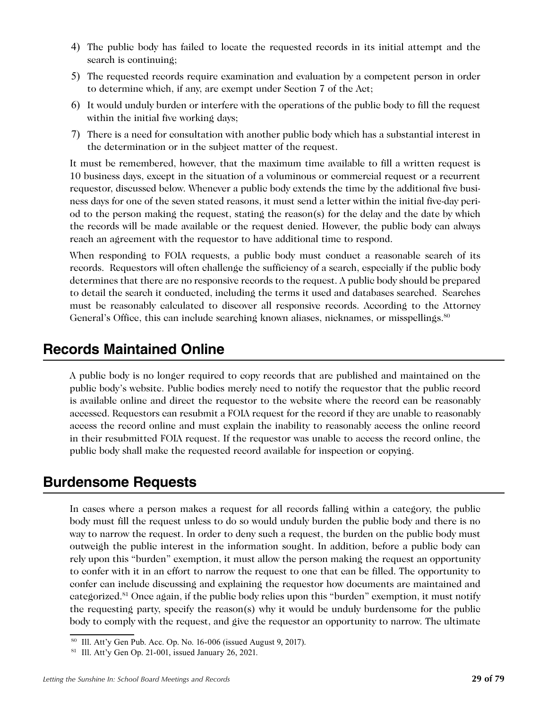- <span id="page-29-0"></span>4) The public body has failed to locate the requested records in its initial attempt and the search is continuing;
- 5) The requested records require examination and evaluation by a competent person in order to determine which, if any, are exempt under Section 7 of the Act;
- 6) It would unduly burden or interfere with the operations of the public body to fill the request within the initial five working days;
- 7) There is a need for consultation with another public body which has a substantial interest in the determination or in the subject matter of the request.

It must be remembered, however, that the maximum time available to fill a written request is 10 business days, except in the situation of a voluminous or commercial request or a recurrent requestor, discussed below. Whenever a public body extends the time by the additional five business days for one of the seven stated reasons, it must send a letter within the initial five-day period to the person making the request, stating the reason(s) for the delay and the date by which the records will be made available or the request denied. However, the public body can always reach an agreement with the requestor to have additional time to respond.

When responding to FOIA requests, a public body must conduct a reasonable search of its records. Requestors will often challenge the sufficiency of a search, especially if the public body determines that there are no responsive records to the request. A public body should be prepared to detail the search it conducted, including the terms it used and databases searched. Searches must be reasonably calculated to discover all responsive records. According to the Attorney General's Office, this can include searching known aliases, nicknames, or misspellings.<sup>80</sup>

## **Records Maintained Online**

A public body is no longer required to copy records that are published and maintained on the public body's website. Public bodies merely need to notify the requestor that the public record is available online and direct the requestor to the website where the record can be reasonably accessed. Requestors can resubmit a FOIA request for the record if they are unable to reasonably access the record online and must explain the inability to reasonably access the online record in their resubmitted FOIA request. If the requestor was unable to access the record online, the public body shall make the requested record available for inspection or copying.

## **Burdensome Requests**

In cases where a person makes a request for all records falling within a category, the public body must fill the request unless to do so would unduly burden the public body and there is no way to narrow the request. In order to deny such a request, the burden on the public body must outweigh the public interest in the information sought. In addition, before a public body can rely upon this "burden" exemption, it must allow the person making the request an opportunity to confer with it in an effort to narrow the request to one that can be filled. The opportunity to confer can include discussing and explaining the requestor how documents are maintained and categorized.81 Once again, if the public body relies upon this "burden" exemption, it must notify the requesting party, specify the reason(s) why it would be unduly burdensome for the public body to comply with the request, and give the requestor an opportunity to narrow. The ultimate

 $80$  Ill. Att'y Gen Pub. Acc. Op. No. 16-006 (issued August 9, 2017).

<sup>81</sup> Ill. Att'y Gen Op. 21-001, issued January 26, 2021.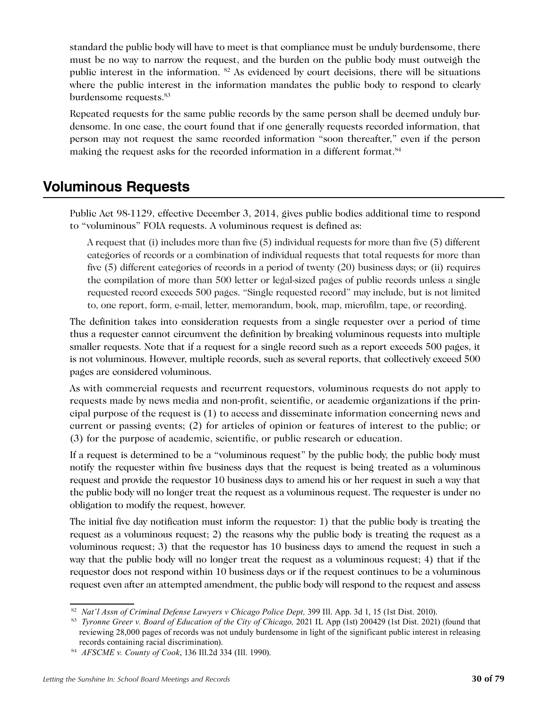<span id="page-30-0"></span>standard the public body will have to meet is that compliance must be unduly burdensome, there must be no way to narrow the request, and the burden on the public body must outweigh the public interest in the information.  $^{82}$  As evidenced by court decisions, there will be situations where the public interest in the information mandates the public body to respond to clearly burdensome requests.83

Repeated requests for the same public records by the same person shall be deemed unduly burdensome. In one case, the court found that if one generally requests recorded information, that person may not request the same recorded information "soon thereafter," even if the person making the request asks for the recorded information in a different format.<sup>84</sup>

# **Voluminous Requests**

Public Act 98-1129, effective December 3, 2014, gives public bodies additional time to respond to "voluminous" FOIA requests. A voluminous request is defined as:

A request that (i) includes more than five (5) individual requests for more than five (5) different categories of records or a combination of individual requests that total requests for more than five (5) different categories of records in a period of twenty (20) business days; or (ii) requires the compilation of more than 500 letter or legal-sized pages of public records unless a single requested record exceeds 500 pages. "Single requested record" may include, but is not limited to, one report, form, e-mail, letter, memorandum, book, map, microfilm, tape, or recording.

The definition takes into consideration requests from a single requester over a period of time thus a requester cannot circumvent the definition by breaking voluminous requests into multiple smaller requests. Note that if a request for a single record such as a report exceeds 500 pages, it is not voluminous. However, multiple records, such as several reports, that collectively exceed 500 pages are considered voluminous.

As with commercial requests and recurrent requestors, voluminous requests do not apply to requests made by news media and non-profit, scientific, or academic organizations if the principal purpose of the request is (1) to access and disseminate information concerning news and current or passing events; (2) for articles of opinion or features of interest to the public; or (3) for the purpose of academic, scientific, or public research or education.

If a request is determined to be a "voluminous request" by the public body, the public body must notify the requester within five business days that the request is being treated as a voluminous request and provide the requestor 10 business days to amend his or her request in such a way that the public body will no longer treat the request as a voluminous request. The requester is under no obligation to modify the request, however.

The initial five day notification must inform the requestor: 1) that the public body is treating the request as a voluminous request; 2) the reasons why the public body is treating the request as a voluminous request; 3) that the requestor has 10 business days to amend the request in such a way that the public body will no longer treat the request as a voluminous request; 4) that if the requestor does not respond within 10 business days or if the request continues to be a voluminous request even after an attempted amendment, the public body will respond to the request and assess

<sup>82</sup> *Nat'l Assn of Criminal Defense Lawyers v Chicago Police Dept,* 399 Ill. App. 3d 1, 15 (1st Dist. 2010).

<sup>83</sup> *Tyronne Greer v. Board of Education of the City of Chicago,* 2021 IL App (1st) 200429 (1st Dist. 2021) (found that reviewing 28,000 pages of records was not unduly burdensome in light of the significant public interest in releasing records containing racial discrimination).

<sup>84</sup> *AFSCME v. County of Cook*, 136 Ill.2d 334 (Ill. 1990).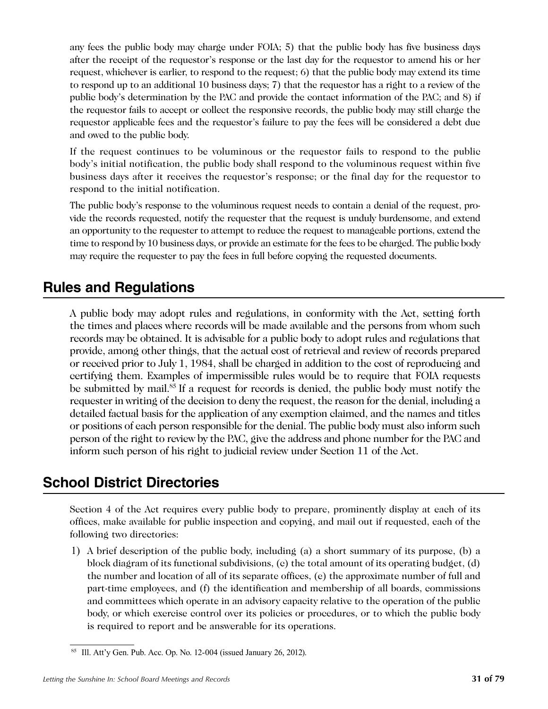<span id="page-31-0"></span>any fees the public body may charge under FOIA; 5) that the public body has five business days after the receipt of the requestor's response or the last day for the requestor to amend his or her request, whichever is earlier, to respond to the request; 6) that the public body may extend its time to respond up to an additional 10 business days; 7) that the requestor has a right to a review of the public body's determination by the PAC and provide the contact information of the PAC; and 8) if the requestor fails to accept or collect the responsive records, the public body may still charge the requestor applicable fees and the requestor's failure to pay the fees will be considered a debt due and owed to the public body.

If the request continues to be voluminous or the requestor fails to respond to the public body's initial notification, the public body shall respond to the voluminous request within five business days after it receives the requestor's response; or the final day for the requestor to respond to the initial notification.

The public body's response to the voluminous request needs to contain a denial of the request, provide the records requested, notify the requester that the request is unduly burdensome, and extend an opportunity to the requester to attempt to reduce the request to manageable portions, extend the time to respond by 10 business days, or provide an estimate for the fees to be charged. The public body may require the requester to pay the fees in full before copying the requested documents.

# **Rules and Regulations**

A public body may adopt rules and regulations, in conformity with the Act, setting forth the times and places where records will be made available and the persons from whom such records may be obtained. It is advisable for a public body to adopt rules and regulations that provide, among other things, that the actual cost of retrieval and review of records prepared or received prior to July 1, 1984, shall be charged in addition to the cost of reproducing and certifying them. Examples of impermissible rules would be to require that FOIA requests be submitted by mail.85 If a request for records is denied, the public body must notify the requester in writing of the decision to deny the request, the reason for the denial, including a detailed factual basis for the application of any exemption claimed, and the names and titles or positions of each person responsible for the denial. The public body must also inform such person of the right to review by the PAC, give the address and phone number for the PAC and inform such person of his right to judicial review under Section 11 of the Act.

# **School District Directories**

Section 4 of the Act requires every public body to prepare, prominently display at each of its offices, make available for public inspection and copying, and mail out if requested, each of the following two directories:

1) A brief description of the public body, including (a) a short summary of its purpose, (b) a block diagram of its functional subdivisions, (c) the total amount of its operating budget, (d) the number and location of all of its separate offices, (e) the approximate number of full and part-time employees, and (f) the identification and membership of all boards, commissions and committees which operate in an advisory capacity relative to the operation of the public body, or which exercise control over its policies or procedures, or to which the public body is required to report and be answerable for its operations.

<sup>85</sup> Ill. Att'y Gen. Pub. Acc. Op. No. 12-004 (issued January 26, 2012).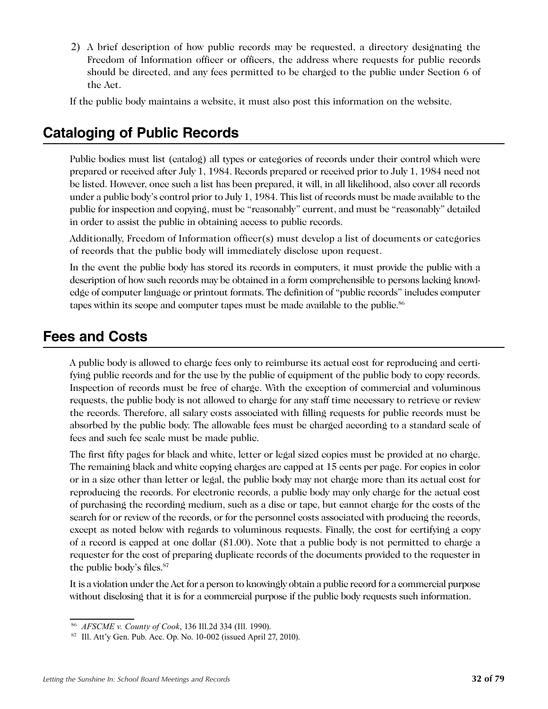<span id="page-32-0"></span>2) A brief description of how public records may be requested, a directory designating the Freedom of Information officer or officers, the address where requests for public records should be directed, and any fees permitted to be charged to the public under Section 6 of the Act.

If the public body maintains a website, it must also post this information on the website.

# **Cataloging of Public Records**

Public bodies must list (catalog) all types or categories of records under their control which were prepared or received after July 1, 1984. Records prepared or received prior to July 1, 1984 need not be listed. However, once such a list has been prepared, it will, in all likelihood, also cover all records under a public body's control prior to July 1, 1984. This list of records must be made available to the public for inspection and copying, must be "reasonably" current, and must be "reasonably" detailed in order to assist the public in obtaining access to public records.

Additionally, Freedom of Information officer(s) must develop a list of documents or categories of records that the public body will immediately disclose upon request.

In the event the public body has stored its records in computers, it must provide the public with a description of how such records may be obtained in a form comprehensible to persons lacking knowledge of computer language or printout formats. The definition of "public records" includes computer tapes within its scope and computer tapes must be made available to the public.<sup>86</sup>

# **Fees and Costs**

A public body is allowed to charge fees only to reimburse its actual cost for reproducing and certifying public records and for the use by the public of equipment of the public body to copy records. Inspection of records must be free of charge. With the exception of commercial and voluminous requests, the public body is not allowed to charge for any staff time necessary to retrieve or review the records. Therefore, all salary costs associated with filling requests for public records must be absorbed by the public body. The allowable fees must be charged according to a standard scale of fees and such fee scale must be made public.

The first fifty pages for black and white, letter or legal sized copies must be provided at no charge. The remaining black and white copying charges are capped at 15 cents per page. For copies in color or in a size other than letter or legal, the public body may not charge more than its actual cost for reproducing the records. For electronic records, a public body may only charge for the actual cost of purchasing the recording medium, such as a disc or tape, but cannot charge for the costs of the search for or review of the records, or for the personnel costs associated with producing the records, except as noted below with regards to voluminous requests. Finally, the cost for certifying a copy of a record is capped at one dollar (\$1.00). Note that a public body is not permitted to charge a requester for the cost of preparing duplicate records of the documents provided to the requester in the public body's files.<sup>87</sup>

It is a violation under the Act for a person to knowingly obtain a public record for a commercial purpose without disclosing that it is for a commercial purpose if the public body requests such information.

<sup>86</sup> *AFSCME v. County of Cook*, 136 Ill.2d 334 (Ill. 1990).

<sup>87</sup> Ill. Att'y Gen. Pub. Acc. Op. No. 10-002 (issued April 27, 2010).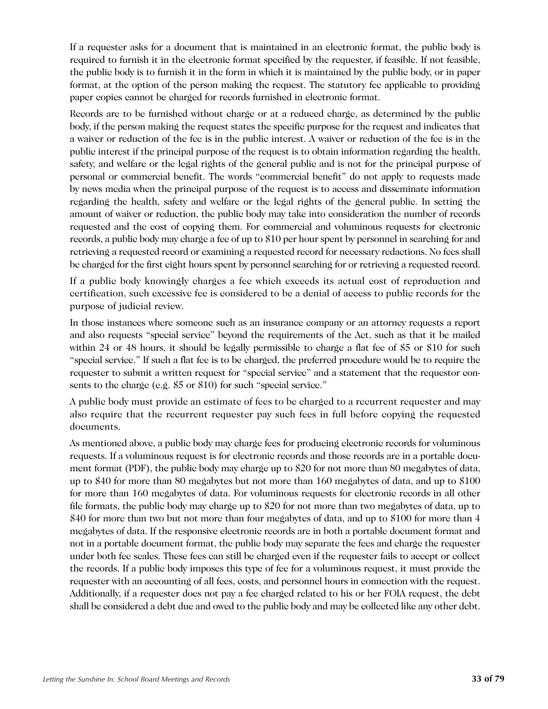If a requester asks for a document that is maintained in an electronic format, the public body is required to furnish it in the electronic format specified by the requester, if feasible. If not feasible, the public body is to furnish it in the form in which it is maintained by the public body, or in paper format, at the option of the person making the request. The statutory fee applicable to providing paper copies cannot be charged for records furnished in electronic format.

Records are to be furnished without charge or at a reduced charge, as determined by the public body, if the person making the request states the specific purpose for the request and indicates that a waiver or reduction of the fee is in the public interest. A waiver or reduction of the fee is in the public interest if the principal purpose of the request is to obtain information regarding the health, safety, and welfare or the legal rights of the general public and is not for the principal purpose of personal or commercial benefit. The words "commercial benefit" do not apply to requests made by news media when the principal purpose of the request is to access and disseminate information regarding the health, safety and welfare or the legal rights of the general public. In setting the amount of waiver or reduction, the public body may take into consideration the number of records requested and the cost of copying them. For commercial and voluminous requests for electronic records, a public body may charge a fee of up to \$10 per hour spent by personnel in searching for and retrieving a requested record or examining a requested record for necessary redactions. No fees shall be charged for the first eight hours spent by personnel searching for or retrieving a requested record.

If a public body knowingly charges a fee which exceeds its actual cost of reproduction and certification, such excessive fee is considered to be a denial of access to public records for the purpose of judicial review.

In those instances where someone such as an insurance company or an attorney requests a report and also requests "special service" beyond the requirements of the Act, such as that it be mailed within 24 or 48 hours, it should be legally permissible to charge a flat fee of \$5 or \$10 for such "special service." If such a flat fee is to be charged, the preferred procedure would be to require the requester to submit a written request for "special service" and a statement that the requestor consents to the charge (e.g. \$5 or \$10) for such "special service."

A public body must provide an estimate of fees to be charged to a recurrent requester and may also require that the recurrent requester pay such fees in full before copying the requested documents.

As mentioned above, a public body may charge fees for producing electronic records for voluminous requests. If a voluminous request is for electronic records and those records are in a portable document format (PDF), the public body may charge up to \$20 for not more than 80 megabytes of data, up to \$40 for more than 80 megabytes but not more than 160 megabytes of data, and up to \$100 for more than 160 megabytes of data. For voluminous requests for electronic records in all other file formats, the public body may charge up to \$20 for not more than two megabytes of data, up to \$40 for more than two but not more than four megabytes of data, and up to \$100 for more than 4 megabytes of data. If the responsive electronic records are in both a portable document format and not in a portable document format, the public body may separate the fees and charge the requester under both fee scales. These fees can still be charged even if the requester fails to accept or collect the records. If a public body imposes this type of fee for a voluminous request, it must provide the requester with an accounting of all fees, costs, and personnel hours in connection with the request. Additionally, if a requester does not pay a fee charged related to his or her FOIA request, the debt shall be considered a debt due and owed to the public body and may be collected like any other debt.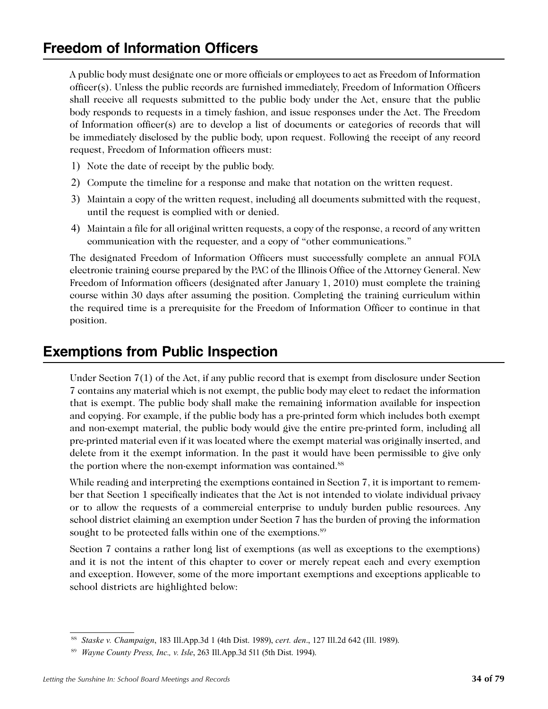<span id="page-34-0"></span>A public body must designate one or more officials or employees to act as Freedom of Information officer(s). Unless the public records are furnished immediately, Freedom of Information Officers shall receive all requests submitted to the public body under the Act, ensure that the public body responds to requests in a timely fashion, and issue responses under the Act. The Freedom of Information officer(s) are to develop a list of documents or categories of records that will be immediately disclosed by the public body, upon request. Following the receipt of any record request, Freedom of Information officers must:

- 1) Note the date of receipt by the public body.
- 2) Compute the timeline for a response and make that notation on the written request.
- 3) Maintain a copy of the written request, including all documents submitted with the request, until the request is complied with or denied.
- 4) Maintain a file for all original written requests, a copy of the response, a record of any written communication with the requester, and a copy of "other communications."

The designated Freedom of Information Officers must successfully complete an annual FOIA electronic training course prepared by the PAC of the Illinois Office of the Attorney General. New Freedom of Information officers (designated after January 1, 2010) must complete the training course within 30 days after assuming the position. Completing the training curriculum within the required time is a prerequisite for the Freedom of Information Officer to continue in that position.

# **Exemptions from Public Inspection**

Under Section 7(1) of the Act, if any public record that is exempt from disclosure under Section 7 contains any material which is not exempt, the public body may elect to redact the information that is exempt. The public body shall make the remaining information available for inspection and copying. For example, if the public body has a pre-printed form which includes both exempt and non-exempt material, the public body would give the entire pre-printed form, including all pre-printed material even if it was located where the exempt material was originally inserted, and delete from it the exempt information. In the past it would have been permissible to give only the portion where the non-exempt information was contained.<sup>88</sup>

While reading and interpreting the exemptions contained in Section 7, it is important to remember that Section 1 specifically indicates that the Act is not intended to violate individual privacy or to allow the requests of a commercial enterprise to unduly burden public resources. Any school district claiming an exemption under Section 7 has the burden of proving the information sought to be protected falls within one of the exemptions.<sup>89</sup>

Section 7 contains a rather long list of exemptions (as well as exceptions to the exemptions) and it is not the intent of this chapter to cover or merely repeat each and every exemption and exception. However, some of the more important exemptions and exceptions applicable to school districts are highlighted below:

<sup>88</sup> *Staske v. Champaign*, 183 Ill.App.3d 1 (4th Dist. 1989), *cert. den*., 127 Ill.2d 642 (Ill. 1989).

<sup>89</sup> *Wayne County Press, Inc., v. Isle*, 263 Ill.App.3d 511 (5th Dist. 1994).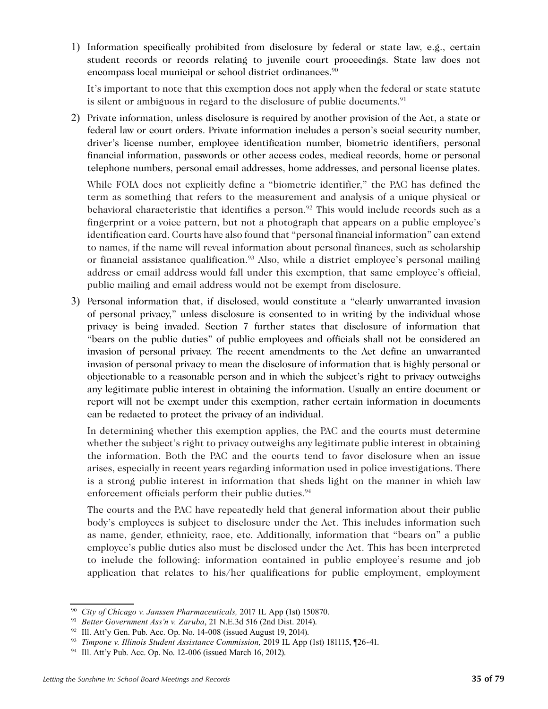1) Information specifically prohibited from disclosure by federal or state law, e.g., certain student records or records relating to juvenile court proceedings. State law does not encompass local municipal or school district ordinances.<sup>90</sup>

It's important to note that this exemption does not apply when the federal or state statute is silent or ambiguous in regard to the disclosure of public documents.<sup>91</sup>

2) Private information, unless disclosure is required by another provision of the Act, a state or federal law or court orders. Private information includes a person's social security number, driver's license number, employee identification number, biometric identifiers, personal financial information, passwords or other access codes, medical records, home or personal telephone numbers, personal email addresses, home addresses, and personal license plates.

While FOIA does not explicitly define a "biometric identifier," the PAC has defined the term as something that refers to the measurement and analysis of a unique physical or behavioral characteristic that identifies a person.<sup>92</sup> This would include records such as a fingerprint or a voice pattern, but not a photograph that appears on a public employee's identification card. Courts have also found that "personal financial information" can extend to names, if the name will reveal information about personal finances, such as scholarship or financial assistance qualification.<sup>93</sup> Also, while a district employee's personal mailing address or email address would fall under this exemption, that same employee's official, public mailing and email address would not be exempt from disclosure.

3) Personal information that, if disclosed, would constitute a "clearly unwarranted invasion of personal privacy," unless disclosure is consented to in writing by the individual whose privacy is being invaded. Section 7 further states that disclosure of information that "bears on the public duties" of public employees and officials shall not be considered an invasion of personal privacy. The recent amendments to the Act define an unwarranted invasion of personal privacy to mean the disclosure of information that is highly personal or objectionable to a reasonable person and in which the subject's right to privacy outweighs any legitimate public interest in obtaining the information. Usually an entire document or report will not be exempt under this exemption, rather certain information in documents can be redacted to protect the privacy of an individual.

In determining whether this exemption applies, the PAC and the courts must determine whether the subject's right to privacy outweighs any legitimate public interest in obtaining the information. Both the PAC and the courts tend to favor disclosure when an issue arises, especially in recent years regarding information used in police investigations. There is a strong public interest in information that sheds light on the manner in which law enforcement officials perform their public duties. $94$ 

The courts and the PAC have repeatedly held that general information about their public body's employees is subject to disclosure under the Act. This includes information such as name, gender, ethnicity, race, etc. Additionally, information that "bears on" a public employee's public duties also must be disclosed under the Act. This has been interpreted to include the following: information contained in public employee's resume and job application that relates to his/her qualifications for public employment, employment

<sup>90</sup> *City of Chicago v. Janssen Pharmaceuticals,* 2017 IL App (1st) 150870.

<sup>91</sup> *Better Government Ass'n v. Zaruba*, 21 N.E.3d 516 (2nd Dist. 2014).

<sup>&</sup>lt;sup>92</sup> Ill. Att'y Gen. Pub. Acc. Op. No. 14-008 (issued August 19, 2014).

<sup>93</sup> *Timpone v. Illinois Student Assistance Commission,* 2019 IL App (1st) 181115, ¶26-41.

<sup>94</sup> Ill. Att'y Pub. Acc. Op. No. 12-006 (issued March 16, 2012).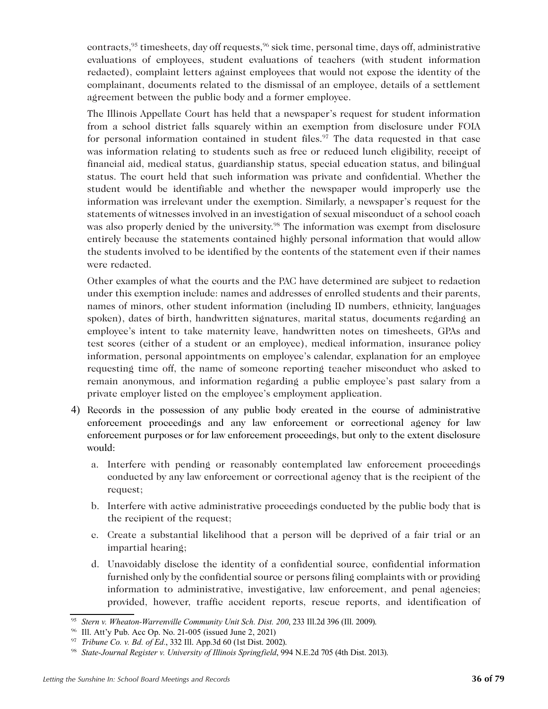contracts,<sup>95</sup> timesheets, day off requests,<sup>96</sup> sick time, personal time, days off, administrative evaluations of employees, student evaluations of teachers (with student information redacted), complaint letters against employees that would not expose the identity of the complainant, documents related to the dismissal of an employee, details of a settlement agreement between the public body and a former employee.

The Illinois Appellate Court has held that a newspaper's request for student information from a school district falls squarely within an exemption from disclosure under FOIA for personal information contained in student files.<sup>97</sup> The data requested in that case was information relating to students such as free or reduced lunch eligibility, receipt of financial aid, medical status, guardianship status, special education status, and bilingual status. The court held that such information was private and confidential. Whether the student would be identifiable and whether the newspaper would improperly use the information was irrelevant under the exemption. Similarly, a newspaper's request for the statements of witnesses involved in an investigation of sexual misconduct of a school coach was also properly denied by the university.<sup>98</sup> The information was exempt from disclosure entirely because the statements contained highly personal information that would allow the students involved to be identified by the contents of the statement even if their names were redacted.

Other examples of what the courts and the PAC have determined are subject to redaction under this exemption include: names and addresses of enrolled students and their parents, names of minors, other student information (including ID numbers, ethnicity, languages spoken), dates of birth, handwritten signatures, marital status, documents regarding an employee's intent to take maternity leave, handwritten notes on timesheets, GPAs and test scores (either of a student or an employee), medical information, insurance policy information, personal appointments on employee's calendar, explanation for an employee requesting time off, the name of someone reporting teacher misconduct who asked to remain anonymous, and information regarding a public employee's past salary from a private employer listed on the employee's employment application.

- 4) Records in the possession of any public body created in the course of administrative enforcement proceedings and any law enforcement or correctional agency for law enforcement purposes or for law enforcement proceedings, but only to the extent disclosure would:
	- a. Interfere with pending or reasonably contemplated law enforcement proceedings conducted by any law enforcement or correctional agency that is the recipient of the request;
	- b. Interfere with active administrative proceedings conducted by the public body that is the recipient of the request;
	- c. Create a substantial likelihood that a person will be deprived of a fair trial or an impartial hearing;
	- d. Unavoidably disclose the identity of a confidential source, confidential information furnished only by the confidential source or persons filing complaints with or providing information to administrative, investigative, law enforcement, and penal agencies; provided, however, traffic accident reports, rescue reports, and identification of

<sup>95</sup> *Stern v. Wheaton-Warrenville Community Unit Sch. Dist. 200*, 233 Ill.2d 396 (Ill. 2009).

<sup>96</sup> Ill. Att'y Pub. Acc Op. No. 21-005 (issued June 2, 2021)

<sup>97</sup> *Tribune Co. v. Bd. of Ed.*, 332 Ill. App.3d 60 (1st Dist. 2002).

<sup>98</sup> *State-Journal Register v. University of Illinois Springfield*, 994 N.E.2d 705 (4th Dist. 2013).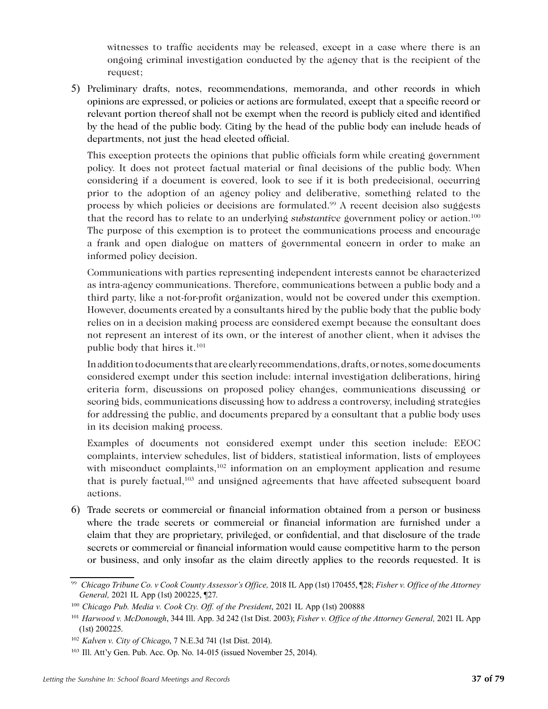witnesses to traffic accidents may be released, except in a case where there is an ongoing criminal investigation conducted by the agency that is the recipient of the request;

5) Preliminary drafts, notes, recommendations, memoranda, and other records in which opinions are expressed, or policies or actions are formulated, except that a specific record or relevant portion thereof shall not be exempt when the record is publicly cited and identified by the head of the public body. Citing by the head of the public body can include heads of departments, not just the head elected official.

This exception protects the opinions that public officials form while creating government policy. It does not protect factual material or final decisions of the public body. When considering if a document is covered, look to see if it is both predecisional, occurring prior to the adoption of an agency policy and deliberative, something related to the process by which policies or decisions are formulated.99 A recent decision also suggests that the record has to relate to an underlying *substantive* government policy or action.100 The purpose of this exemption is to protect the communications process and encourage a frank and open dialogue on matters of governmental concern in order to make an informed policy decision.

Communications with parties representing independent interests cannot be characterized as intra-agency communications. Therefore, communications between a public body and a third party, like a not-for-profit organization, would not be covered under this exemption. However, documents created by a consultants hired by the public body that the public body relies on in a decision making process are considered exempt because the consultant does not represent an interest of its own, or the interest of another client, when it advises the public body that hires it.<sup>101</sup>

In addition to documents that are clearly recommendations, drafts, or notes, some documents considered exempt under this section include: internal investigation deliberations, hiring criteria form, discussions on proposed policy changes, communications discussing or scoring bids, communications discussing how to address a controversy, including strategies for addressing the public, and documents prepared by a consultant that a public body uses in its decision making process.

Examples of documents not considered exempt under this section include: EEOC complaints, interview schedules, list of bidders, statistical information, lists of employees with misconduct complaints, $102$  information on an employment application and resume that is purely factual,<sup>103</sup> and unsigned agreements that have affected subsequent board actions.

6) Trade secrets or commercial or financial information obtained from a person or business where the trade secrets or commercial or financial information are furnished under a claim that they are proprietary, privileged, or confidential, and that disclosure of the trade secrets or commercial or financial information would cause competitive harm to the person or business, and only insofar as the claim directly applies to the records requested. It is

<sup>99</sup> *Chicago Tribune Co. v Cook County Assessor's Office,* 2018 IL App (1st) 170455, ¶28; *Fisher v. Office of the Attorney General,* 2021 IL App (1st) 200225, ¶27.

<sup>100</sup> *Chicago Pub. Media v. Cook Cty. Off. of the President*, 2021 IL App (1st) 200888

<sup>101</sup> *Harwood v. McDonough*, 344 Ill. App. 3d 242 (1st Dist. 2003); *Fisher v. Office of the Attorney General,* 2021 IL App (1st) 200225.

<sup>102</sup> *Kalven v. City of Chicago*, 7 N.E.3d 741 (1st Dist. 2014).

<sup>103</sup> Ill. Att'y Gen. Pub. Acc. Op. No. 14-015 (issued November 25, 2014).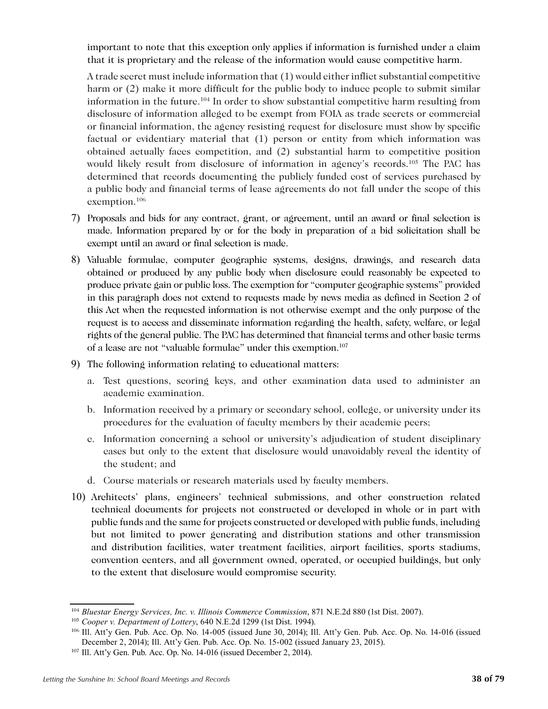important to note that this exception only applies if information is furnished under a claim that it is proprietary and the release of the information would cause competitive harm.

A trade secret must include information that (1) would either inflict substantial competitive harm or (2) make it more difficult for the public body to induce people to submit similar information in the future.<sup>104</sup> In order to show substantial competitive harm resulting from disclosure of information alleged to be exempt from FOIA as trade secrets or commercial or financial information, the agency resisting request for disclosure must show by specific factual or evidentiary material that (1) person or entity from which information was obtained actually faces competition, and (2) substantial harm to competitive position would likely result from disclosure of information in agency's records.<sup>105</sup> The PAC has determined that records documenting the publicly funded cost of services purchased by a public body and financial terms of lease agreements do not fall under the scope of this exemption.106

- 7) Proposals and bids for any contract, grant, or agreement, until an award or final selection is made. Information prepared by or for the body in preparation of a bid solicitation shall be exempt until an award or final selection is made.
- 8) Valuable formulae, computer geographic systems, designs, drawings, and research data obtained or produced by any public body when disclosure could reasonably be expected to produce private gain or public loss. The exemption for "computer geographic systems" provided in this paragraph does not extend to requests made by news media as defined in Section 2 of this Act when the requested information is not otherwise exempt and the only purpose of the request is to access and disseminate information regarding the health, safety, welfare, or legal rights of the general public. The PAC has determined that financial terms and other basic terms of a lease are not "valuable formulae" under this exemption.<sup>107</sup>
- 9) The following information relating to educational matters:
	- a. Test questions, scoring keys, and other examination data used to administer an academic examination.
	- b. Information received by a primary or secondary school, college, or university under its procedures for the evaluation of faculty members by their academic peers;
	- c. Information concerning a school or university's adjudication of student disciplinary cases but only to the extent that disclosure would unavoidably reveal the identity of the student; and
	- d. Course materials or research materials used by faculty members.
- 10) Architects' plans, engineers' technical submissions, and other construction related technical documents for projects not constructed or developed in whole or in part with public funds and the same for projects constructed or developed with public funds, including but not limited to power generating and distribution stations and other transmission and distribution facilities, water treatment facilities, airport facilities, sports stadiums, convention centers, and all government owned, operated, or occupied buildings, but only to the extent that disclosure would compromise security.

<sup>104</sup> *Bluestar Energy Services, Inc. v. Illinois Commerce Commission*, 871 N.E.2d 880 (1st Dist. 2007).

<sup>105</sup> *Cooper v. Department of Lottery*, 640 N.E.2d 1299 (1st Dist. 1994).

<sup>106</sup>Ill. Att'y Gen. Pub. Acc. Op. No. 14-005 (issued June 30, 2014); Ill. Att'y Gen. Pub. Acc. Op. No. 14-016 (issued December 2, 2014); Ill. Att'y Gen. Pub. Acc. Op. No. 15-002 (issued January 23, 2015).

<sup>107</sup> Ill. Att'y Gen. Pub. Acc. Op. No. 14-016 (issued December 2, 2014).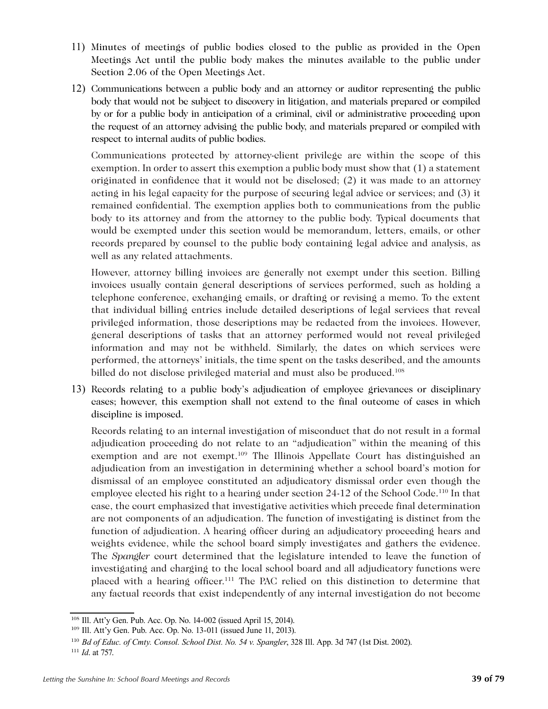- 11) Minutes of meetings of public bodies closed to the public as provided in the Open Meetings Act until the public body makes the minutes available to the public under Section 2.06 of the Open Meetings Act.
- 12) Communications between a public body and an attorney or auditor representing the public body that would not be subject to discovery in litigation, and materials prepared or compiled by or for a public body in anticipation of a criminal, civil or administrative proceeding upon the request of an attorney advising the public body, and materials prepared or compiled with respect to internal audits of public bodies.

Communications protected by attorney-client privilege are within the scope of this exemption. In order to assert this exemption a public body must show that (1) a statement originated in confidence that it would not be disclosed; (2) it was made to an attorney acting in his legal capacity for the purpose of securing legal advice or services; and (3) it remained confidential. The exemption applies both to communications from the public body to its attorney and from the attorney to the public body. Typical documents that would be exempted under this section would be memorandum, letters, emails, or other records prepared by counsel to the public body containing legal advice and analysis, as well as any related attachments.

However, attorney billing invoices are generally not exempt under this section. Billing invoices usually contain general descriptions of services performed, such as holding a telephone conference, exchanging emails, or drafting or revising a memo. To the extent that individual billing entries include detailed descriptions of legal services that reveal privileged information, those descriptions may be redacted from the invoices. However, general descriptions of tasks that an attorney performed would not reveal privileged information and may not be withheld. Similarly, the dates on which services were performed, the attorneys' initials, the time spent on the tasks described, and the amounts billed do not disclose privileged material and must also be produced.<sup>108</sup>

13) Records relating to a public body's adjudication of employee grievances or disciplinary cases; however, this exemption shall not extend to the final outcome of cases in which discipline is imposed.

Records relating to an internal investigation of misconduct that do not result in a formal adjudication proceeding do not relate to an "adjudication" within the meaning of this exemption and are not exempt.<sup>109</sup> The Illinois Appellate Court has distinguished an adjudication from an investigation in determining whether a school board's motion for dismissal of an employee constituted an adjudicatory dismissal order even though the employee elected his right to a hearing under section 24-12 of the School Code.<sup>110</sup> In that case, the court emphasized that investigative activities which precede final determination are not components of an adjudication. The function of investigating is distinct from the function of adjudication. A hearing officer during an adjudicatory proceeding hears and weights evidence, while the school board simply investigates and gathers the evidence. The *Spangler* court determined that the legislature intended to leave the function of investigating and charging to the local school board and all adjudicatory functions were placed with a hearing officer.<sup>111</sup> The PAC relied on this distinction to determine that any factual records that exist independently of any internal investigation do not become

<sup>108</sup> Ill. Att'y Gen. Pub. Acc. Op. No. 14-002 (issued April 15, 2014).

<sup>109</sup> Ill. Att'y Gen. Pub. Acc. Op. No. 13-011 (issued June 11, 2013).

<sup>110</sup> *Bd of Educ. of Cmty. Consol. School Dist. No. 54 v. Spangler*, 328 Ill. App. 3d 747 (1st Dist. 2002).

<sup>111</sup> *Id*. at 757.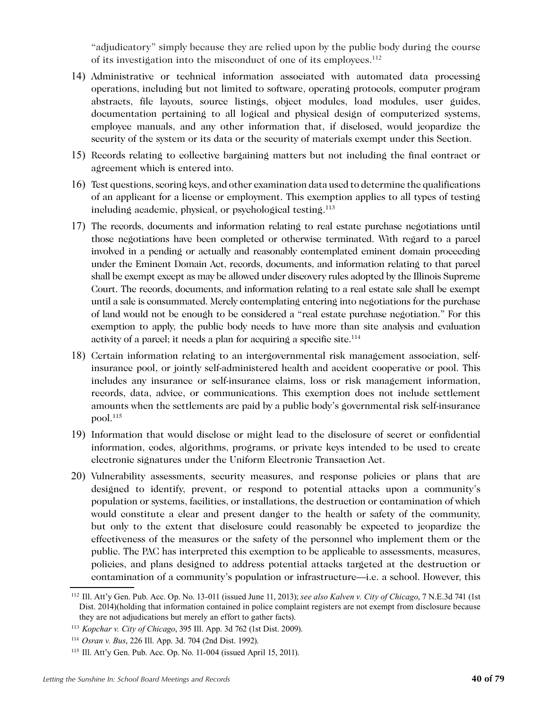"adjudicatory" simply because they are relied upon by the public body during the course of its investigation into the misconduct of one of its employees.<sup>112</sup>

- 14) Administrative or technical information associated with automated data processing operations, including but not limited to software, operating protocols, computer program abstracts, file layouts, source listings, object modules, load modules, user guides, documentation pertaining to all logical and physical design of computerized systems, employee manuals, and any other information that, if disclosed, would jeopardize the security of the system or its data or the security of materials exempt under this Section.
- 15) Records relating to collective bargaining matters but not including the final contract or agreement which is entered into.
- 16) Test questions, scoring keys, and other examination data used to determine the qualifications of an applicant for a license or employment. This exemption applies to all types of testing including academic, physical, or psychological testing.113
- 17) The records, documents and information relating to real estate purchase negotiations until those negotiations have been completed or otherwise terminated. With regard to a parcel involved in a pending or actually and reasonably contemplated eminent domain proceeding under the Eminent Domain Act, records, documents, and information relating to that parcel shall be exempt except as may be allowed under discovery rules adopted by the Illinois Supreme Court. The records, documents, and information relating to a real estate sale shall be exempt until a sale is consummated. Merely contemplating entering into negotiations for the purchase of land would not be enough to be considered a "real estate purchase negotiation." For this exemption to apply, the public body needs to have more than site analysis and evaluation activity of a parcel; it needs a plan for acquiring a specific site.<sup>114</sup>
- 18) Certain information relating to an intergovernmental risk management association, selfinsurance pool, or jointly self-administered health and accident cooperative or pool. This includes any insurance or self-insurance claims, loss or risk management information, records, data, advice, or communications. This exemption does not include settlement amounts when the settlements are paid by a public body's governmental risk self-insurance pool.115
- 19) Information that would disclose or might lead to the disclosure of secret or confidential information, codes, algorithms, programs, or private keys intended to be used to create electronic signatures under the Uniform Electronic Transaction Act.
- 20) Vulnerability assessments, security measures, and response policies or plans that are designed to identify, prevent, or respond to potential attacks upon a community's population or systems, facilities, or installations, the destruction or contamination of which would constitute a clear and present danger to the health or safety of the community, but only to the extent that disclosure could reasonably be expected to jeopardize the effectiveness of the measures or the safety of the personnel who implement them or the public. The PAC has interpreted this exemption to be applicable to assessments, measures, policies, and plans designed to address potential attacks targeted at the destruction or contamination of a community's population or infrastructure—i.e. a school. However, this

<sup>112</sup> Ill. Att'y Gen. Pub. Acc. Op. No. 13-011 (issued June 11, 2013); *see also Kalven v. City of Chicago*, 7 N.E.3d 741 (1st Dist. 2014)(holding that information contained in police complaint registers are not exempt from disclosure because they are not adjudications but merely an effort to gather facts).

<sup>113</sup> *Kopchar v. City of Chicago*, 395 Ill. App. 3d 762 (1st Dist. 2009).

<sup>114</sup> *Osran v. Bus*, 226 Ill. App. 3d. 704 (2nd Dist. 1992).

<sup>115</sup> Ill. Att'y Gen. Pub. Acc. Op. No. 11-004 (issued April 15, 2011).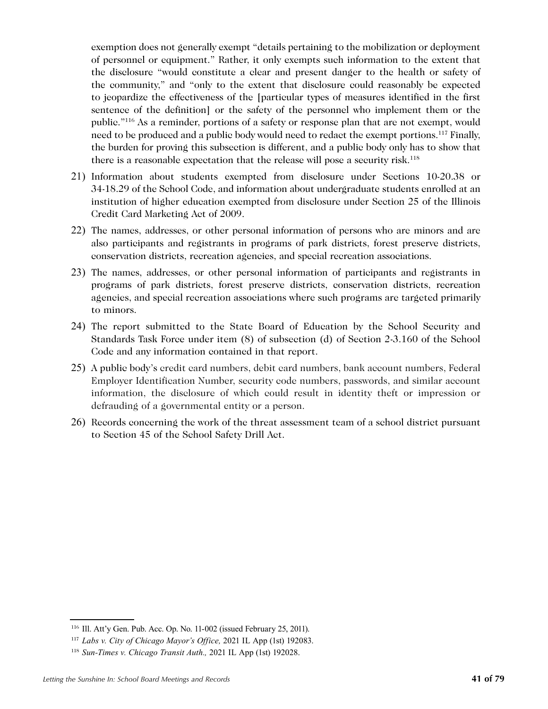exemption does not generally exempt "details pertaining to the mobilization or deployment of personnel or equipment." Rather, it only exempts such information to the extent that the disclosure "would constitute a clear and present danger to the health or safety of the community," and "only to the extent that disclosure could reasonably be expected to jeopardize the effectiveness of the [particular types of measures identified in the first sentence of the definition] or the safety of the personnel who implement them or the public."116 As a reminder, portions of a safety or response plan that are not exempt, would need to be produced and a public body would need to redact the exempt portions.<sup>117</sup> Finally, the burden for proving this subsection is different, and a public body only has to show that there is a reasonable expectation that the release will pose a security risk.<sup>118</sup>

- 21) Information about students exempted from disclosure under Sections 10-20.38 or 34-18.29 of the School Code, and information about undergraduate students enrolled at an institution of higher education exempted from disclosure under Section 25 of the Illinois Credit Card Marketing Act of 2009.
- 22) The names, addresses, or other personal information of persons who are minors and are also participants and registrants in programs of park districts, forest preserve districts, conservation districts, recreation agencies, and special recreation associations.
- 23) The names, addresses, or other personal information of participants and registrants in programs of park districts, forest preserve districts, conservation districts, recreation agencies, and special recreation associations where such programs are targeted primarily to minors.
- 24) The report submitted to the State Board of Education by the School Security and Standards Task Force under item (8) of subsection (d) of Section 2-3.160 of the School Code and any information contained in that report.
- 25) A public body's credit card numbers, debit card numbers, bank account numbers, Federal Employer Identification Number, security code numbers, passwords, and similar account information, the disclosure of which could result in identity theft or impression or defrauding of a governmental entity or a person.
- 26) Records concerning the work of the threat assessment team of a school district pursuant to Section 45 of the School Safety Drill Act.

<sup>116</sup> Ill. Att'y Gen. Pub. Acc. Op. No. 11-002 (issued February 25, 2011).

<sup>117</sup> *Labs v. City of Chicago Mayor's Office,* 2021 IL App (1st) 192083.

<sup>118</sup> *Sun-Times v. Chicago Transit Auth.,* 2021 IL App (1st) 192028.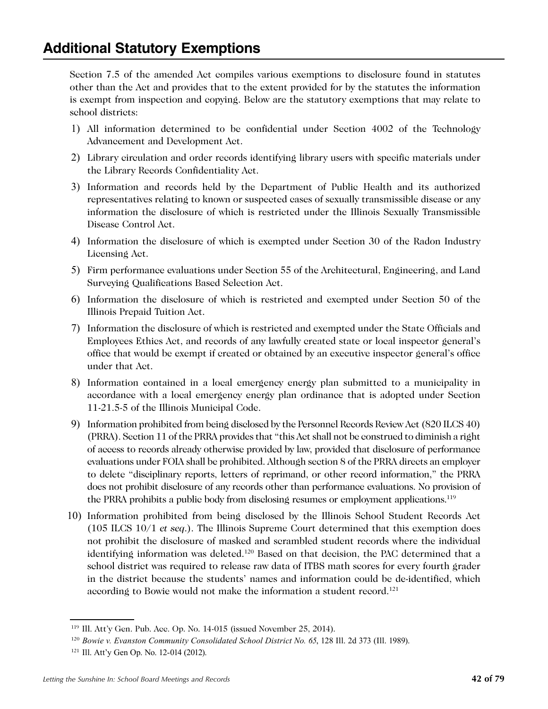Section 7.5 of the amended Act compiles various exemptions to disclosure found in statutes other than the Act and provides that to the extent provided for by the statutes the information is exempt from inspection and copying. Below are the statutory exemptions that may relate to school districts:

- 1) All information determined to be confidential under Section 4002 of the Technology Advancement and Development Act.
- 2) Library circulation and order records identifying library users with specific materials under the Library Records Confidentiality Act.
- 3) Information and records held by the Department of Public Health and its authorized representatives relating to known or suspected cases of sexually transmissible disease or any information the disclosure of which is restricted under the Illinois Sexually Transmissible Disease Control Act.
- 4) Information the disclosure of which is exempted under Section 30 of the Radon Industry Licensing Act.
- 5) Firm performance evaluations under Section 55 of the Architectural, Engineering, and Land Surveying Qualifications Based Selection Act.
- 6) Information the disclosure of which is restricted and exempted under Section 50 of the Illinois Prepaid Tuition Act.
- 7) Information the disclosure of which is restricted and exempted under the State Officials and Employees Ethics Act, and records of any lawfully created state or local inspector general's office that would be exempt if created or obtained by an executive inspector general's office under that Act.
- 8) Information contained in a local emergency energy plan submitted to a municipality in accordance with a local emergency energy plan ordinance that is adopted under Section 11-21.5-5 of the Illinois Municipal Code.
- 9) Information prohibited from being disclosed by the Personnel Records Review Act (820 ILCS 40) (PRRA). Section 11 of the PRRA provides that "this Act shall not be construed to diminish a right of access to records already otherwise provided by law, provided that disclosure of performance evaluations under FOIA shall be prohibited. Although section 8 of the PRRA directs an employer to delete "disciplinary reports, letters of reprimand, or other record information," the PRRA does not prohibit disclosure of any records other than performance evaluations. No provision of the PRRA prohibits a public body from disclosing resumes or employment applications.119
- 10) Information prohibited from being disclosed by the Illinois School Student Records Act (105 ILCS 10/1 *et seq*.). The Illinois Supreme Court determined that this exemption does not prohibit the disclosure of masked and scrambled student records where the individual identifying information was deleted.<sup>120</sup> Based on that decision, the PAC determined that a school district was required to release raw data of ITBS math scores for every fourth grader in the district because the students' names and information could be de-identified, which according to Bowie would not make the information a student record.<sup>121</sup>

<sup>119</sup> Ill. Att'y Gen. Pub. Acc. Op. No. 14-015 (issued November 25, 2014).

<sup>120</sup> *Bowie v. Evanston Community Consolidated School District No. 65*, 128 Ill. 2d 373 (Ill. 1989).

<sup>121</sup> Ill. Att'y Gen Op. No. 12-014 (2012).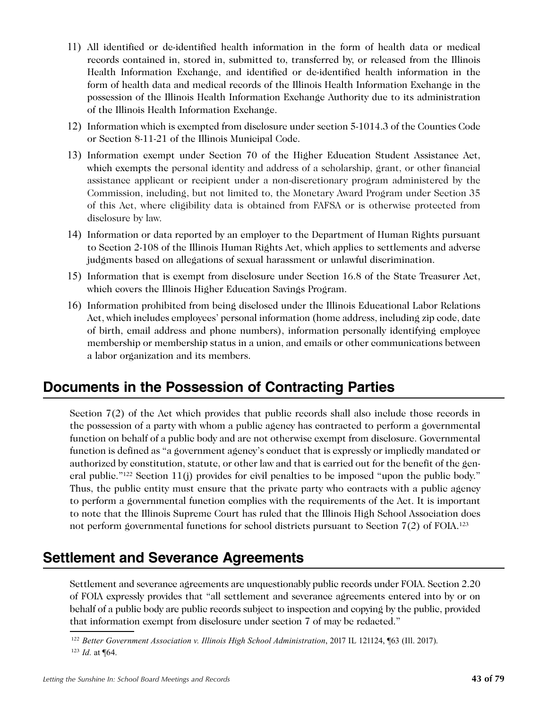- 11) All identified or de-identified health information in the form of health data or medical records contained in, stored in, submitted to, transferred by, or released from the Illinois Health Information Exchange, and identified or de-identified health information in the form of health data and medical records of the Illinois Health Information Exchange in the possession of the Illinois Health Information Exchange Authority due to its administration of the Illinois Health Information Exchange.
- 12) Information which is exempted from disclosure under section 5-1014.3 of the Counties Code or Section 8-11-21 of the Illinois Municipal Code.
- 13) Information exempt under Section 70 of the Higher Education Student Assistance Act, which exempts the personal identity and address of a scholarship, grant, or other financial assistance applicant or recipient under a non-discretionary program administered by the Commission, including, but not limited to, the Monetary Award Program under Section 35 of this Act, where eligibility data is obtained from FAFSA or is otherwise protected from disclosure by law.
- 14) Information or data reported by an employer to the Department of Human Rights pursuant to Section 2-108 of the Illinois Human Rights Act, which applies to settlements and adverse judgments based on allegations of sexual harassment or unlawful discrimination.
- 15) Information that is exempt from disclosure under Section 16.8 of the State Treasurer Act, which covers the Illinois Higher Education Savings Program.
- 16) Information prohibited from being disclosed under the Illinois Educational Labor Relations Act, which includes employees' personal information (home address, including zip code, date of birth, email address and phone numbers), information personally identifying employee membership or membership status in a union, and emails or other communications between a labor organization and its members.

## **Documents in the Possession of Contracting Parties**

Section 7(2) of the Act which provides that public records shall also include those records in the possession of a party with whom a public agency has contracted to perform a governmental function on behalf of a public body and are not otherwise exempt from disclosure. Governmental function is defined as "a government agency's conduct that is expressly or impliedly mandated or authorized by constitution, statute, or other law and that is carried out for the benefit of the general public."122 Section 11(j) provides for civil penalties to be imposed "upon the public body." Thus, the public entity must ensure that the private party who contracts with a public agency to perform a governmental function complies with the requirements of the Act. It is important to note that the Illinois Supreme Court has ruled that the Illinois High School Association does not perform governmental functions for school districts pursuant to Section  $7(2)$  of FOIA.<sup>123</sup>

## **Settlement and Severance Agreements**

Settlement and severance agreements are unquestionably public records under FOIA. Section 2.20 of FOIA expressly provides that "all settlement and severance agreements entered into by or on behalf of a public body are public records subject to inspection and copying by the public, provided that information exempt from disclosure under section 7 of may be redacted."

<sup>&</sup>lt;sup>122</sup> Better Government Association v. Illinois High School Administration, 2017 IL 121124, ¶63 (Ill. 2017). <sup>123</sup> *Id.* at ¶64.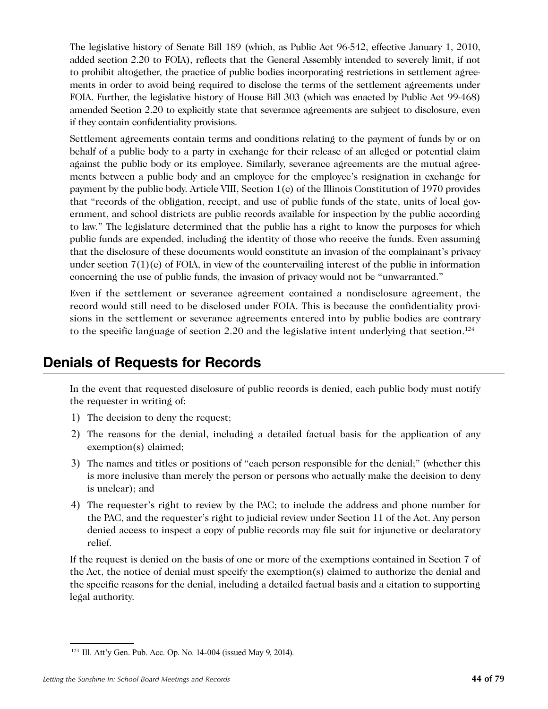The legislative history of Senate Bill 189 (which, as Public Act 96-542, effective January 1, 2010, added section 2.20 to FOIA), reflects that the General Assembly intended to severely limit, if not to prohibit altogether, the practice of public bodies incorporating restrictions in settlement agreements in order to avoid being required to disclose the terms of the settlement agreements under FOIA. Further, the legislative history of House Bill 303 (which was enacted by Public Act 99-468) amended Section 2.20 to explicitly state that severance agreements are subject to disclosure, even if they contain confidentiality provisions.

Settlement agreements contain terms and conditions relating to the payment of funds by or on behalf of a public body to a party in exchange for their release of an alleged or potential claim against the public body or its employee. Similarly, severance agreements are the mutual agreements between a public body and an employee for the employee's resignation in exchange for payment by the public body. Article VIII, Section 1(c) of the Illinois Constitution of 1970 provides that "records of the obligation, receipt, and use of public funds of the state, units of local government, and school districts are public records available for inspection by the public according to law." The legislature determined that the public has a right to know the purposes for which public funds are expended, including the identity of those who receive the funds. Even assuming that the disclosure of these documents would constitute an invasion of the complainant's privacy under section  $7(1)(c)$  of FOIA, in view of the countervailing interest of the public in information concerning the use of public funds, the invasion of privacy would not be "unwarranted."

Even if the settlement or severance agreement contained a nondisclosure agreement, the record would still need to be disclosed under FOIA. This is because the confidentiality provisions in the settlement or severance agreements entered into by public bodies are contrary to the specific language of section 2.20 and the legislative intent underlying that section.<sup>124</sup>

## **Denials of Requests for Records**

In the event that requested disclosure of public records is denied, each public body must notify the requester in writing of:

- 1) The decision to deny the request;
- 2) The reasons for the denial, including a detailed factual basis for the application of any exemption(s) claimed;
- 3) The names and titles or positions of "each person responsible for the denial;" (whether this is more inclusive than merely the person or persons who actually make the decision to deny is unclear); and
- 4) The requester's right to review by the PAC; to include the address and phone number for the PAC, and the requester's right to judicial review under Section 11 of the Act. Any person denied access to inspect a copy of public records may file suit for injunctive or declaratory relief.

If the request is denied on the basis of one or more of the exemptions contained in Section 7 of the Act, the notice of denial must specify the exemption(s) claimed to authorize the denial and the specific reasons for the denial, including a detailed factual basis and a citation to supporting legal authority.

<sup>124</sup> Ill. Att'y Gen. Pub. Acc. Op. No. 14-004 (issued May 9, 2014).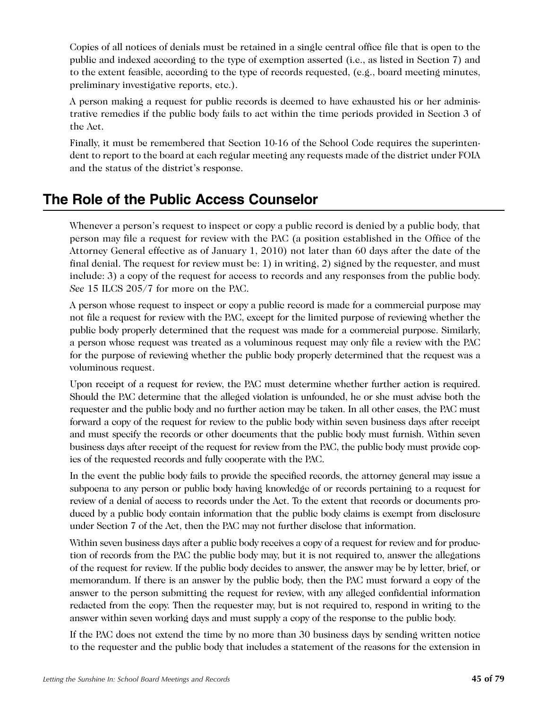Copies of all notices of denials must be retained in a single central office file that is open to the public and indexed according to the type of exemption asserted (i.e., as listed in Section 7) and to the extent feasible, according to the type of records requested, (e.g., board meeting minutes, preliminary investigative reports, etc.).

A person making a request for public records is deemed to have exhausted his or her administrative remedies if the public body fails to act within the time periods provided in Section 3 of the Act.

Finally, it must be remembered that Section 10-16 of the School Code requires the superintendent to report to the board at each regular meeting any requests made of the district under FOIA and the status of the district's response.

## **The Role of the Public Access Counselor**

Whenever a person's request to inspect or copy a public record is denied by a public body, that person may file a request for review with the PAC (a position established in the Office of the Attorney General effective as of January 1, 2010) not later than 60 days after the date of the final denial. The request for review must be: 1) in writing, 2) signed by the requester, and must include: 3) a copy of the request for access to records and any responses from the public body. *See* 15 ILCS 205/7 for more on the PAC.

A person whose request to inspect or copy a public record is made for a commercial purpose may not file a request for review with the PAC, except for the limited purpose of reviewing whether the public body properly determined that the request was made for a commercial purpose. Similarly, a person whose request was treated as a voluminous request may only file a review with the PAC for the purpose of reviewing whether the public body properly determined that the request was a voluminous request.

Upon receipt of a request for review, the PAC must determine whether further action is required. Should the PAC determine that the alleged violation is unfounded, he or she must advise both the requester and the public body and no further action may be taken. In all other cases, the PAC must forward a copy of the request for review to the public body within seven business days after receipt and must specify the records or other documents that the public body must furnish. Within seven business days after receipt of the request for review from the PAC, the public body must provide copies of the requested records and fully cooperate with the PAC.

In the event the public body fails to provide the specified records, the attorney general may issue a subpoena to any person or public body having knowledge of or records pertaining to a request for review of a denial of access to records under the Act. To the extent that records or documents produced by a public body contain information that the public body claims is exempt from disclosure under Section 7 of the Act, then the PAC may not further disclose that information.

Within seven business days after a public body receives a copy of a request for review and for production of records from the PAC the public body may, but it is not required to, answer the allegations of the request for review. If the public body decides to answer, the answer may be by letter, brief, or memorandum. If there is an answer by the public body, then the PAC must forward a copy of the answer to the person submitting the request for review, with any alleged confidential information redacted from the copy. Then the requester may, but is not required to, respond in writing to the answer within seven working days and must supply a copy of the response to the public body.

If the PAC does not extend the time by no more than 30 business days by sending written notice to the requester and the public body that includes a statement of the reasons for the extension in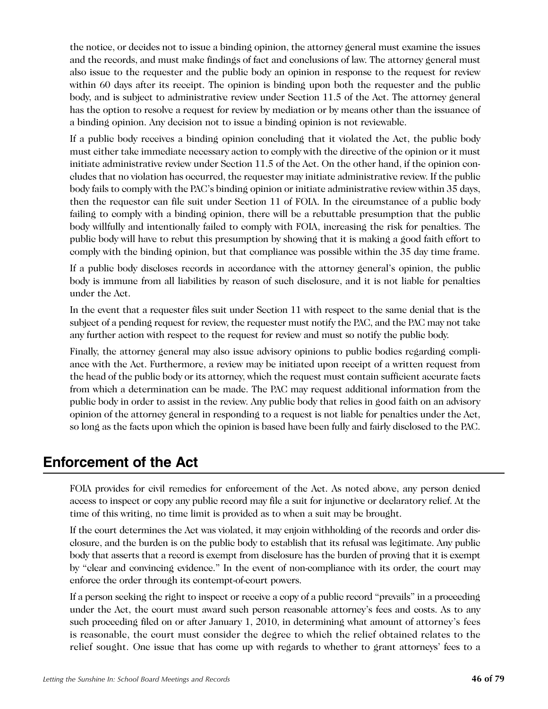the notice, or decides not to issue a binding opinion, the attorney general must examine the issues and the records, and must make findings of fact and conclusions of law. The attorney general must also issue to the requester and the public body an opinion in response to the request for review within 60 days after its receipt. The opinion is binding upon both the requester and the public body, and is subject to administrative review under Section 11.5 of the Act. The attorney general has the option to resolve a request for review by mediation or by means other than the issuance of a binding opinion. Any decision not to issue a binding opinion is not reviewable.

If a public body receives a binding opinion concluding that it violated the Act, the public body must either take immediate necessary action to comply with the directive of the opinion or it must initiate administrative review under Section 11.5 of the Act. On the other hand, if the opinion concludes that no violation has occurred, the requester may initiate administrative review. If the public body fails to comply with the PAC's binding opinion or initiate administrative review within 35 days, then the requestor can file suit under Section 11 of FOIA. In the circumstance of a public body failing to comply with a binding opinion, there will be a rebuttable presumption that the public body willfully and intentionally failed to comply with FOIA, increasing the risk for penalties. The public body will have to rebut this presumption by showing that it is making a good faith effort to comply with the binding opinion, but that compliance was possible within the 35 day time frame.

If a public body discloses records in accordance with the attorney general's opinion, the public body is immune from all liabilities by reason of such disclosure, and it is not liable for penalties under the Act.

In the event that a requester files suit under Section 11 with respect to the same denial that is the subject of a pending request for review, the requester must notify the PAC, and the PAC may not take any further action with respect to the request for review and must so notify the public body.

Finally, the attorney general may also issue advisory opinions to public bodies regarding compliance with the Act. Furthermore, a review may be initiated upon receipt of a written request from the head of the public body or its attorney, which the request must contain sufficient accurate facts from which a determination can be made. The PAC may request additional information from the public body in order to assist in the review. Any public body that relies in good faith on an advisory opinion of the attorney general in responding to a request is not liable for penalties under the Act, so long as the facts upon which the opinion is based have been fully and fairly disclosed to the PAC.

## **Enforcement of the Act**

FOIA provides for civil remedies for enforcement of the Act. As noted above, any person denied access to inspect or copy any public record may file a suit for injunctive or declaratory relief. At the time of this writing, no time limit is provided as to when a suit may be brought.

If the court determines the Act was violated, it may enjoin withholding of the records and order disclosure, and the burden is on the public body to establish that its refusal was legitimate. Any public body that asserts that a record is exempt from disclosure has the burden of proving that it is exempt by "clear and convincing evidence." In the event of non-compliance with its order, the court may enforce the order through its contempt-of-court powers.

If a person seeking the right to inspect or receive a copy of a public record "prevails" in a proceeding under the Act, the court must award such person reasonable attorney's fees and costs. As to any such proceeding filed on or after January 1, 2010, in determining what amount of attorney's fees is reasonable, the court must consider the degree to which the relief obtained relates to the relief sought. One issue that has come up with regards to whether to grant attorneys' fees to a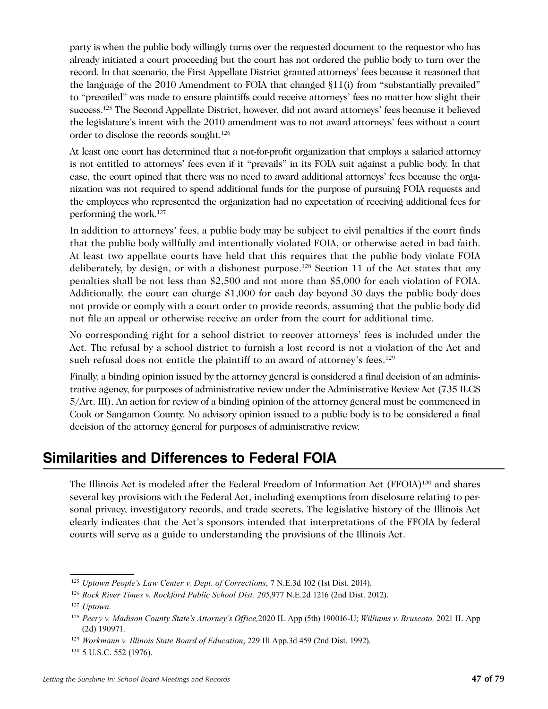party is when the public body willingly turns over the requested document to the requestor who has already initiated a court proceeding but the court has not ordered the public body to turn over the record. In that scenario, the First Appellate District granted attorneys' fees because it reasoned that the language of the 2010 Amendment to FOIA that changed §11(i) from "substantially prevailed" to "prevailed" was made to ensure plaintiffs could receive attorneys' fees no matter how slight their success.125 The Second Appellate District, however, did not award attorneys' fees because it believed the legislature's intent with the 2010 amendment was to not award attorneys' fees without a court order to disclose the records sought.126

At least one court has determined that a not-for-profit organization that employs a salaried attorney is not entitled to attorneys' fees even if it "prevails" in its FOIA suit against a public body. In that case, the court opined that there was no need to award additional attorneys' fees because the organization was not required to spend additional funds for the purpose of pursuing FOIA requests and the employees who represented the organization had no expectation of receiving additional fees for performing the work.127

In addition to attorneys' fees, a public body may be subject to civil penalties if the court finds that the public body willfully and intentionally violated FOIA, or otherwise acted in bad faith. At least two appellate courts have held that this requires that the public body violate FOIA deliberately, by design, or with a dishonest purpose.<sup>128</sup> Section 11 of the Act states that any penalties shall be not less than \$2,500 and not more than \$5,000 for each violation of FOIA. Additionally, the court can charge \$1,000 for each day beyond 30 days the public body does not provide or comply with a court order to provide records, assuming that the public body did not file an appeal or otherwise receive an order from the court for additional time.

No corresponding right for a school district to recover attorneys' fees is included under the Act. The refusal by a school district to furnish a lost record is not a violation of the Act and such refusal does not entitle the plaintiff to an award of attorney's fees.<sup>129</sup>

Finally, a binding opinion issued by the attorney general is considered a final decision of an administrative agency, for purposes of administrative review under the Administrative Review Act (735 ILCS 5/Art. III). An action for review of a binding opinion of the attorney general must be commenced in Cook or Sangamon County. No advisory opinion issued to a public body is to be considered a final decision of the attorney general for purposes of administrative review.

## **Similarities and Differences to Federal FOIA**

The Illinois Act is modeled after the Federal Freedom of Information Act (FFOIA)<sup>130</sup> and shares several key provisions with the Federal Act, including exemptions from disclosure relating to personal privacy, investigatory records, and trade secrets. The legislative history of the Illinois Act clearly indicates that the Act's sponsors intended that interpretations of the FFOIA by federal courts will serve as a guide to understanding the provisions of the Illinois Act.

<sup>125</sup> *Uptown People's Law Center v. Dept. of Corrections*, 7 N.E.3d 102 (1st Dist. 2014).

<sup>&</sup>lt;sup>126</sup> Rock River Times v. Rockford Public School Dist. 205,977 N.E.2d 1216 (2nd Dist. 2012).

<sup>127</sup> *Uptown*.

<sup>128</sup>*Peery v. Madison County State's Attorney's Office,*2020 IL App (5th) 190016-U; *Williams v. Bruscato,* 2021 IL App (2d) 190971.

<sup>129</sup> *Workmann v. Illinois State Board of Education*, 229 Ill.App.3d 459 (2nd Dist. 1992).

<sup>130</sup> 5 U.S.C. 552 (1976).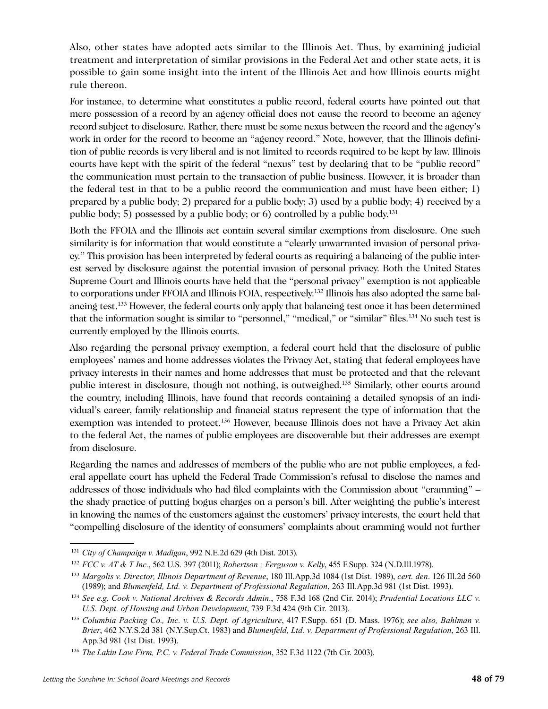Also, other states have adopted acts similar to the Illinois Act. Thus, by examining judicial treatment and interpretation of similar provisions in the Federal Act and other state acts, it is possible to gain some insight into the intent of the Illinois Act and how Illinois courts might rule thereon.

For instance, to determine what constitutes a public record, federal courts have pointed out that mere possession of a record by an agency official does not cause the record to become an agency record subject to disclosure. Rather, there must be some nexus between the record and the agency's work in order for the record to become an "agency record." Note, however, that the Illinois definition of public records is very liberal and is not limited to records required to be kept by law. Illinois courts have kept with the spirit of the federal "nexus" test by declaring that to be "public record" the communication must pertain to the transaction of public business. However, it is broader than the federal test in that to be a public record the communication and must have been either; 1) prepared by a public body; 2) prepared for a public body; 3) used by a public body; 4) received by a public body; 5) possessed by a public body; or 6) controlled by a public body.131

Both the FFOIA and the Illinois act contain several similar exemptions from disclosure. One such similarity is for information that would constitute a "clearly unwarranted invasion of personal privacy." This provision has been interpreted by federal courts as requiring a balancing of the public interest served by disclosure against the potential invasion of personal privacy. Both the United States Supreme Court and Illinois courts have held that the "personal privacy" exemption is not applicable to corporations under FFOIA and Illinois FOIA, respectively.132 Illinois has also adopted the same balancing test.133 However, the federal courts only apply that balancing test once it has been determined that the information sought is similar to "personnel," "medical," or "similar" files.134 No such test is currently employed by the Illinois courts.

Also regarding the personal privacy exemption, a federal court held that the disclosure of public employees' names and home addresses violates the Privacy Act, stating that federal employees have privacy interests in their names and home addresses that must be protected and that the relevant public interest in disclosure, though not nothing, is outweighed.135 Similarly, other courts around the country, including Illinois, have found that records containing a detailed synopsis of an individual's career, family relationship and financial status represent the type of information that the exemption was intended to protect.136 However, because Illinois does not have a Privacy Act akin to the federal Act, the names of public employees are discoverable but their addresses are exempt from disclosure.

Regarding the names and addresses of members of the public who are not public employees, a federal appellate court has upheld the Federal Trade Commission's refusal to disclose the names and addresses of those individuals who had filed complaints with the Commission about "cramming" – the shady practice of putting bogus charges on a person's bill. After weighting the public's interest in knowing the names of the customers against the customers' privacy interests, the court held that "compelling disclosure of the identity of consumers' complaints about cramming would not further

<sup>131</sup> *City of Champaign v. Madigan*, 992 N.E.2d 629 (4th Dist. 2013).

<sup>132</sup> *FCC v. AT & T Inc.*, 562 U.S. 397 (2011); *Robertson ; Ferguson v. Kelly*, 455 F.Supp. 324 (N.D.Ill.1978).

<sup>133</sup>*Margolis v. Director, Illinois Department of Revenue*, 180 Ill.App.3d 1084 (1st Dist. 1989), *cert. den*. 126 Ill.2d 560 (1989); and *Blumenfeld, Ltd. v. Department of Professional Regulation*, 263 Ill.App.3d 981 (1st Dist. 1993).

<sup>134</sup>*See e.g. Cook v. National Archives & Records Admin.*, 758 F.3d 168 (2nd Cir. 2014); *Prudential Locations LLC v. U.S. Dept. of Housing and Urban Development*, 739 F.3d 424 (9th Cir. 2013).

<sup>135</sup>*Columbia Packing Co., Inc. v. U.S. Dept. of Agriculture*, 417 F.Supp. 651 (D. Mass. 1976); *see also, Bahlman v. Brier*, 462 N.Y.S.2d 381 (N.Y.Sup.Ct. 1983) and *Blumenfeld, Ltd. v. Department of Professional Regulation*, 263 Ill. App.3d 981 (1st Dist. 1993).

<sup>136</sup> *The Lakin Law Firm, P.C. v. Federal Trade Commission*, 352 F.3d 1122 (7th Cir. 2003).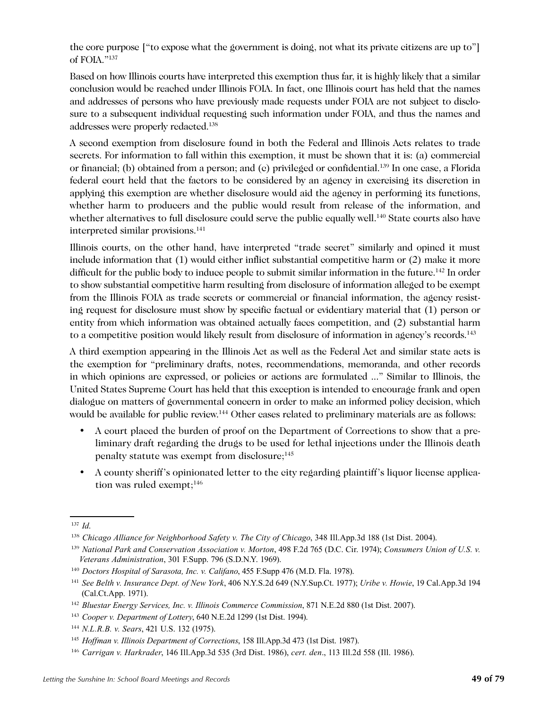the core purpose ["to expose what the government is doing, not what its private citizens are up to"] of FOIA."137

Based on how Illinois courts have interpreted this exemption thus far, it is highly likely that a similar conclusion would be reached under Illinois FOIA. In fact, one Illinois court has held that the names and addresses of persons who have previously made requests under FOIA are not subject to disclosure to a subsequent individual requesting such information under FOIA, and thus the names and addresses were properly redacted.138

A second exemption from disclosure found in both the Federal and Illinois Acts relates to trade secrets. For information to fall within this exemption, it must be shown that it is: (a) commercial or financial; (b) obtained from a person; and (c) privileged or confidential.139 In one case, a Florida federal court held that the factors to be considered by an agency in exercising its discretion in applying this exemption are whether disclosure would aid the agency in performing its functions, whether harm to producers and the public would result from release of the information, and whether alternatives to full disclosure could serve the public equally well.<sup>140</sup> State courts also have interpreted similar provisions.<sup>141</sup>

Illinois courts, on the other hand, have interpreted "trade secret" similarly and opined it must include information that (1) would either inflict substantial competitive harm or (2) make it more difficult for the public body to induce people to submit similar information in the future.<sup>142</sup> In order to show substantial competitive harm resulting from disclosure of information alleged to be exempt from the Illinois FOIA as trade secrets or commercial or financial information, the agency resisting request for disclosure must show by specific factual or evidentiary material that (1) person or entity from which information was obtained actually faces competition, and (2) substantial harm to a competitive position would likely result from disclosure of information in agency's records.<sup>143</sup>

A third exemption appearing in the Illinois Act as well as the Federal Act and similar state acts is the exemption for "preliminary drafts, notes, recommendations, memoranda, and other records in which opinions are expressed, or policies or actions are formulated ..." Similar to Illinois, the United States Supreme Court has held that this exception is intended to encourage frank and open dialogue on matters of governmental concern in order to make an informed policy decision, which would be available for public review.<sup>144</sup> Other cases related to preliminary materials are as follows:

- A court placed the burden of proof on the Department of Corrections to show that a preliminary draft regarding the drugs to be used for lethal injections under the Illinois death penalty statute was exempt from disclosure;<sup>145</sup>
- A county sheriff's opinionated letter to the city regarding plaintiff's liquor license application was ruled exempt;<sup>146</sup>

<sup>137</sup> *Id*.

<sup>138</sup> *Chicago Alliance for Neighborhood Safety v. The City of Chicago*, 348 Ill.App.3d 188 (1st Dist. 2004).

<sup>139</sup> *National Park and Conservation Association v. Morton*, 498 F.2d 765 (D.C. Cir. 1974); *Consumers Union of U.S. v. Veterans Administration*, 301 F.Supp. 796 (S.D.N.Y. 1969).

<sup>140</sup> *Doctors Hospital of Sarasota, Inc. v. Califano*, 455 F.Supp 476 (M.D. Fla. 1978).

<sup>141</sup>*See Belth v. Insurance Dept. of New York*, 406 N.Y.S.2d 649 (N.Y.Sup.Ct. 1977); *Uribe v. Howie*, 19 Cal.App.3d 194 (Cal.Ct.App. 1971).

<sup>142</sup> *Bluestar Energy Services, Inc. v. Illinois Commerce Commission*, 871 N.E.2d 880 (1st Dist. 2007).

<sup>143</sup> *Cooper v. Department of Lottery*, 640 N.E.2d 1299 (1st Dist. 1994).

<sup>144</sup> *N.L.R.B. v. Sears*, 421 U.S. 132 (1975).

<sup>145</sup> *Hoffman v. Illinois Department of Corrections*, 158 Ill.App.3d 473 (1st Dist. 1987).

<sup>146</sup> *Carrigan v. Harkrader*, 146 Ill.App.3d 535 (3rd Dist. 1986), *cert. den*., 113 Ill.2d 558 (Ill. 1986).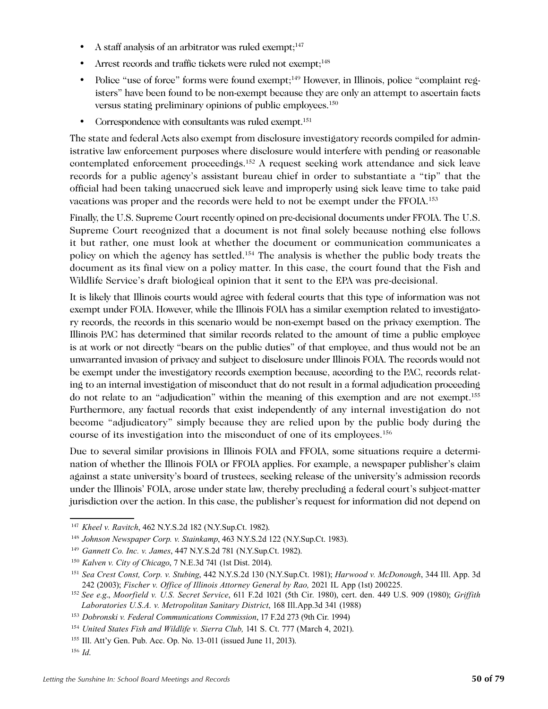- A staff analysis of an arbitrator was ruled exempt;<sup>147</sup>
- Arrest records and traffic tickets were ruled not exempt;<sup>148</sup>
- Police "use of force" forms were found exempt;<sup>149</sup> However, in Illinois, police "complaint registers" have been found to be non-exempt because they are only an attempt to ascertain facts versus stating preliminary opinions of public employees.150
- Correspondence with consultants was ruled exempt.<sup>151</sup>

The state and federal Acts also exempt from disclosure investigatory records compiled for administrative law enforcement purposes where disclosure would interfere with pending or reasonable contemplated enforcement proceedings.152 A request seeking work attendance and sick leave records for a public agency's assistant bureau chief in order to substantiate a "tip" that the official had been taking unaccrued sick leave and improperly using sick leave time to take paid vacations was proper and the records were held to not be exempt under the FFOIA.153

Finally, the U.S. Supreme Court recently opined on pre-decisional documents under FFOIA. The U.S. Supreme Court recognized that a document is not final solely because nothing else follows it but rather, one must look at whether the document or communication communicates a policy on which the agency has settled.154 The analysis is whether the public body treats the document as its final view on a policy matter. In this case, the court found that the Fish and Wildlife Service's draft biological opinion that it sent to the EPA was pre-decisional.

It is likely that Illinois courts would agree with federal courts that this type of information was not exempt under FOIA. However, while the Illinois FOIA has a similar exemption related to investigatory records, the records in this scenario would be non-exempt based on the privacy exemption. The Illinois PAC has determined that similar records related to the amount of time a public employee is at work or not directly "bears on the public duties" of that employee, and thus would not be an unwarranted invasion of privacy and subject to disclosure under Illinois FOIA. The records would not be exempt under the investigatory records exemption because, according to the PAC, records relating to an internal investigation of misconduct that do not result in a formal adjudication proceeding do not relate to an "adjudication" within the meaning of this exemption and are not exempt.155 Furthermore, any factual records that exist independently of any internal investigation do not become "adjudicatory" simply because they are relied upon by the public body during the course of its investigation into the misconduct of one of its employees.156

Due to several similar provisions in Illinois FOIA and FFOIA, some situations require a determination of whether the Illinois FOIA or FFOIA applies. For example, a newspaper publisher's claim against a state university's board of trustees, seeking release of the university's admission records under the Illinois' FOIA, arose under state law, thereby precluding a federal court's subject-matter jurisdiction over the action. In this case, the publisher's request for information did not depend on

<sup>147</sup> *Kheel v. Ravitch*, 462 N.Y.S.2d 182 (N.Y.Sup.Ct. 1982).

<sup>148</sup> *Johnson Newspaper Corp. v. Stainkamp*, 463 N.Y.S.2d 122 (N.Y.Sup.Ct. 1983).

<sup>149</sup> *Gannett Co. Inc. v. James*, 447 N.Y.S.2d 781 (N.Y.Sup.Ct. 1982).

<sup>150</sup> *Kalven v. City of Chicago*, 7 N.E.3d 741 (1st Dist. 2014).

<sup>151</sup>*Sea Crest Const, Corp. v. Stubing*, 442 N.Y.S.2d 130 (N.Y.Sup.Ct. 1981); *Harwood v. McDonough*, 344 Ill. App. 3d 242 (2003); *Fischer v. Office of Illinois Attorney General by Rao,* 2021 IL App (1st) 200225.

<sup>152</sup> *See e.g*., *Moorfield v. U.S. Secret Service*, 611 F.2d 1021 (5th Cir. 1980), cert. den. 449 U.S. 909 (1980); *Griffith Laboratories U.S.A. v. Metropolitan Sanitary District*, 168 Ill.App.3d 341 (1988)

<sup>153</sup> *Dobronski v. Federal Communications Commission*, 17 F.2d 273 (9th Cir. 1994)

<sup>&</sup>lt;sup>154</sup> United States Fish and Wildlife v. Sierra Club, 141 S. Ct. 777 (March 4, 2021).

<sup>155</sup> Ill. Att'y Gen. Pub. Acc. Op. No. 13-011 (issued June 11, 2013).

<sup>156</sup> *Id*.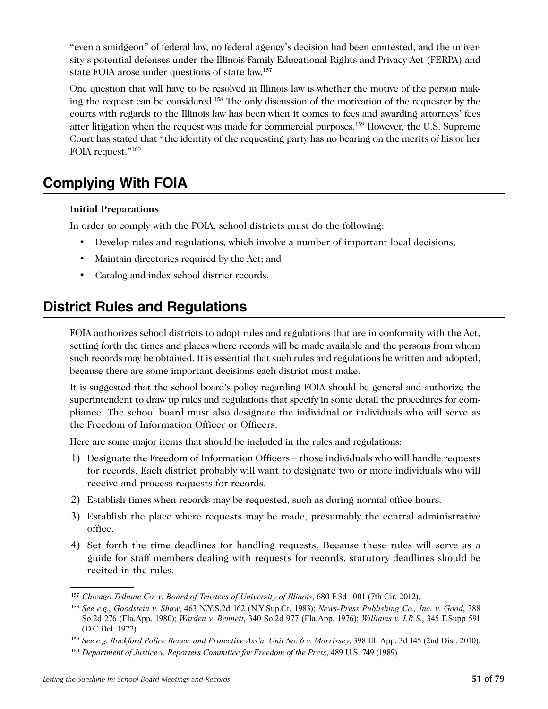"even a smidgeon" of federal law, no federal agency's decision had been contested, and the university's potential defenses under the Illinois Family Educational Rights and Privacy Act (FERPA) and state FOIA arose under questions of state law.157

One question that will have to be resolved in Illinois law is whether the motive of the person making the request can be considered.158 The only discussion of the motivation of the requester by the courts with regards to the Illinois law has been when it comes to fees and awarding attorneys' fees after litigation when the request was made for commercial purposes.159 However, the U.S. Supreme Court has stated that "the identity of the requesting party has no bearing on the merits of his or her FOIA request."<sup>160</sup>

## **Complying With FOIA**

### **Initial Preparations**

In order to comply with the FOIA, school districts must do the following:

- Develop rules and regulations, which involve a number of important local decisions;
- Maintain directories required by the Act; and
- Catalog and index school district records.

## **District Rules and Regulations**

FOIA authorizes school districts to adopt rules and regulations that are in conformity with the Act, setting forth the times and places where records will be made available and the persons from whom such records may be obtained. It is essential that such rules and regulations be written and adopted, because there are some important decisions each district must make.

It is suggested that the school board's policy regarding FOIA should be general and authorize the superintendent to draw up rules and regulations that specify in some detail the procedures for compliance. The school board must also designate the individual or individuals who will serve as the Freedom of Information Officer or Officers.

Here are some major items that should be included in the rules and regulations:

- 1) Designate the Freedom of Information Officers those individuals who will handle requests for records. Each district probably will want to designate two or more individuals who will receive and process requests for records.
- 2) Establish times when records may be requested, such as during normal office hours.
- 3) Establish the place where requests may be made, presumably the central administrative office.
- 4) Set forth the time deadlines for handling requests. Because these rules will serve as a guide for staff members dealing with requests for records, statutory deadlines should be recited in the rules.

<sup>157</sup> *Chicago Tribune Co. v. Board of Trustees of University of Illinois*, 680 F.3d 1001 (7th Cir. 2012).

<sup>158</sup> *See e.g*., *Goodstein v. Shaw*, 463 N.Y.S.2d 162 (N.Y.Sup.Ct. 1983); *News-Press Publishing Co., Inc. v. Good*, 388 So.2d 276 (Fla.App. 1980); *Warden v. Bennett*, 340 So.2d 977 (Fla.App. 1976); *Williams v. I.R.S.*, 345 F.Supp 591 (D.C.Del. 1972).

<sup>159</sup> *See e.g. Rockford Police Benev. and Protective Ass'n, Unit No. 6 v. Morrissey*, 398 Ill. App. 3d 145 (2nd Dist. 2010).

<sup>160</sup> *Department of Justice v. Reporters Committee for Freedom of the Press*, 489 U.S. 749 (1989).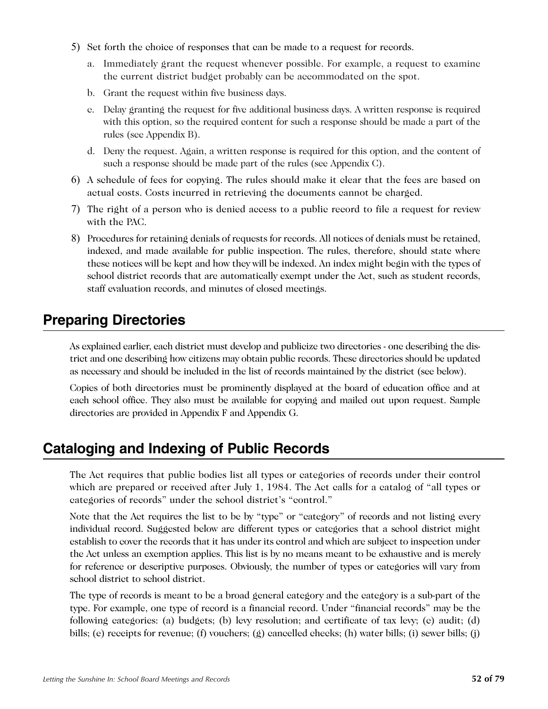- 5) Set forth the choice of responses that can be made to a request for records.
	- a. Immediately grant the request whenever possible. For example, a request to examine the current district budget probably can be accommodated on the spot.
	- b. Grant the request within five business days.
	- c. Delay granting the request for five additional business days. A written response is required with this option, so the required content for such a response should be made a part of the rules (see Appendix B).
	- d. Deny the request. Again, a written response is required for this option, and the content of such a response should be made part of the rules (see Appendix C).
- 6) A schedule of fees for copying. The rules should make it clear that the fees are based on actual costs. Costs incurred in retrieving the documents cannot be charged.
- 7) The right of a person who is denied access to a public record to file a request for review with the PAC.
- 8) Procedures for retaining denials of requests for records. All notices of denials must be retained, indexed, and made available for public inspection. The rules, therefore, should state where these notices will be kept and how they will be indexed. An index might begin with the types of school district records that are automatically exempt under the Act, such as student records, staff evaluation records, and minutes of closed meetings.

## **Preparing Directories**

As explained earlier, each district must develop and publicize two directories - one describing the district and one describing how citizens may obtain public records. These directories should be updated as necessary and should be included in the list of records maintained by the district (see below).

Copies of both directories must be prominently displayed at the board of education office and at each school office. They also must be available for copying and mailed out upon request. Sample directories are provided in Appendix F and Appendix G.

## **Cataloging and Indexing of Public Records**

The Act requires that public bodies list all types or categories of records under their control which are prepared or received after July 1, 1984. The Act calls for a catalog of "all types or categories of records" under the school district's "control."

Note that the Act requires the list to be by "type" or "category" of records and not listing every individual record. Suggested below are different types or categories that a school district might establish to cover the records that it has under its control and which are subject to inspection under the Act unless an exemption applies. This list is by no means meant to be exhaustive and is merely for reference or descriptive purposes. Obviously, the number of types or categories will vary from school district to school district.

The type of records is meant to be a broad general category and the category is a sub-part of the type. For example, one type of record is a financial record. Under "financial records" may be the following categories: (a) budgets; (b) levy resolution; and certificate of tax levy; (c) audit; (d) bills; (e) receipts for revenue; (f) vouchers; (g) cancelled checks; (h) water bills; (i) sewer bills; (j)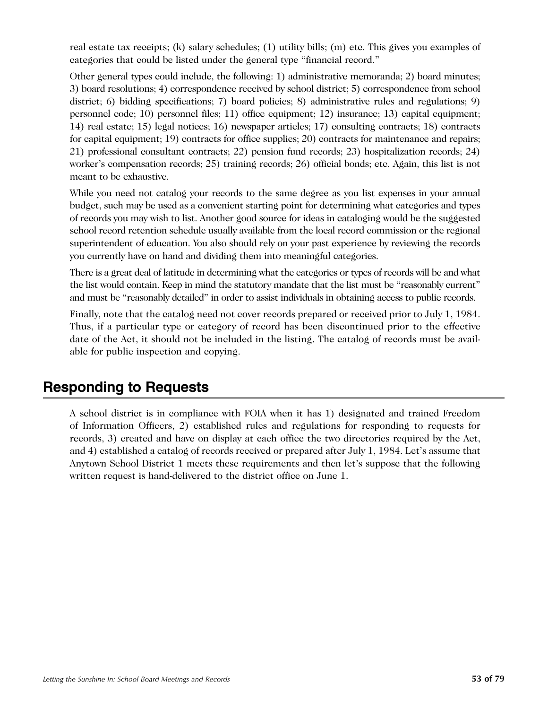real estate tax receipts; (k) salary schedules; (1) utility bills; (m) etc. This gives you examples of categories that could be listed under the general type "financial record."

Other general types could include, the following: 1) administrative memoranda; 2) board minutes; 3) board resolutions; 4) correspondence received by school district; 5) correspondence from school district; 6) bidding specifications; 7) board policies; 8) administrative rules and regulations; 9) personnel code; 10) personnel files; 11) office equipment; 12) insurance; 13) capital equipment; 14) real estate; 15) legal notices; 16) newspaper articles; 17) consulting contracts; 18) contracts for capital equipment; 19) contracts for office supplies; 20) contracts for maintenance and repairs; 21) professional consultant contracts; 22) pension fund records; 23) hospitalization records; 24) worker's compensation records; 25) training records; 26) official bonds; etc. Again, this list is not meant to be exhaustive.

While you need not catalog your records to the same degree as you list expenses in your annual budget, such may be used as a convenient starting point for determining what categories and types of records you may wish to list. Another good source for ideas in cataloging would be the suggested school record retention schedule usually available from the local record commission or the regional superintendent of education. You also should rely on your past experience by reviewing the records you currently have on hand and dividing them into meaningful categories.

There is a great deal of latitude in determining what the categories or types of records will be and what the list would contain. Keep in mind the statutory mandate that the list must be "reasonably current" and must be "reasonably detailed" in order to assist individuals in obtaining access to public records.

Finally, note that the catalog need not cover records prepared or received prior to July 1, 1984. Thus, if a particular type or category of record has been discontinued prior to the effective date of the Act, it should not be included in the listing. The catalog of records must be available for public inspection and copying.

## **Responding to Requests**

A school district is in compliance with FOIA when it has 1) designated and trained Freedom of Information Officers, 2) established rules and regulations for responding to requests for records, 3) created and have on display at each office the two directories required by the Act, and 4) established a catalog of records received or prepared after July 1, 1984. Let's assume that Anytown School District 1 meets these requirements and then let's suppose that the following written request is hand-delivered to the district office on June 1.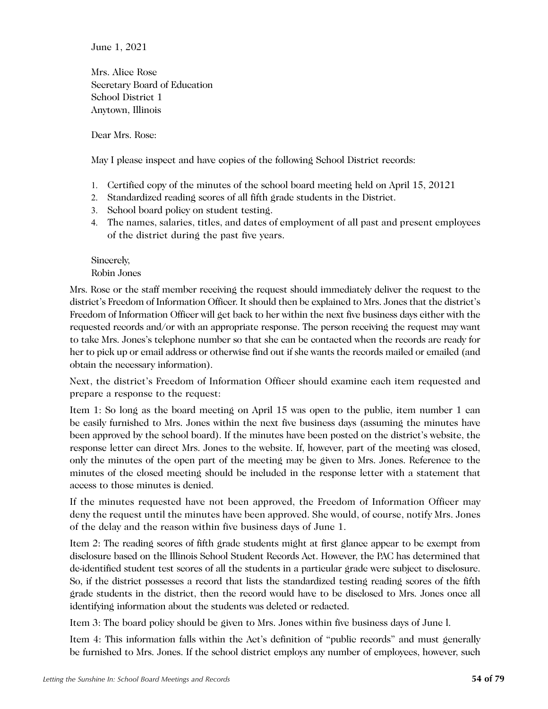June 1, 2021

Mrs. Alice Rose Secretary Board of Education School District 1 Anytown, Illinois

Dear Mrs. Rose:

May I please inspect and have copies of the following School District records:

- 1. Certified copy of the minutes of the school board meeting held on April 15, 20121
- 2. Standardized reading scores of all fifth grade students in the District.
- 3. School board policy on student testing.
- 4. The names, salaries, titles, and dates of employment of all past and present employees of the district during the past five years.

Sincerely, Robin Jones

Mrs. Rose or the staff member receiving the request should immediately deliver the request to the district's Freedom of Information Officer. It should then be explained to Mrs. Jones that the district's Freedom of Information Officer will get back to her within the next five business days either with the requested records and/or with an appropriate response. The person receiving the request may want to take Mrs. Jones's telephone number so that she can be contacted when the records are ready for her to pick up or email address or otherwise find out if she wants the records mailed or emailed (and obtain the necessary information).

Next, the district's Freedom of Information Officer should examine each item requested and prepare a response to the request:

Item 1: So long as the board meeting on April 15 was open to the public, item number 1 can be easily furnished to Mrs. Jones within the next five business days (assuming the minutes have been approved by the school board). If the minutes have been posted on the district's website, the response letter can direct Mrs. Jones to the website. If, however, part of the meeting was closed, only the minutes of the open part of the meeting may be given to Mrs. Jones. Reference to the minutes of the closed meeting should be included in the response letter with a statement that access to those minutes is denied.

If the minutes requested have not been approved, the Freedom of Information Officer may deny the request until the minutes have been approved. She would, of course, notify Mrs. Jones of the delay and the reason within five business days of June 1.

Item 2: The reading scores of fifth grade students might at first glance appear to be exempt from disclosure based on the Illinois School Student Records Act. However, the PAC has determined that de-identified student test scores of all the students in a particular grade were subject to disclosure. So, if the district possesses a record that lists the standardized testing reading scores of the fifth grade students in the district, then the record would have to be disclosed to Mrs. Jones once all identifying information about the students was deleted or redacted.

Item 3: The board policy should be given to Mrs. Jones within five business days of June l.

Item 4: This information falls within the Act's definition of "public records" and must generally be furnished to Mrs. Jones. If the school district employs any number of employees, however, such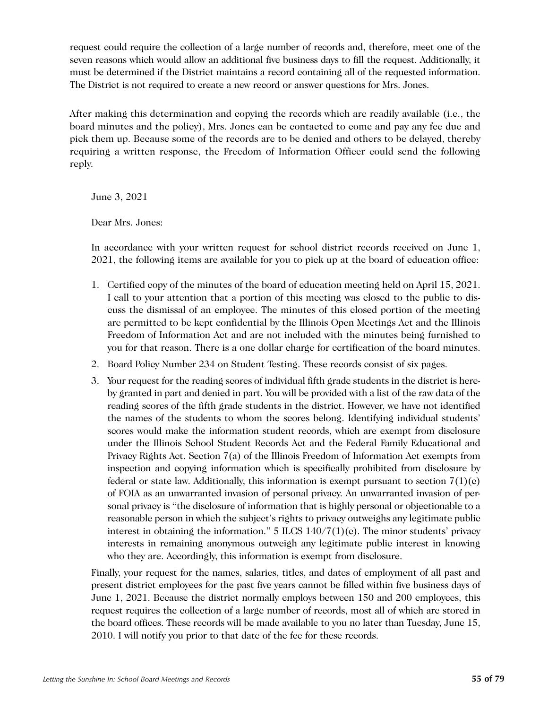request could require the collection of a large number of records and, therefore, meet one of the seven reasons which would allow an additional five business days to fill the request. Additionally, it must be determined if the District maintains a record containing all of the requested information. The District is not required to create a new record or answer questions for Mrs. Jones.

After making this determination and copying the records which are readily available (i.e., the board minutes and the policy), Mrs. Jones can be contacted to come and pay any fee due and pick them up. Because some of the records are to be denied and others to be delayed, thereby requiring a written response, the Freedom of Information Officer could send the following reply.

June 3, 2021

Dear Mrs. Jones:

In accordance with your written request for school district records received on June 1, 2021, the following items are available for you to pick up at the board of education office:

- 1. Certified copy of the minutes of the board of education meeting held on April 15, 2021. I call to your attention that a portion of this meeting was closed to the public to discuss the dismissal of an employee. The minutes of this closed portion of the meeting are permitted to be kept confidential by the Illinois Open Meetings Act and the Illinois Freedom of Information Act and are not included with the minutes being furnished to you for that reason. There is a one dollar charge for certification of the board minutes.
- 2. Board Policy Number 234 on Student Testing. These records consist of six pages.
- 3. Your request for the reading scores of individual fifth grade students in the district is hereby granted in part and denied in part. You will be provided with a list of the raw data of the reading scores of the fifth grade students in the district. However, we have not identified the names of the students to whom the scores belong. Identifying individual students' scores would make the information student records, which are exempt from disclosure under the Illinois School Student Records Act and the Federal Family Educational and Privacy Rights Act. Section 7(a) of the Illinois Freedom of Information Act exempts from inspection and copying information which is specifically prohibited from disclosure by federal or state law. Additionally, this information is exempt pursuant to section  $7(1)(c)$ of FOIA as an unwarranted invasion of personal privacy. An unwarranted invasion of personal privacy is "the disclosure of information that is highly personal or objectionable to a reasonable person in which the subject's rights to privacy outweighs any legitimate public interest in obtaining the information."  $5$  ILCS  $140/7(1)(e)$ . The minor students' privacy interests in remaining anonymous outweigh any legitimate public interest in knowing who they are. Accordingly, this information is exempt from disclosure.

Finally, your request for the names, salaries, titles, and dates of employment of all past and present district employees for the past five years cannot be filled within five business days of June 1, 2021. Because the district normally employs between 150 and 200 employees, this request requires the collection of a large number of records, most all of which are stored in the board offices. These records will be made available to you no later than Tuesday, June 15, 2010. I will notify you prior to that date of the fee for these records.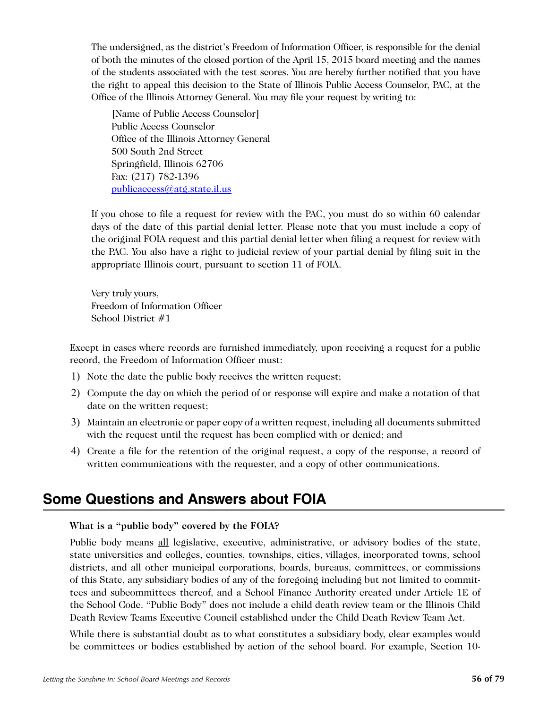The undersigned, as the district's Freedom of Information Officer, is responsible for the denial of both the minutes of the closed portion of the April 15, 2015 board meeting and the names of the students associated with the test scores. You are hereby further notified that you have the right to appeal this decision to the State of Illinois Public Access Counselor, PAC, at the Office of the Illinois Attorney General. You may file your request by writing to:

[Name of Public Access Counselor] Public Access Counselor Office of the Illinois Attorney General 500 South 2nd Street Springfield, Illinois 62706 Fax: (217) 782-1396 publicaccess@atg.state.il.us

If you chose to file a request for review with the PAC, you must do so within 60 calendar days of the date of this partial denial letter. Please note that you must include a copy of the original FOIA request and this partial denial letter when filing a request for review with the PAC. You also have a right to judicial review of your partial denial by filing suit in the appropriate Illinois court, pursuant to section 11 of FOIA.

Very truly yours, Freedom of Information Officer School District #1

Except in cases where records are furnished immediately, upon receiving a request for a public record, the Freedom of Information Officer must:

- 1) Note the date the public body receives the written request;
- 2) Compute the day on which the period of or response will expire and make a notation of that date on the written request;
- 3) Maintain an electronic or paper copy of a written request, including all documents submitted with the request until the request has been complied with or denied; and
- 4) Create a file for the retention of the original request, a copy of the response, a record of written communications with the requester, and a copy of other communications.

## **Some Questions and Answers about FOIA**

### **What is a "public body" covered by the FOIA?**

Public body means all legislative, executive, administrative, or advisory bodies of the state, state universities and colleges, counties, townships, cities, villages, incorporated towns, school districts, and all other municipal corporations, boards, bureaus, committees, or commissions of this State, any subsidiary bodies of any of the foregoing including but not limited to committees and subcommittees thereof, and a School Finance Authority created under Article 1E of the School Code. "Public Body" does not include a child death review team or the Illinois Child Death Review Teams Executive Council established under the Child Death Review Team Act.

While there is substantial doubt as to what constitutes a subsidiary body, clear examples would be committees or bodies established by action of the school board. For example, Section 10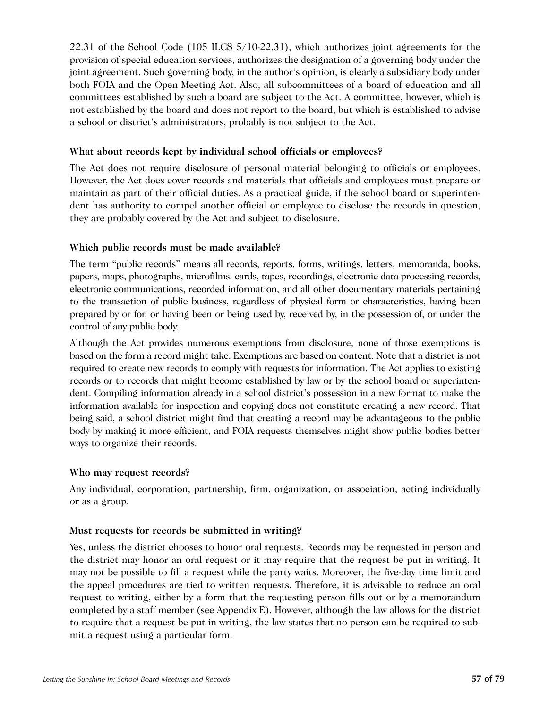22.31 of the School Code (105 ILCS 5/10-22.31), which authorizes joint agreements for the provision of special education services, authorizes the designation of a governing body under the joint agreement. Such governing body, in the author's opinion, is clearly a subsidiary body under both FOIA and the Open Meeting Act. Also, all subcommittees of a board of education and all committees established by such a board are subject to the Act. A committee, however, which is not established by the board and does not report to the board, but which is established to advise a school or district's administrators, probably is not subject to the Act.

### **What about records kept by individual school officials or employees?**

The Act does not require disclosure of personal material belonging to officials or employees. However, the Act does cover records and materials that officials and employees must prepare or maintain as part of their official duties. As a practical guide, if the school board or superintendent has authority to compel another official or employee to disclose the records in question, they are probably covered by the Act and subject to disclosure.

### **Which public records must be made available?**

The term "public records" means all records, reports, forms, writings, letters, memoranda, books, papers, maps, photographs, microfilms, cards, tapes, recordings, electronic data processing records, electronic communications, recorded information, and all other documentary materials pertaining to the transaction of public business, regardless of physical form or characteristics, having been prepared by or for, or having been or being used by, received by, in the possession of, or under the control of any public body.

Although the Act provides numerous exemptions from disclosure, none of those exemptions is based on the form a record might take. Exemptions are based on content. Note that a district is not required to create new records to comply with requests for information. The Act applies to existing records or to records that might become established by law or by the school board or superintendent. Compiling information already in a school district's possession in a new format to make the information available for inspection and copying does not constitute creating a new record. That being said, a school district might find that creating a record may be advantageous to the public body by making it more efficient, and FOIA requests themselves might show public bodies better ways to organize their records.

### **Who may request records?**

Any individual, corporation, partnership, firm, organization, or association, acting individually or as a group.

### **Must requests for records be submitted in writing?**

Yes, unless the district chooses to honor oral requests. Records may be requested in person and the district may honor an oral request or it may require that the request be put in writing. It may not be possible to fill a request while the party waits. Moreover, the five-day time limit and the appeal procedures are tied to written requests. Therefore, it is advisable to reduce an oral request to writing, either by a form that the requesting person fills out or by a memorandum completed by a staff member (see Appendix E). However, although the law allows for the district to require that a request be put in writing, the law states that no person can be required to submit a request using a particular form.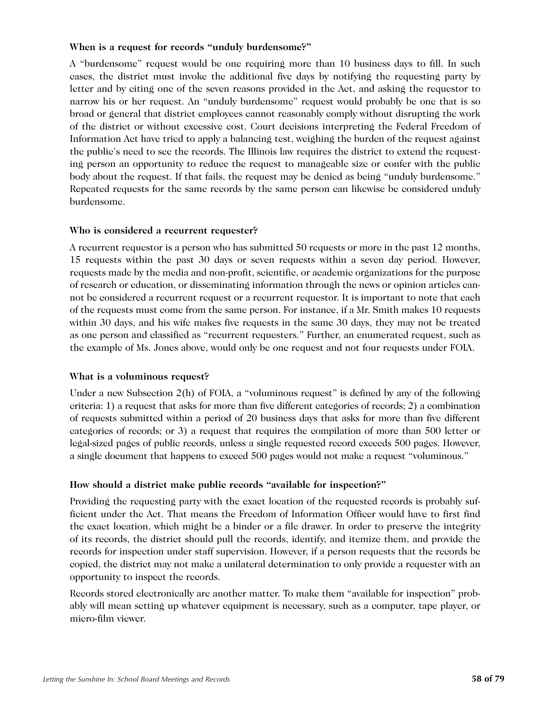#### **When is a request for records "unduly burdensome?"**

A "burdensome" request would be one requiring more than 10 business days to fill. In such cases, the district must invoke the additional five days by notifying the requesting party by letter and by citing one of the seven reasons provided in the Act, and asking the requestor to narrow his or her request. An "unduly burdensome" request would probably be one that is so broad or general that district employees cannot reasonably comply without disrupting the work of the district or without excessive cost. Court decisions interpreting the Federal Freedom of Information Act have tried to apply a balancing test, weighing the burden of the request against the public's need to see the records. The Illinois law requires the district to extend the requesting person an opportunity to reduce the request to manageable size or confer with the public body about the request. If that fails, the request may be denied as being "unduly burdensome." Repeated requests for the same records by the same person can likewise be considered unduly burdensome.

#### **Who is considered a recurrent requester?**

A recurrent requestor is a person who has submitted 50 requests or more in the past 12 months, 15 requests within the past 30 days or seven requests within a seven day period. However, requests made by the media and non-profit, scientific, or academic organizations for the purpose of research or education, or disseminating information through the news or opinion articles cannot be considered a recurrent request or a recurrent requestor. It is important to note that each of the requests must come from the same person. For instance, if a Mr. Smith makes 10 requests within 30 days, and his wife makes five requests in the same 30 days, they may not be treated as one person and classified as "recurrent requesters." Further, an enumerated request, such as the example of Ms. Jones above, would only be one request and not four requests under FOIA.

#### **What is a voluminous request?**

Under a new Subsection 2(h) of FOIA, a "voluminous request" is defined by any of the following criteria: 1) a request that asks for more than five different categories of records; 2) a combination of requests submitted within a period of 20 business days that asks for more than five different categories of records; or 3) a request that requires the compilation of more than 500 letter or legal-sized pages of public records, unless a single requested record exceeds 500 pages. However, a single document that happens to exceed 500 pages would not make a request "voluminous."

### **How should a district make public records "available for inspection?"**

Providing the requesting party with the exact location of the requested records is probably sufficient under the Act. That means the Freedom of Information Officer would have to first find the exact location, which might be a binder or a file drawer. In order to preserve the integrity of its records, the district should pull the records, identify, and itemize them, and provide the records for inspection under staff supervision. However, if a person requests that the records be copied, the district may not make a unilateral determination to only provide a requester with an opportunity to inspect the records.

Records stored electronically are another matter. To make them "available for inspection" probably will mean setting up whatever equipment is necessary, such as a computer, tape player, or micro-film viewer.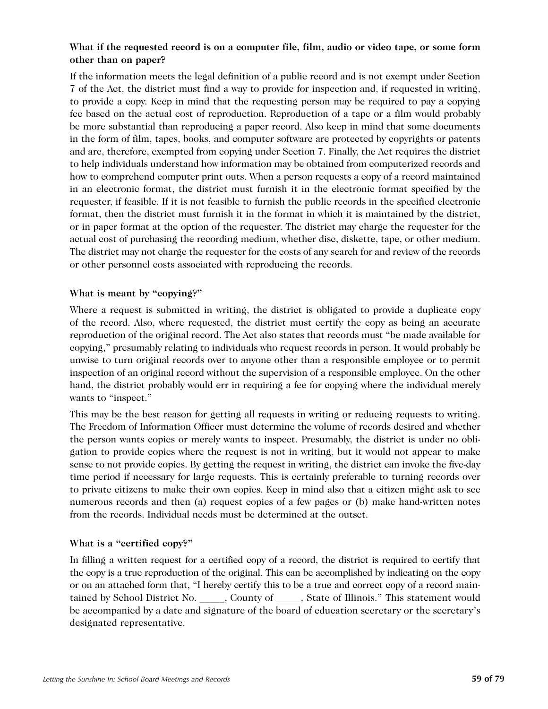### **What if the requested record is on a computer file, film, audio or video tape, or some form other than on paper?**

If the information meets the legal definition of a public record and is not exempt under Section 7 of the Act, the district must find a way to provide for inspection and, if requested in writing, to provide a copy. Keep in mind that the requesting person may be required to pay a copying fee based on the actual cost of reproduction. Reproduction of a tape or a film would probably be more substantial than reproducing a paper record. Also keep in mind that some documents in the form of film, tapes, books, and computer software are protected by copyrights or patents and are, therefore, exempted from copying under Section 7. Finally, the Act requires the district to help individuals understand how information may be obtained from computerized records and how to comprehend computer print outs. When a person requests a copy of a record maintained in an electronic format, the district must furnish it in the electronic format specified by the requester, if feasible. If it is not feasible to furnish the public records in the specified electronic format, then the district must furnish it in the format in which it is maintained by the district, or in paper format at the option of the requester. The district may charge the requester for the actual cost of purchasing the recording medium, whether disc, diskette, tape, or other medium. The district may not charge the requester for the costs of any search for and review of the records or other personnel costs associated with reproducing the records.

#### **What is meant by "copying?"**

Where a request is submitted in writing, the district is obligated to provide a duplicate copy of the record. Also, where requested, the district must certify the copy as being an accurate reproduction of the original record. The Act also states that records must "be made available for copying," presumably relating to individuals who request records in person. It would probably be unwise to turn original records over to anyone other than a responsible employee or to permit inspection of an original record without the supervision of a responsible employee. On the other hand, the district probably would err in requiring a fee for copying where the individual merely wants to "inspect."

This may be the best reason for getting all requests in writing or reducing requests to writing. The Freedom of Information Officer must determine the volume of records desired and whether the person wants copies or merely wants to inspect. Presumably, the district is under no obligation to provide copies where the request is not in writing, but it would not appear to make sense to not provide copies. By getting the request in writing, the district can invoke the five-day time period if necessary for large requests. This is certainly preferable to turning records over to private citizens to make their own copies. Keep in mind also that a citizen might ask to see numerous records and then (a) request copies of a few pages or (b) make hand-written notes from the records. Individual needs must be determined at the outset.

#### **What is a "certified copy?"**

In filling a written request for a certified copy of a record, the district is required to certify that the copy is a true reproduction of the original. This can be accomplished by indicating on the copy or on an attached form that, "I hereby certify this to be a true and correct copy of a record maintained by School District No. \_\_\_\_\_, County of \_\_\_\_, State of Illinois." This statement would be accompanied by a date and signature of the board of education secretary or the secretary's designated representative.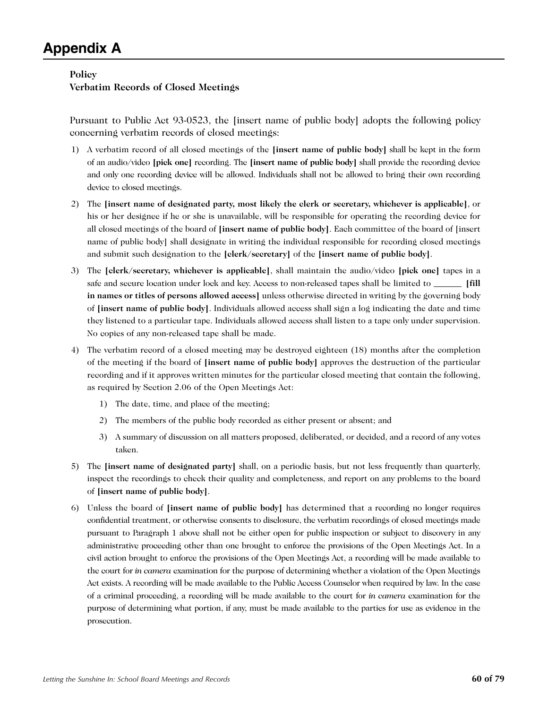## **Appendix A**

### **Policy Verbatim Records of Closed Meetings**

Pursuant to Public Act 93-0523, the [insert name of public body] adopts the following policy concerning verbatim records of closed meetings:

- 1) A verbatim record of all closed meetings of the **[insert name of public body]** shall be kept in the form of an audio/video **[pick one]** recording. The **[insert name of public body]** shall provide the recording device and only one recording device will be allowed. Individuals shall not be allowed to bring their own recording device to closed meetings.
- 2) The **[insert name of designated party, most likely the clerk or secretary, whichever is applicable]**, or his or her designee if he or she is unavailable, will be responsible for operating the recording device for all closed meetings of the board of **[insert name of public body]**. Each committee of the board of [insert name of public body] shall designate in writing the individual responsible for recording closed meetings and submit such designation to the **[clerk/secretary]** of the **[insert name of public body]**.
- 3) The **[clerk/secretary, whichever is applicable]**, shall maintain the audio/video **[pick one]** tapes in a safe and secure location under lock and key. Access to non-released tapes shall be limited to **[fill in names or titles of persons allowed access]** unless otherwise directed in writing by the governing body of **[insert name of public body]**. Individuals allowed access shall sign a log indicating the date and time they listened to a particular tape. Individuals allowed access shall listen to a tape only under supervision. No copies of any non-released tape shall be made.
- 4) The verbatim record of a closed meeting may be destroyed eighteen (18) months after the completion of the meeting if the board of **[insert name of public body]** approves the destruction of the particular recording and if it approves written minutes for the particular closed meeting that contain the following, as required by Section 2.06 of the Open Meetings Act:
	- 1) The date, time, and place of the meeting;
	- 2) The members of the public body recorded as either present or absent; and
	- 3) A summary of discussion on all matters proposed, deliberated, or decided, and a record of any votes taken.
- 5) The **[insert name of designated party]** shall, on a periodic basis, but not less frequently than quarterly, inspect the recordings to check their quality and completeness, and report on any problems to the board of **[insert name of public body]**.
- 6) Unless the board of **[insert name of public body]** has determined that a recording no longer requires confidential treatment, or otherwise consents to disclosure, the verbatim recordings of closed meetings made pursuant to Paragraph 1 above shall not be either open for public inspection or subject to discovery in any administrative proceeding other than one brought to enforce the provisions of the Open Meetings Act. In a civil action brought to enforce the provisions of the Open Meetings Act, a recording will be made available to the court for *in camera* examination for the purpose of determining whether a violation of the Open Meetings Act exists. A recording will be made available to the Public Access Counselor when required by law. In the case of a criminal proceeding, a recording will be made available to the court for *in camera* examination for the purpose of determining what portion, if any, must be made available to the parties for use as evidence in the prosecution.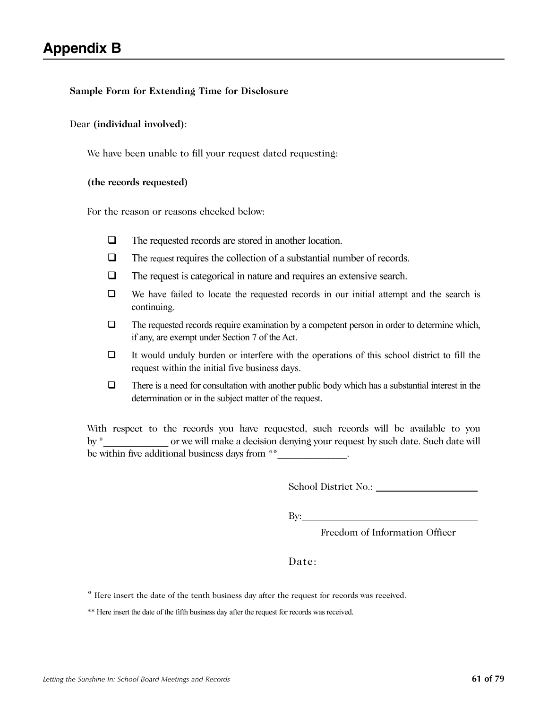#### **Sample Form for Extending Time for Disclosure**

#### Dear **(individual involved)**:

We have been unable to fill your request dated requesting:

#### **(the records requested)**

For the reason or reasons checked below:

- $\Box$  The requested records are stored in another location.
- $\Box$  The request requires the collection of a substantial number of records.
- $\Box$  The request is categorical in nature and requires an extensive search.
- $\Box$  We have failed to locate the requested records in our initial attempt and the search is continuing.
- The requested records require examination by a competent person in order to determine which, if any, are exempt under Section 7 of the Act.
- $\Box$  It would unduly burden or interfere with the operations of this school district to fill the request within the initial five business days.
- $\Box$  There is a need for consultation with another public body which has a substantial interest in the determination or in the subject matter of the request.

With respect to the records you have requested, such records will be available to you by \* The solution or we will make a decision denying your request by such date. Such date will be within five additional business days from \*\*\_\_\_\_\_\_\_\_\_\_\_\_\_\_\_\_\_\_\_\_\_\_\_\_\_\_\_\_\_\_\_\_\_

School District No.:

By:

Freedom of Information Officer

Date:

\* Here insert the date of the tenth business day after the request for records was received.

\*\* Here insert the date of the fifth business day after the request for records was received.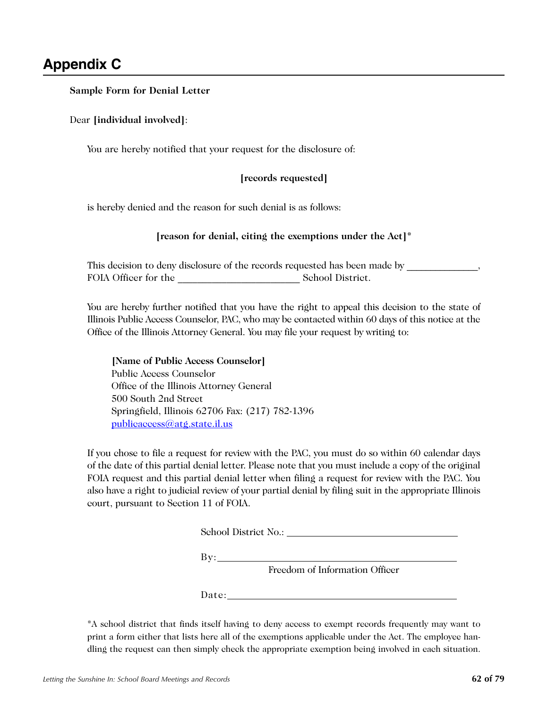## **Appendix C**

#### **Sample Form for Denial Letter**

#### Dear **[individual involved]**:

You are hereby notified that your request for the disclosure of:

#### **[records requested]**

is hereby denied and the reason for such denial is as follows:

#### **[reason for denial, citing the exemptions under the Act]\***

This decision to deny disclosure of the records requested has been made by \_\_\_\_\_\_\_\_\_\_\_\_ FOIA Officer for the \_\_\_\_\_\_\_\_\_\_\_\_\_\_\_\_\_\_\_\_\_\_\_\_\_ School District.

You are hereby further notified that you have the right to appeal this decision to the state of Illinois Public Access Counselor, PAC, who may be contacted within 60 days of this notice at the Office of the Illinois Attorney General. You may file your request by writing to:

**[Name of Public Access Counselor]** Public Access Counselor Office of the Illinois Attorney General 500 South 2nd Street Springfield, Illinois 62706 Fax: (217) 782-1396 [publicaccess@atg.state.il.us](mailto:publicaccess@atg.state.il.us)

If you chose to file a request for review with the PAC, you must do so within 60 calendar days of the date of this partial denial letter. Please note that you must include a copy of the original FOIA request and this partial denial letter when filing a request for review with the PAC. You also have a right to judicial review of your partial denial by filing suit in the appropriate Illinois court, pursuant to Section 11 of FOIA.

School District No.:

 $\mathbf{B} \mathbf{v}$ :

Freedom of Information Officer

Date:

\*A school district that finds itself having to deny access to exempt records frequently may want to print a form either that lists here all of the exemptions applicable under the Act. The employee handling the request can then simply check the appropriate exemption being involved in each situation.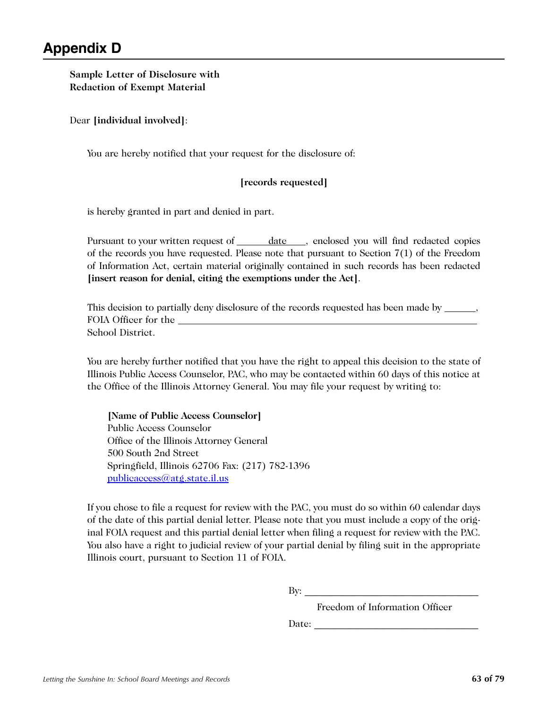**Sample Letter of Disclosure with Redaction of Exempt Material**

Dear **[individual involved]**:

You are hereby notified that your request for the disclosure of:

### **[records requested]**

is hereby granted in part and denied in part.

Pursuant to your written request of \_\_\_\_\_\_ date \_\_\_, enclosed you will find redacted copies of the records you have requested. Please note that pursuant to Section 7(1) of the Freedom of Information Act, certain material originally contained in such records has been redacted **[insert reason for denial, citing the exemptions under the Act]**.

This decision to partially deny disclosure of the records requested has been made by \_\_\_\_\_\_\_, FOIA Officer for the  $\blacksquare$ School District.

You are hereby further notified that you have the right to appeal this decision to the state of Illinois Public Access Counselor, PAC, who may be contacted within 60 days of this notice at the Office of the Illinois Attorney General. You may file your request by writing to:

**[Name of Public Access Counselor]** Public Access Counselor Office of the Illinois Attorney General 500 South 2nd Street Springfield, Illinois 62706 Fax: (217) 782-1396 [publicaccess@atg.state.il.us](mailto:publicaccess@atg.state.il.us)

If you chose to file a request for review with the PAC, you must do so within 60 calendar days of the date of this partial denial letter. Please note that you must include a copy of the original FOIA request and this partial denial letter when filing a request for review with the PAC. You also have a right to judicial review of your partial denial by filing suit in the appropriate Illinois court, pursuant to Section 11 of FOIA.

 $\text{By:}$ 

Freedom of Information Officer

Date: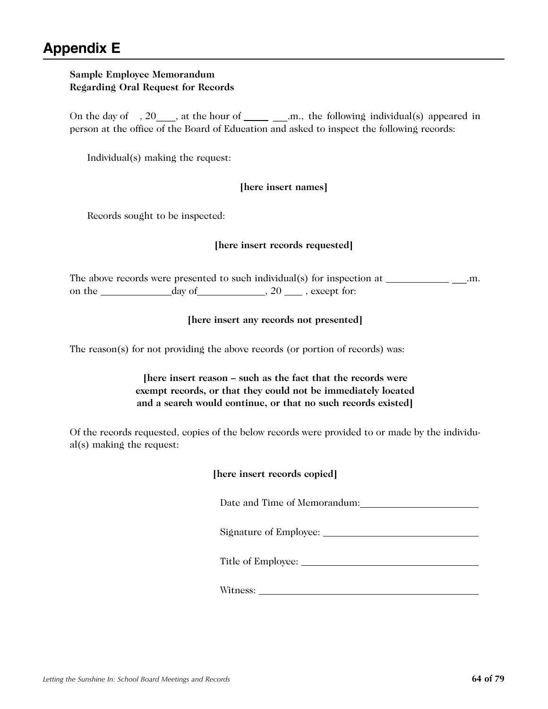## **Appendix E**

### **Sample Employee Memorandum Regarding Oral Request for Records**

On the day of  $, 20$ , at the hour of \_\_\_\_\_\_\_\_\_\_.m., the following individual(s) appeared in person at the office of the Board of Education and asked to inspect the following records:

Individual(s) making the request:

#### **[here insert names]**

Records sought to be inspected:

#### **[here insert records requested]**

The above records were presented to such individual(s) for inspection at  $\_\_\_\_\_\_\_\$  .m. on the day of , 20 , except for:

#### **[here insert any records not presented]**

The reason(s) for not providing the above records (or portion of records) was:

### **[here insert reason – such as the fact that the records were exempt records, or that they could not be immediately located and a search would continue, or that no such records existed]**

Of the records requested, copies of the below records were provided to or made by the individual(s) making the request:

#### **[here insert records copied]**

Date and Time of Memorandum:\_\_\_\_\_\_\_\_\_

Signature of Employee:

Title of Employee:

Witness: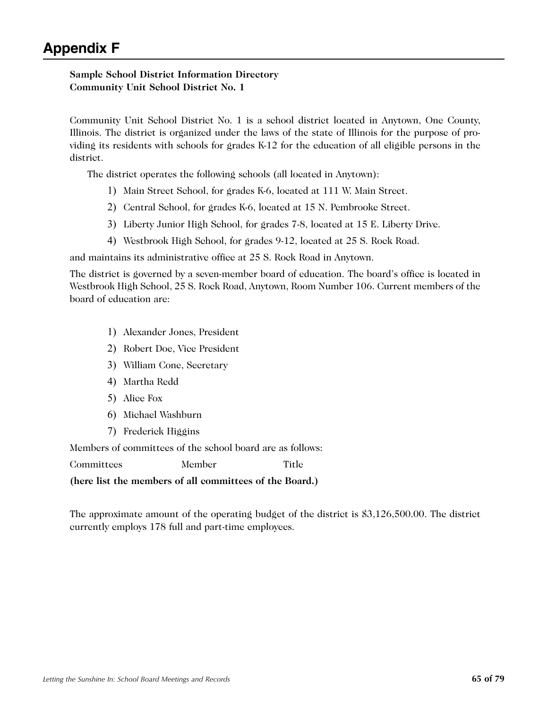## **Appendix F**

### **Sample School District Information Directory Community Unit School District No. 1**

Community Unit School District No. 1 is a school district located in Anytown, One County, Illinois. The district is organized under the laws of the state of Illinois for the purpose of providing its residents with schools for grades K-12 for the education of all eligible persons in the district.

The district operates the following schools (all located in Anytown):

- 1) Main Street School, for grades K-6, located at 111 W. Main Street.
- 2) Central School, for grades K-6, located at 15 N. Pembrooke Street.
- 3) Liberty Junior High School, for grades 7-8, located at 15 E. Liberty Drive.
- 4) Westbrook High School, for grades 9-12, located at 25 S. Rock Road.

and maintains its administrative office at 25 S. Rock Road in Anytown.

The district is governed by a seven-member board of education. The board's office is located in Westbrook High School, 25 S. Rock Road, Anytown, Room Number 106. Current members of the board of education are:

- 1) Alexander Jones, President
- 2) Robert Doe, Vice President
- 3) William Cone, Secretary
- 4) Martha Redd
- 5) Alice Fox
- 6) Michael Washburn
- 7) Frederick Higgins

Members of committees of the school board are as follows:

Committees Member Title

**(here list the members of all committees of the Board.)**

The approximate amount of the operating budget of the district is \$3,126,500.00. The district currently employs 178 full and part-time employees.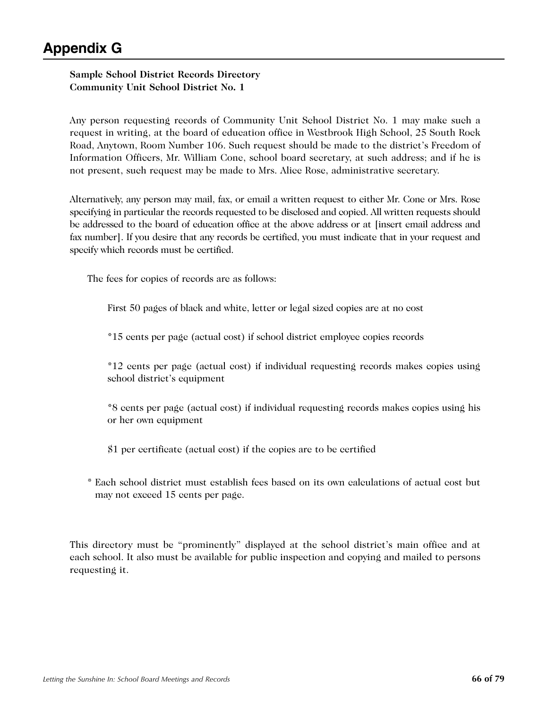### **Sample School District Records Directory Community Unit School District No. 1**

Any person requesting records of Community Unit School District No. 1 may make such a request in writing, at the board of education office in Westbrook High School, 25 South Rock Road, Anytown, Room Number 106. Such request should be made to the district's Freedom of Information Officers, Mr. William Cone, school board secretary, at such address; and if he is not present, such request may be made to Mrs. Alice Rose, administrative secretary.

Alternatively, any person may mail, fax, or email a written request to either Mr. Cone or Mrs. Rose specifying in particular the records requested to be disclosed and copied. All written requests should be addressed to the board of education office at the above address or at [insert email address and fax number]. If you desire that any records be certified, you must indicate that in your request and specify which records must be certified.

The fees for copies of records are as follows:

First 50 pages of black and white, letter or legal sized copies are at no cost

\*15 cents per page (actual cost) if school district employee copies records

\*12 cents per page (actual cost) if individual requesting records makes copies using school district's equipment

\*8 cents per page (actual cost) if individual requesting records makes copies using his or her own equipment

\$1 per certificate (actual cost) if the copies are to be certified

\* Each school district must establish fees based on its own calculations of actual cost but may not exceed 15 cents per page.

This directory must be "prominently" displayed at the school district's main office and at each school. It also must be available for public inspection and copying and mailed to persons requesting it.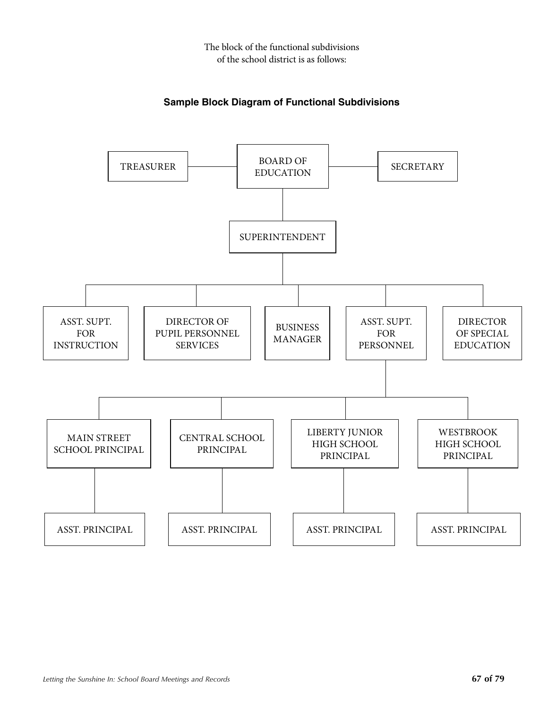The block of the functional subdivisions of the school district is as follows:



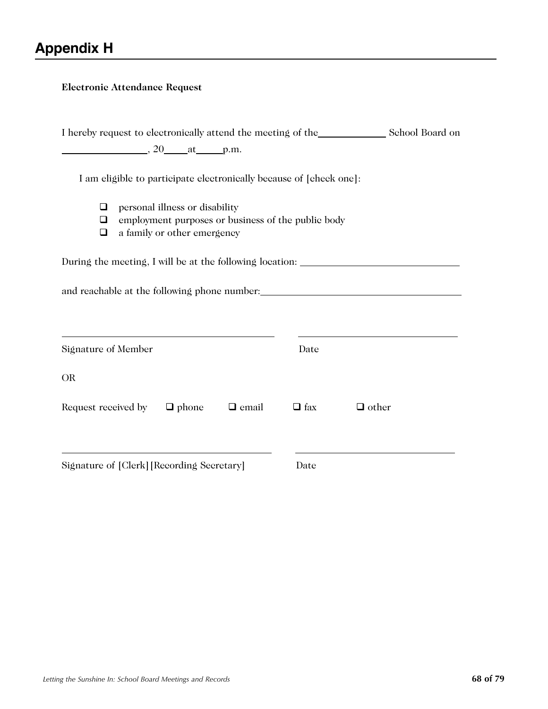# **Appendix H**

## **Electronic Attendance Request**

| $\frac{1}{20}$ , 20 $\frac{at}{m}$ p.m.                                                                    |            |              |
|------------------------------------------------------------------------------------------------------------|------------|--------------|
| I am eligible to participate electronically because of [check one]:<br>personal illness or disability<br>◻ |            |              |
| employment purposes or business of the public body<br>❏<br>a family or other emergency<br>❏                |            |              |
| During the meeting, I will be at the following location: _______________________                           |            |              |
| and reachable at the following phone number:                                                               |            |              |
|                                                                                                            |            |              |
| Signature of Member                                                                                        | Date       |              |
| <b>OR</b>                                                                                                  |            |              |
| Request received by $\Box$ phone<br>$\Box$ email                                                           | $\Box$ fax | $\Box$ other |
| Signature of [Clerk] [Recording Secretary]                                                                 | Date       |              |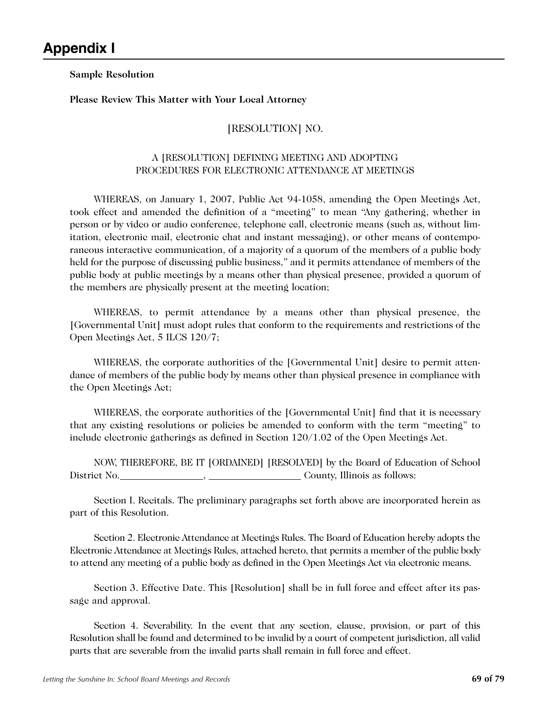**Sample Resolution**

**Please Review This Matter with Your Local Attorney**

## [RESOLUTION] NO.

### A [RESOLUTION] DEFINING MEETING AND ADOPTING PROCEDURES FOR ELECTRONIC ATTENDANCE AT MEETINGS

WHEREAS, on January 1, 2007, Public Act 94-1058, amending the Open Meetings Act, took effect and amended the definition of a "meeting" to mean "Any gathering, whether in person or by video or audio conference, telephone call, electronic means (such as, without limitation, electronic mail, electronic chat and instant messaging), or other means of contemporaneous interactive communication, of a majority of a quorum of the members of a public body held for the purpose of discussing public business," and it permits attendance of members of the public body at public meetings by a means other than physical presence, provided a quorum of the members are physically present at the meeting location;

WHEREAS, to permit attendance by a means other than physical presence, the [Governmental Unit] must adopt rules that conform to the requirements and restrictions of the Open Meetings Act, 5 ILCS 120/7;

WHEREAS, the corporate authorities of the [Governmental Unit] desire to permit attendance of members of the public body by means other than physical presence in compliance with the Open Meetings Act;

WHEREAS, the corporate authorities of the [Governmental Unit] find that it is necessary that any existing resolutions or policies be amended to conform with the term "meeting" to include electronic gatherings as defined in Section 120/1.02 of the Open Meetings Act.

NOW, THEREFORE, BE IT [ORDAINED] [RESOLVED] by the Board of Education of School District No. , County, Illinois as follows:

Section I. Recitals. The preliminary paragraphs set forth above are incorporated herein as part of this Resolution.

Section 2. Electronic Attendance at Meetings Rules. The Board of Education hereby adopts the Electronic Attendance at Meetings Rules, attached hereto, that permits a member of the public body to attend any meeting of a public body as defined in the Open Meetings Act via electronic means.

Section 3. Effective Date. This [Resolution] shall be in full force and effect after its passage and approval.

Section 4. Severability. In the event that any section, clause, provision, or part of this Resolution shall be found and determined to be invalid by a court of competent jurisdiction, all valid parts that are severable from the invalid parts shall remain in full force and effect.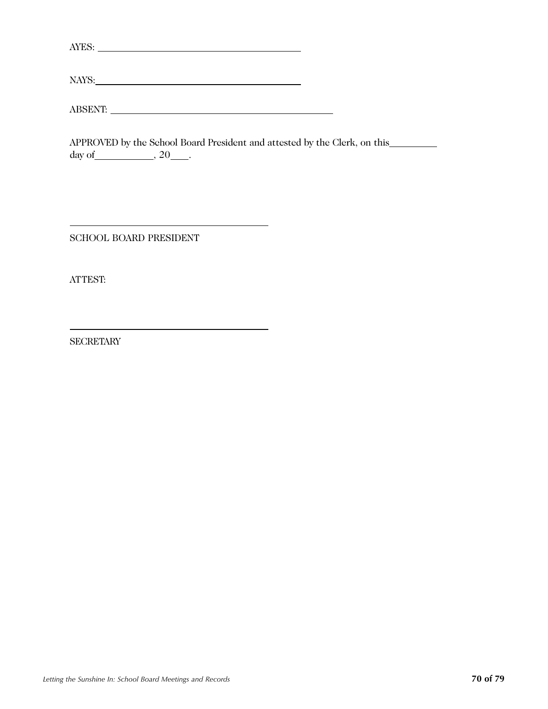| $\sim$ $\sim$ $\sim$ |  |  |
|----------------------|--|--|
|                      |  |  |

NAYS:

ABSENT:

|                                   | APPROVED by the School Board President and attested by the Clerk, on this_ |  |
|-----------------------------------|----------------------------------------------------------------------------|--|
| day of _______________, 20______. |                                                                            |  |

SCHOOL BOARD PRESIDENT

ATTEST:

 $\overline{a}$ 

 $\overline{a}$ 

**SECRETARY**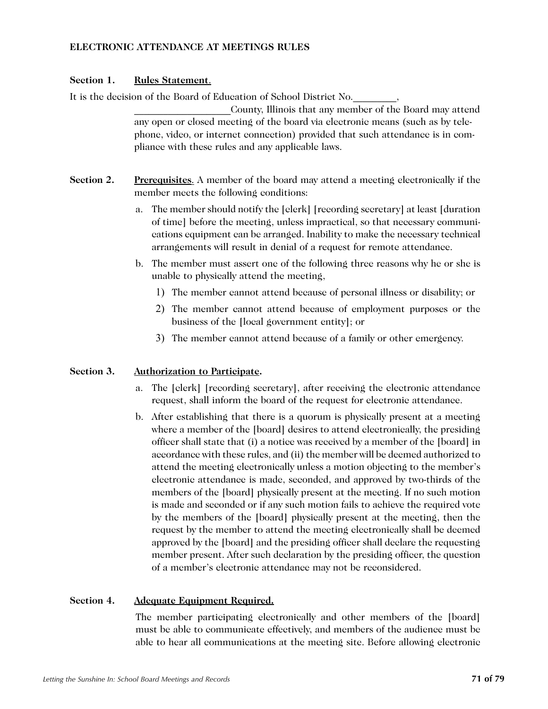#### **ELECTRONIC ATTENDANCE AT MEETINGS RULES**

#### **Section 1. Rules Statement**.

It is the decision of the Board of Education of School District No.\_\_\_\_\_\_\_\_\_,

\_\_\_\_\_\_\_\_\_\_\_\_\_\_\_\_\_\_\_\_County, Illinois that any member of the Board may attend any open or closed meeting of the board via electronic means (such as by telephone, video, or internet connection) provided that such attendance is in compliance with these rules and any applicable laws.

- **Section 2. Prerequisites**. A member of the board may attend a meeting electronically if the member meets the following conditions:
	- a. The member should notify the [clerk] [recording secretary] at least [duration of time] before the meeting, unless impractical, so that necessary communications equipment can be arranged. Inability to make the necessary technical arrangements will result in denial of a request for remote attendance.
	- b. The member must assert one of the following three reasons why he or she is unable to physically attend the meeting,
		- 1) The member cannot attend because of personal illness or disability; or
		- 2) The member cannot attend because of employment purposes or the business of the [local government entity]; or
		- 3) The member cannot attend because of a family or other emergency.

#### **Section 3. Authorization to Participate.**

- a. The [clerk] [recording secretary], after receiving the electronic attendance request, shall inform the board of the request for electronic attendance.
- b. After establishing that there is a quorum is physically present at a meeting where a member of the [board] desires to attend electronically, the presiding officer shall state that (i) a notice was received by a member of the [board] in accordance with these rules, and (ii) the member will be deemed authorized to attend the meeting electronically unless a motion objecting to the member's electronic attendance is made, seconded, and approved by two-thirds of the members of the [board] physically present at the meeting. If no such motion is made and seconded or if any such motion fails to achieve the required vote by the members of the [board] physically present at the meeting, then the request by the member to attend the meeting electronically shall be deemed approved by the [board] and the presiding officer shall declare the requesting member present. After such declaration by the presiding officer, the question of a member's electronic attendance may not be reconsidered.

### **Section 4. Adequate Equipment Required.**

The member participating electronically and other members of the [board] must be able to communicate effectively, and members of the audience must be able to hear all communications at the meeting site. Before allowing electronic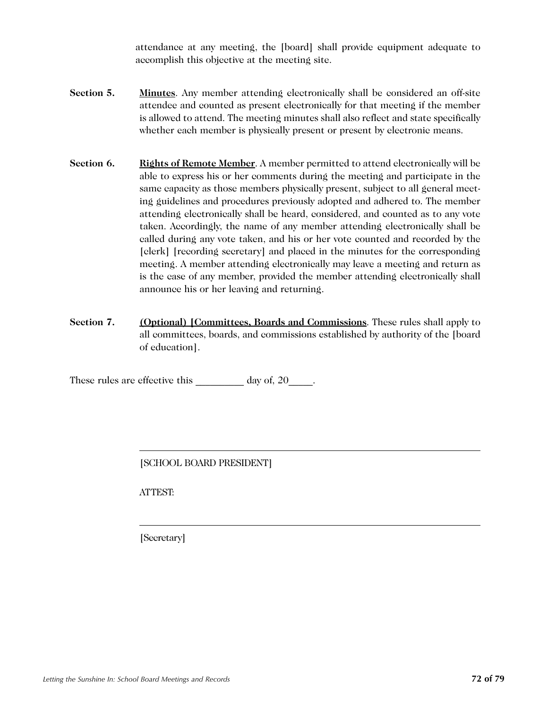attendance at any meeting, the [board] shall provide equipment adequate to accomplish this objective at the meeting site.

- **Section 5.** Minutes. Any member attending electronically shall be considered an off-site attendee and counted as present electronically for that meeting if the member is allowed to attend. The meeting minutes shall also reflect and state specifically whether each member is physically present or present by electronic means.
- **Section 6.** Rights of Remote Member. A member permitted to attend electronically will be able to express his or her comments during the meeting and participate in the same capacity as those members physically present, subject to all general meeting guidelines and procedures previously adopted and adhered to. The member attending electronically shall be heard, considered, and counted as to any vote taken. Accordingly, the name of any member attending electronically shall be called during any vote taken, and his or her vote counted and recorded by the [clerk] [recording secretary] and placed in the minutes for the corresponding meeting. A member attending electronically may leave a meeting and return as is the case of any member, provided the member attending electronically shall announce his or her leaving and returning.
- **Section 7.** (**Optional**) **[Committees, Boards and Commissions**. These rules shall apply to all committees, boards, and commissions established by authority of the [board of education].

These rules are effective this \_\_\_\_\_\_\_\_\_ day of, 20\_\_\_\_\_.

[SCHOOL BOARD PRESIDENT]

ATTEST:

[Secretary]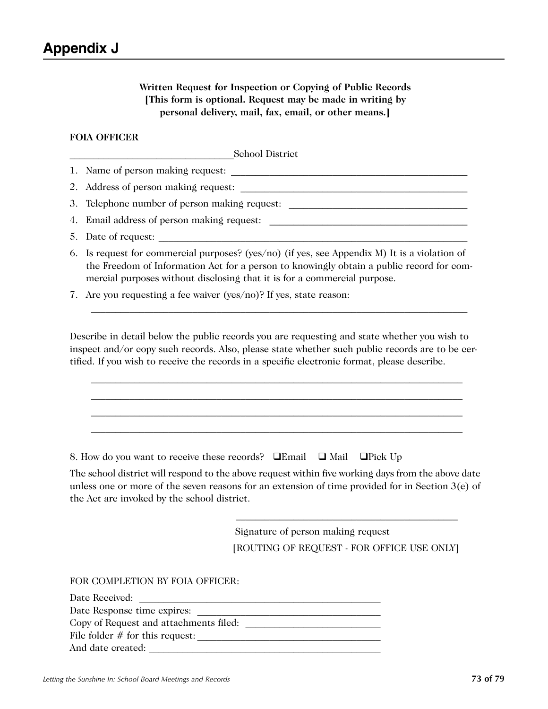**Written Request for Inspection or Copying of Public Records [This form is optional. Request may be made in writing by personal delivery, mail, fax, email, or other means.]**

#### **FOIA OFFICER**

\_\_\_\_\_\_\_\_\_\_\_\_\_\_\_\_\_\_\_\_\_\_\_\_\_\_\_\_\_\_\_\_\_\_School District

- 1. Name of person making request: \_\_\_\_\_\_\_\_\_\_\_\_\_\_\_\_\_\_\_\_\_\_\_\_\_\_\_\_\_\_\_\_\_\_\_\_\_\_\_\_\_\_\_\_\_\_\_\_\_
- 2. Address of person making request:
- 3. Telephone number of person making request:
- 4. Email address of person making request: \_\_\_\_\_\_\_\_\_\_\_\_\_\_\_\_\_\_\_\_\_\_\_\_\_\_\_\_\_\_\_\_\_\_\_\_\_\_\_\_\_
- 5. Date of request:
- 6. Is request for commercial purposes? (yes/no) (if yes, see Appendix M) It is a violation of the Freedom of Information Act for a person to knowingly obtain a public record for commercial purposes without disclosing that it is for a commercial purpose.
- 7. Are you requesting a fee waiver (yes/no)? If yes, state reason:

Describe in detail below the public records you are requesting and state whether you wish to inspect and/or copy such records. Also, please state whether such public records are to be certified. If you wish to receive the records in a specific electronic format, please describe.

 $\mathcal{L}_\mathcal{L} = \{ \mathcal{L}_\mathcal{L} = \{ \mathcal{L}_\mathcal{L} = \{ \mathcal{L}_\mathcal{L} = \{ \mathcal{L}_\mathcal{L} = \{ \mathcal{L}_\mathcal{L} = \{ \mathcal{L}_\mathcal{L} = \{ \mathcal{L}_\mathcal{L} = \{ \mathcal{L}_\mathcal{L} = \{ \mathcal{L}_\mathcal{L} = \{ \mathcal{L}_\mathcal{L} = \{ \mathcal{L}_\mathcal{L} = \{ \mathcal{L}_\mathcal{L} = \{ \mathcal{L}_\mathcal{L} = \{ \mathcal{L}_\mathcal{$ \_\_\_\_\_\_\_\_\_\_\_\_\_\_\_\_\_\_\_\_\_\_\_\_\_\_\_\_\_\_\_\_\_\_\_\_\_\_\_\_\_\_\_\_\_\_\_\_\_\_\_\_\_\_\_\_\_\_\_\_\_\_\_\_\_\_\_\_\_\_\_\_\_\_\_\_\_  $\mathcal{L}_\mathcal{L} = \{ \mathcal{L}_\mathcal{L} = \{ \mathcal{L}_\mathcal{L} = \{ \mathcal{L}_\mathcal{L} = \{ \mathcal{L}_\mathcal{L} = \{ \mathcal{L}_\mathcal{L} = \{ \mathcal{L}_\mathcal{L} = \{ \mathcal{L}_\mathcal{L} = \{ \mathcal{L}_\mathcal{L} = \{ \mathcal{L}_\mathcal{L} = \{ \mathcal{L}_\mathcal{L} = \{ \mathcal{L}_\mathcal{L} = \{ \mathcal{L}_\mathcal{L} = \{ \mathcal{L}_\mathcal{L} = \{ \mathcal{L}_\mathcal{$  $\mathcal{L}_\mathcal{L} = \{ \mathcal{L}_\mathcal{L} = \{ \mathcal{L}_\mathcal{L} = \{ \mathcal{L}_\mathcal{L} = \{ \mathcal{L}_\mathcal{L} = \{ \mathcal{L}_\mathcal{L} = \{ \mathcal{L}_\mathcal{L} = \{ \mathcal{L}_\mathcal{L} = \{ \mathcal{L}_\mathcal{L} = \{ \mathcal{L}_\mathcal{L} = \{ \mathcal{L}_\mathcal{L} = \{ \mathcal{L}_\mathcal{L} = \{ \mathcal{L}_\mathcal{L} = \{ \mathcal{L}_\mathcal{L} = \{ \mathcal{L}_\mathcal{$ 

\_\_\_\_\_\_\_\_\_\_\_\_\_\_\_\_\_\_\_\_\_\_\_\_\_\_\_\_\_\_\_\_\_\_\_\_\_\_\_\_\_\_\_\_\_\_\_\_\_\_\_\_\_\_\_\_\_\_\_\_\_\_\_\_\_\_\_\_\_\_\_\_\_\_\_\_\_\_

8. How do you want to receive these records?  $\Box$  Email  $\Box$  Mail  $\Box$  Pick Up

The school district will respond to the above request within five working days from the above date unless one or more of the seven reasons for an extension of time provided for in Section  $3(e)$  of the Act are invoked by the school district.

> Signature of person making request [ROUTING OF REQUEST - FOR OFFICE USE ONLY]

 $\mathcal{L}_\text{max}$  and the contract of the contract of the contract of the contract of the contract of the contract of the contract of the contract of the contract of the contract of the contract of the contract of the contrac

FOR COMPLETION BY FOIA OFFICER:

| Date Received:                         |  |
|----------------------------------------|--|
| Date Response time expires:            |  |
| Copy of Request and attachments filed: |  |
| File folder $#$ for this request:      |  |
| And date created:                      |  |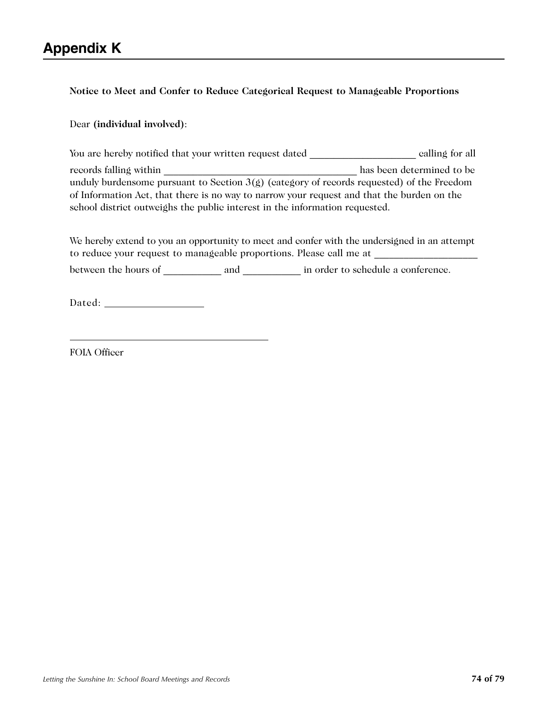# **Appendix K**

**Notice to Meet and Confer to Reduce Categorical Request to Manageable Proportions** 

#### Dear **(individual involved)**:

| You are hereby notified that your written request dated                                     | calling for all           |
|---------------------------------------------------------------------------------------------|---------------------------|
| records falling within                                                                      | has been determined to be |
| unduly burdensome pursuant to Section $3(g)$ (category of records requested) of the Freedom |                           |
| of Information Act, that there is no way to narrow your request and that the burden on the  |                           |
| school district outweighs the public interest in the information requested.                 |                           |

We hereby extend to you an opportunity to meet and confer with the undersigned in an attempt to reduce your request to manageable proportions. Please call me at \_\_\_\_\_\_\_\_\_\_\_\_\_

between the hours of \_\_\_\_\_\_\_\_\_\_\_ and \_\_\_\_\_\_\_\_\_\_ in order to schedule a conference.

Dated:

FOIA Officer

 $\overline{a}$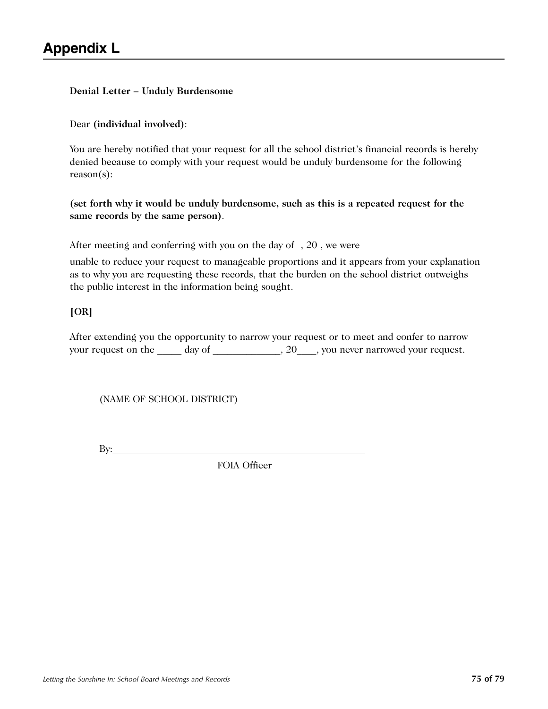# **Denial Letter – Unduly Burdensome**

### Dear **(individual involved)**:

You are hereby notified that your request for all the school district's financial records is hereby denied because to comply with your request would be unduly burdensome for the following reason(s):

# **(set forth why it would be unduly burdensome, such as this is a repeated request for the same records by the same person)**.

After meeting and conferring with you on the day of , 20 , we were

unable to reduce your request to manageable proportions and it appears from your explanation as to why you are requesting these records, that the burden on the school district outweighs the public interest in the information being sought.

# **[OR]**

After extending you the opportunity to narrow your request or to meet and confer to narrow your request on the \_\_\_\_\_ day of \_\_\_\_\_\_\_\_\_\_\_\_, 20\_\_\_\_, you never narrowed your request.

(NAME OF SCHOOL DISTRICT)

By:

FOIA Officer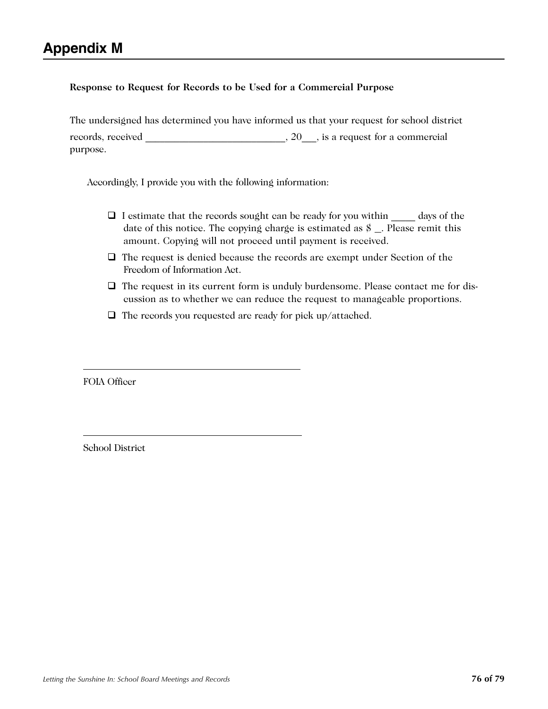#### **Response to Request for Records to be Used for a Commercial Purpose**

The undersigned has determined you have informed us that your request for school district records, received \_\_\_\_\_\_\_\_\_\_\_\_\_\_\_\_\_\_\_\_\_\_, 20\_\_, is a request for a commercial purpose.

Accordingly, I provide you with the following information:

- $\Box$  I estimate that the records sought can be ready for you within days of the date of this notice. The copying charge is estimated as  $\frac{8}{1}$ . Please remit this amount. Copying will not proceed until payment is received.
- $\Box$  The request is denied because the records are exempt under Section of the Freedom of Information Act.
- $\Box$  The request in its current form is unduly burdensome. Please contact me for discussion as to whether we can reduce the request to manageable proportions.
- $\Box$  The records you requested are ready for pick up/attached.

FOIA Officer

 $\overline{a}$ 

 $\overline{a}$ 

School District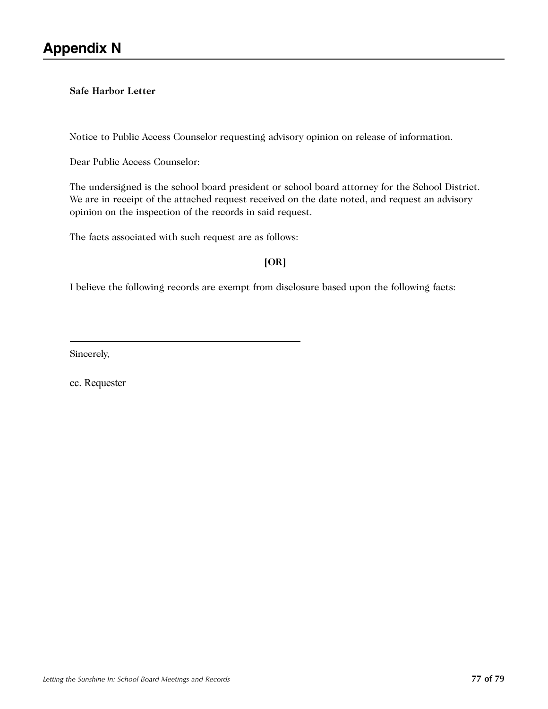#### **Safe Harbor Letter**

Notice to Public Access Counselor requesting advisory opinion on release of information.

Dear Public Access Counselor:

The undersigned is the school board president or school board attorney for the School District. We are in receipt of the attached request received on the date noted, and request an advisory opinion on the inspection of the records in said request.

The facts associated with such request are as follows:

# **[OR]**

I believe the following records are exempt from disclosure based upon the following facts:

Sincerely,

 $\overline{a}$ 

cc. Requester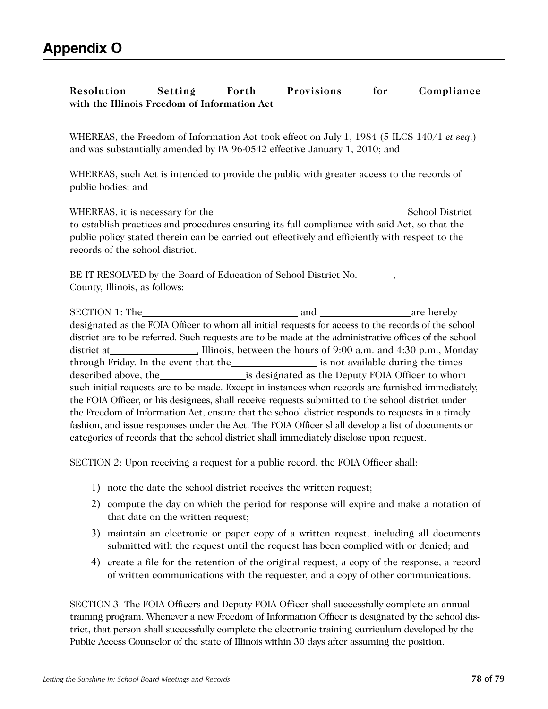**Resolution Setting Forth Provisions for Compliance with the Illinois Freedom of Information Act**

WHEREAS, the Freedom of Information Act took effect on July 1, 1984 (5 ILCS 140/1 *et seq*.) and was substantially amended by PA 96-0542 effective January 1, 2010; and

WHEREAS, such Act is intended to provide the public with greater access to the records of public bodies; and

WHEREAS, it is necessary for the School District to establish practices and procedures ensuring its full compliance with said Act, so that the public policy stated therein can be carried out effectively and efficiently with respect to the records of the school district.

BE IT RESOLVED by the Board of Education of School District No. \_\_\_\_\_\_\_\_\_\_ County, Illinois, as follows:

| designated as the FOIA Officer to whom all initial requests for access to the records of the school   |  |
|-------------------------------------------------------------------------------------------------------|--|
| district are to be referred. Such requests are to be made at the administrative offices of the school |  |
|                                                                                                       |  |
| through Friday. In the event that the_____________________ is not available during the times          |  |
| described above, the same is designated as the Deputy FOIA Officer to whom                            |  |
| such initial requests are to be made. Except in instances when records are furnished immediately,     |  |
| the FOIA Officer, or his designees, shall receive requests submitted to the school district under     |  |
| the Freedom of Information Act, ensure that the school district responds to requests in a timely      |  |
| fashion, and issue responses under the Act. The FOIA Officer shall develop a list of documents or     |  |
| categories of records that the school district shall immediately disclose upon request.               |  |

SECTION 2: Upon receiving a request for a public record, the FOIA Officer shall:

- 1) note the date the school district receives the written request;
- 2) compute the day on which the period for response will expire and make a notation of that date on the written request;
- 3) maintain an electronic or paper copy of a written request, including all documents submitted with the request until the request has been complied with or denied; and
- 4) create a file for the retention of the original request, a copy of the response, a record of written communications with the requester, and a copy of other communications.

SECTION 3: The FOIA Officers and Deputy FOIA Officer shall successfully complete an annual training program. Whenever a new Freedom of Information Officer is designated by the school district, that person shall successfully complete the electronic training curriculum developed by the Public Access Counselor of the state of Illinois within 30 days after assuming the position.